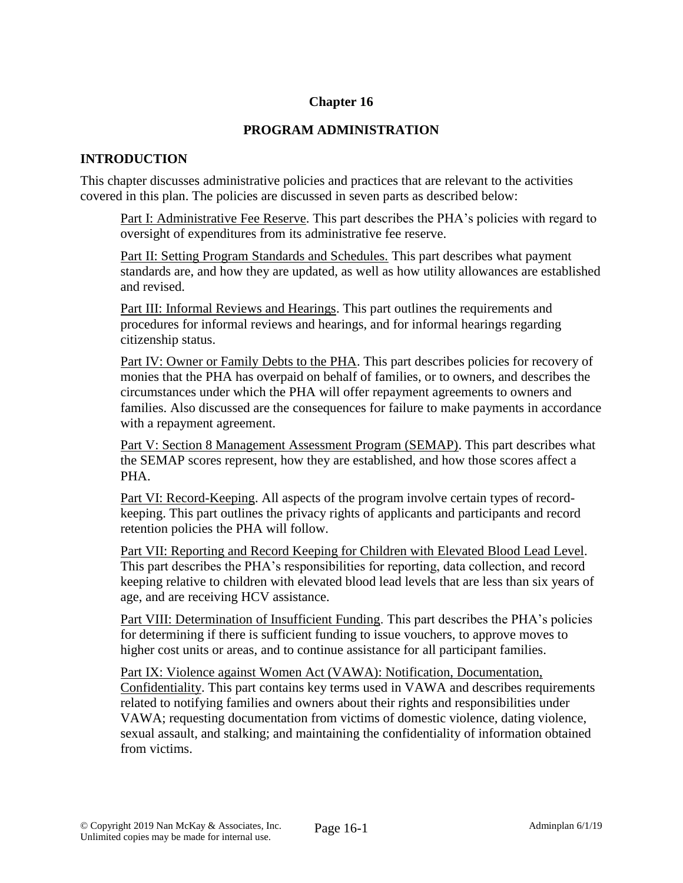### **Chapter 16**

### **PROGRAM ADMINISTRATION**

### **INTRODUCTION**

This chapter discusses administrative policies and practices that are relevant to the activities covered in this plan. The policies are discussed in seven parts as described below:

Part I: Administrative Fee Reserve. This part describes the PHA's policies with regard to oversight of expenditures from its administrative fee reserve.

Part II: Setting Program Standards and Schedules. This part describes what payment standards are, and how they are updated, as well as how utility allowances are established and revised.

Part III: Informal Reviews and Hearings. This part outlines the requirements and procedures for informal reviews and hearings, and for informal hearings regarding citizenship status.

Part IV: Owner or Family Debts to the PHA. This part describes policies for recovery of monies that the PHA has overpaid on behalf of families, or to owners, and describes the circumstances under which the PHA will offer repayment agreements to owners and families. Also discussed are the consequences for failure to make payments in accordance with a repayment agreement.

Part V: Section 8 Management Assessment Program (SEMAP). This part describes what the SEMAP scores represent, how they are established, and how those scores affect a PHA.

Part VI: Record-Keeping. All aspects of the program involve certain types of recordkeeping. This part outlines the privacy rights of applicants and participants and record retention policies the PHA will follow.

Part VII: Reporting and Record Keeping for Children with Elevated Blood Lead Level. This part describes the PHA's responsibilities for reporting, data collection, and record keeping relative to children with elevated blood lead levels that are less than six years of age, and are receiving HCV assistance.

Part VIII: Determination of Insufficient Funding. This part describes the PHA's policies for determining if there is sufficient funding to issue vouchers, to approve moves to higher cost units or areas, and to continue assistance for all participant families.

Part IX: Violence against Women Act (VAWA): Notification, Documentation, Confidentiality. This part contains key terms used in VAWA and describes requirements related to notifying families and owners about their rights and responsibilities under VAWA; requesting documentation from victims of domestic violence, dating violence, sexual assault, and stalking; and maintaining the confidentiality of information obtained from victims.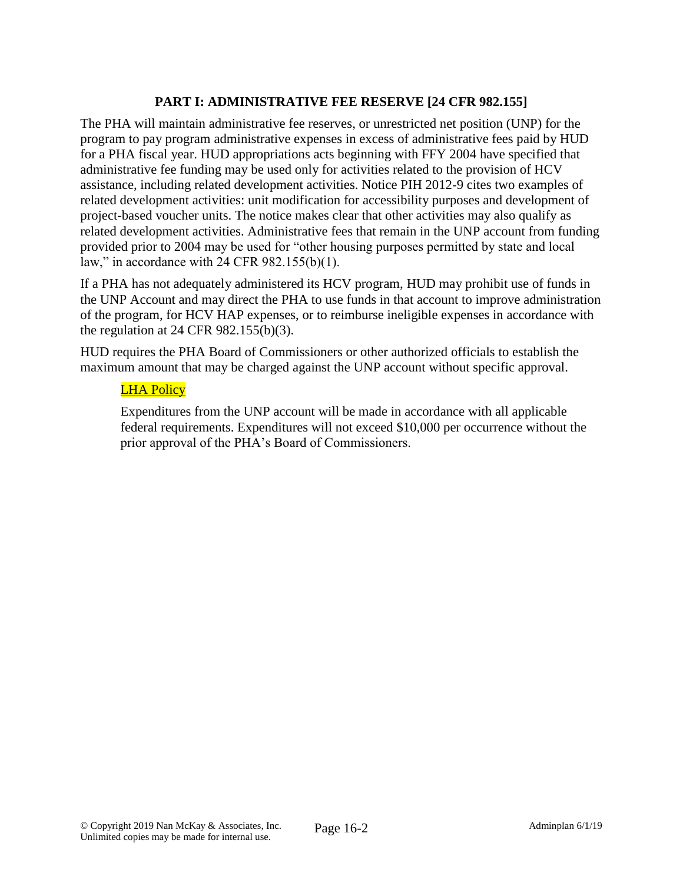# **PART I: ADMINISTRATIVE FEE RESERVE [24 CFR 982.155]**

The PHA will maintain administrative fee reserves, or unrestricted net position (UNP) for the program to pay program administrative expenses in excess of administrative fees paid by HUD for a PHA fiscal year. HUD appropriations acts beginning with FFY 2004 have specified that administrative fee funding may be used only for activities related to the provision of HCV assistance, including related development activities. Notice PIH 2012-9 cites two examples of related development activities: unit modification for accessibility purposes and development of project-based voucher units. The notice makes clear that other activities may also qualify as related development activities. Administrative fees that remain in the UNP account from funding provided prior to 2004 may be used for "other housing purposes permitted by state and local law," in accordance with 24 CFR 982.155(b)(1).

If a PHA has not adequately administered its HCV program, HUD may prohibit use of funds in the UNP Account and may direct the PHA to use funds in that account to improve administration of the program, for HCV HAP expenses, or to reimburse ineligible expenses in accordance with the regulation at 24 CFR 982.155(b)(3).

HUD requires the PHA Board of Commissioners or other authorized officials to establish the maximum amount that may be charged against the UNP account without specific approval.

### LHA Policy

Expenditures from the UNP account will be made in accordance with all applicable federal requirements. Expenditures will not exceed \$10,000 per occurrence without the prior approval of the PHA's Board of Commissioners.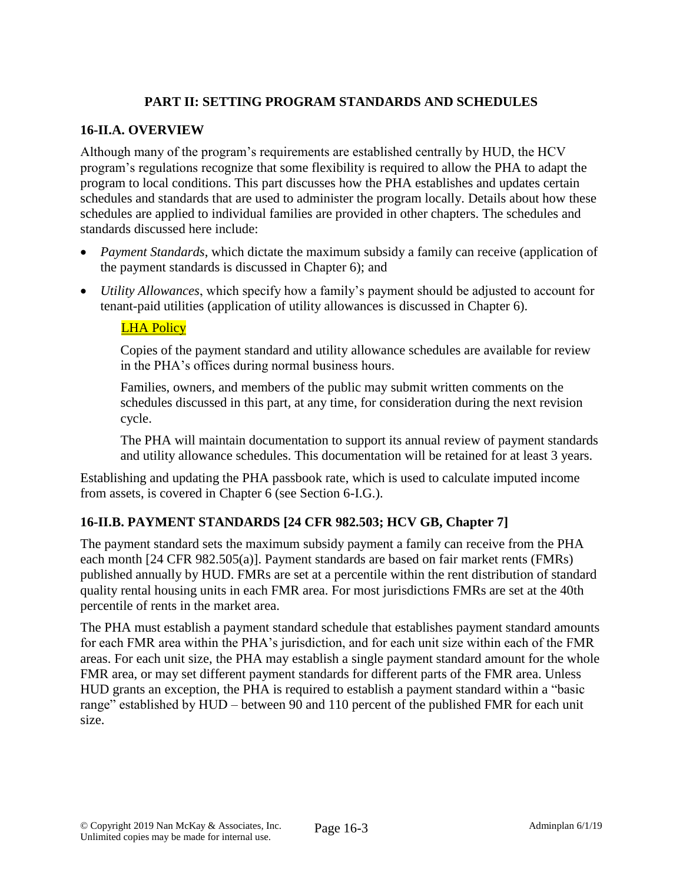# **PART II: SETTING PROGRAM STANDARDS AND SCHEDULES**

### **16-II.A. OVERVIEW**

Although many of the program's requirements are established centrally by HUD, the HCV program's regulations recognize that some flexibility is required to allow the PHA to adapt the program to local conditions. This part discusses how the PHA establishes and updates certain schedules and standards that are used to administer the program locally. Details about how these schedules are applied to individual families are provided in other chapters. The schedules and standards discussed here include:

- *Payment Standards*, which dictate the maximum subsidy a family can receive (application of the payment standards is discussed in Chapter 6); and
- *Utility Allowances*, which specify how a family's payment should be adjusted to account for tenant-paid utilities (application of utility allowances is discussed in Chapter 6).

### **LHA Policy**

Copies of the payment standard and utility allowance schedules are available for review in the PHA's offices during normal business hours.

Families, owners, and members of the public may submit written comments on the schedules discussed in this part, at any time, for consideration during the next revision cycle.

The PHA will maintain documentation to support its annual review of payment standards and utility allowance schedules. This documentation will be retained for at least 3 years.

Establishing and updating the PHA passbook rate, which is used to calculate imputed income from assets, is covered in Chapter 6 (see Section 6-I.G.).

### **16-II.B. PAYMENT STANDARDS [24 CFR 982.503; HCV GB, Chapter 7]**

The payment standard sets the maximum subsidy payment a family can receive from the PHA each month [24 CFR 982.505(a)]. Payment standards are based on fair market rents (FMRs) published annually by HUD. FMRs are set at a percentile within the rent distribution of standard quality rental housing units in each FMR area. For most jurisdictions FMRs are set at the 40th percentile of rents in the market area.

The PHA must establish a payment standard schedule that establishes payment standard amounts for each FMR area within the PHA's jurisdiction, and for each unit size within each of the FMR areas. For each unit size, the PHA may establish a single payment standard amount for the whole FMR area, or may set different payment standards for different parts of the FMR area. Unless HUD grants an exception, the PHA is required to establish a payment standard within a "basic range" established by HUD – between 90 and 110 percent of the published FMR for each unit size.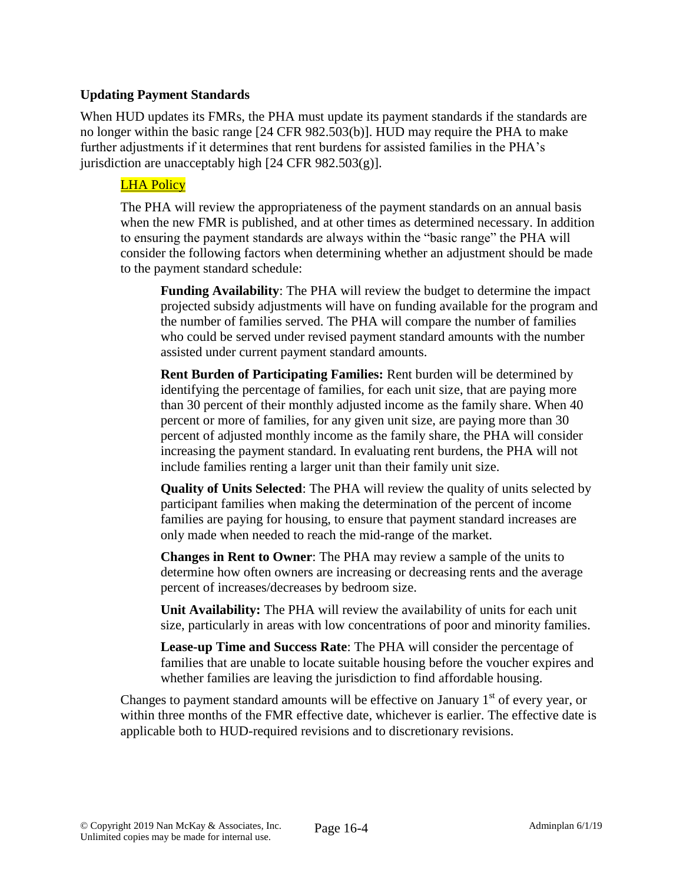### **Updating Payment Standards**

When HUD updates its FMRs, the PHA must update its payment standards if the standards are no longer within the basic range [24 CFR 982.503(b)]. HUD may require the PHA to make further adjustments if it determines that rent burdens for assisted families in the PHA's jurisdiction are unacceptably high  $[24 \text{ CFR } 982.503(g)]$ .

### LHA Policy

The PHA will review the appropriateness of the payment standards on an annual basis when the new FMR is published, and at other times as determined necessary. In addition to ensuring the payment standards are always within the "basic range" the PHA will consider the following factors when determining whether an adjustment should be made to the payment standard schedule:

**Funding Availability**: The PHA will review the budget to determine the impact projected subsidy adjustments will have on funding available for the program and the number of families served. The PHA will compare the number of families who could be served under revised payment standard amounts with the number assisted under current payment standard amounts.

**Rent Burden of Participating Families:** Rent burden will be determined by identifying the percentage of families, for each unit size, that are paying more than 30 percent of their monthly adjusted income as the family share. When 40 percent or more of families, for any given unit size, are paying more than 30 percent of adjusted monthly income as the family share, the PHA will consider increasing the payment standard. In evaluating rent burdens, the PHA will not include families renting a larger unit than their family unit size.

**Quality of Units Selected**: The PHA will review the quality of units selected by participant families when making the determination of the percent of income families are paying for housing, to ensure that payment standard increases are only made when needed to reach the mid-range of the market.

**Changes in Rent to Owner**: The PHA may review a sample of the units to determine how often owners are increasing or decreasing rents and the average percent of increases/decreases by bedroom size.

**Unit Availability:** The PHA will review the availability of units for each unit size, particularly in areas with low concentrations of poor and minority families.

**Lease-up Time and Success Rate**: The PHA will consider the percentage of families that are unable to locate suitable housing before the voucher expires and whether families are leaving the jurisdiction to find affordable housing.

Changes to payment standard amounts will be effective on January  $1<sup>st</sup>$  of every year, or within three months of the FMR effective date, whichever is earlier. The effective date is applicable both to HUD-required revisions and to discretionary revisions.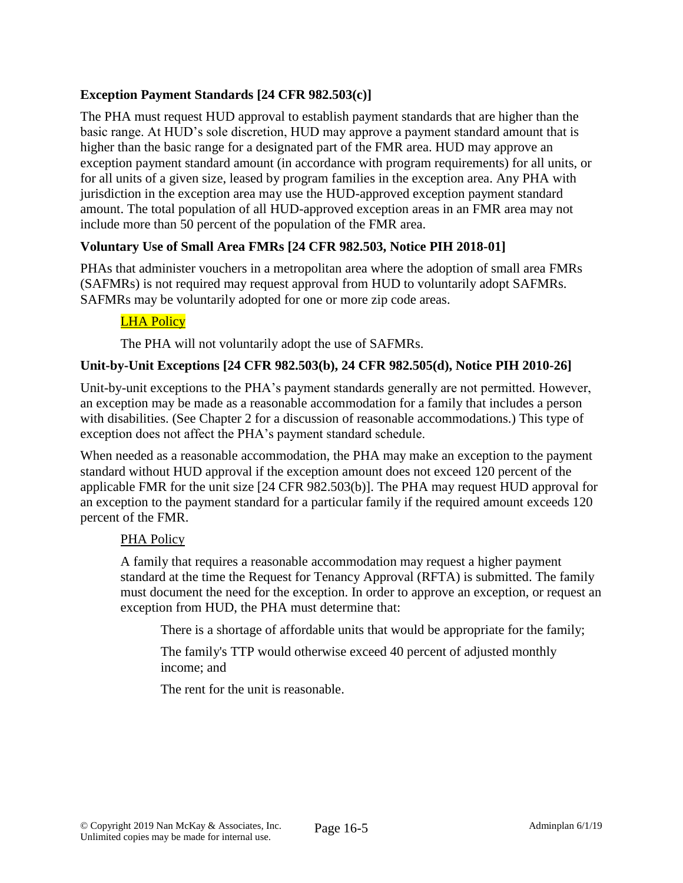# **Exception Payment Standards [24 CFR 982.503(c)]**

The PHA must request HUD approval to establish payment standards that are higher than the basic range. At HUD's sole discretion, HUD may approve a payment standard amount that is higher than the basic range for a designated part of the FMR area. HUD may approve an exception payment standard amount (in accordance with program requirements) for all units, or for all units of a given size, leased by program families in the exception area. Any PHA with jurisdiction in the exception area may use the HUD-approved exception payment standard amount. The total population of all HUD-approved exception areas in an FMR area may not include more than 50 percent of the population of the FMR area.

# **Voluntary Use of Small Area FMRs [24 CFR 982.503, Notice PIH 2018-01]**

PHAs that administer vouchers in a metropolitan area where the adoption of small area FMRs (SAFMRs) is not required may request approval from HUD to voluntarily adopt SAFMRs. SAFMRs may be voluntarily adopted for one or more zip code areas.

# LHA Policy

The PHA will not voluntarily adopt the use of SAFMRs.

# **Unit-by-Unit Exceptions [24 CFR 982.503(b), 24 CFR 982.505(d), Notice PIH 2010-26]**

Unit-by-unit exceptions to the PHA's payment standards generally are not permitted. However, an exception may be made as a reasonable accommodation for a family that includes a person with disabilities. (See Chapter 2 for a discussion of reasonable accommodations.) This type of exception does not affect the PHA's payment standard schedule.

When needed as a reasonable accommodation, the PHA may make an exception to the payment standard without HUD approval if the exception amount does not exceed 120 percent of the applicable FMR for the unit size [24 CFR 982.503(b)]. The PHA may request HUD approval for an exception to the payment standard for a particular family if the required amount exceeds 120 percent of the FMR.

### PHA Policy

A family that requires a reasonable accommodation may request a higher payment standard at the time the Request for Tenancy Approval (RFTA) is submitted. The family must document the need for the exception. In order to approve an exception, or request an exception from HUD, the PHA must determine that:

There is a shortage of affordable units that would be appropriate for the family;

The family's TTP would otherwise exceed 40 percent of adjusted monthly income; and

The rent for the unit is reasonable.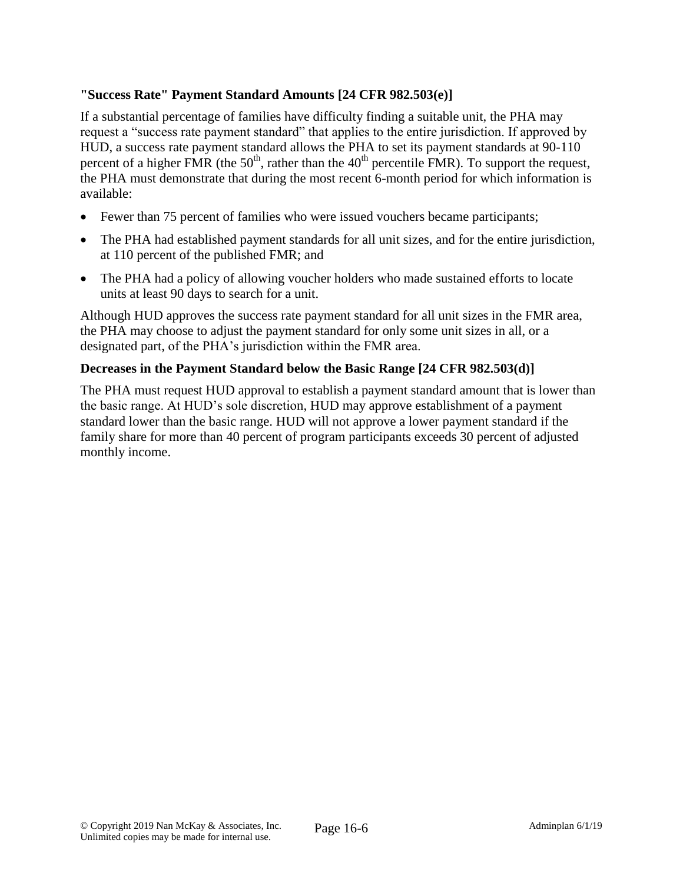# **"Success Rate" Payment Standard Amounts [24 CFR 982.503(e)]**

If a substantial percentage of families have difficulty finding a suitable unit, the PHA may request a "success rate payment standard" that applies to the entire jurisdiction. If approved by HUD, a success rate payment standard allows the PHA to set its payment standards at 90-110 percent of a higher FMR (the  $50<sup>th</sup>$ , rather than the  $40<sup>th</sup>$  percentile FMR). To support the request, the PHA must demonstrate that during the most recent 6-month period for which information is available:

- Fewer than 75 percent of families who were issued vouchers became participants;
- The PHA had established payment standards for all unit sizes, and for the entire jurisdiction, at 110 percent of the published FMR; and
- The PHA had a policy of allowing voucher holders who made sustained efforts to locate units at least 90 days to search for a unit.

Although HUD approves the success rate payment standard for all unit sizes in the FMR area, the PHA may choose to adjust the payment standard for only some unit sizes in all, or a designated part, of the PHA's jurisdiction within the FMR area.

# **Decreases in the Payment Standard below the Basic Range [24 CFR 982.503(d)]**

The PHA must request HUD approval to establish a payment standard amount that is lower than the basic range. At HUD's sole discretion, HUD may approve establishment of a payment standard lower than the basic range. HUD will not approve a lower payment standard if the family share for more than 40 percent of program participants exceeds 30 percent of adjusted monthly income.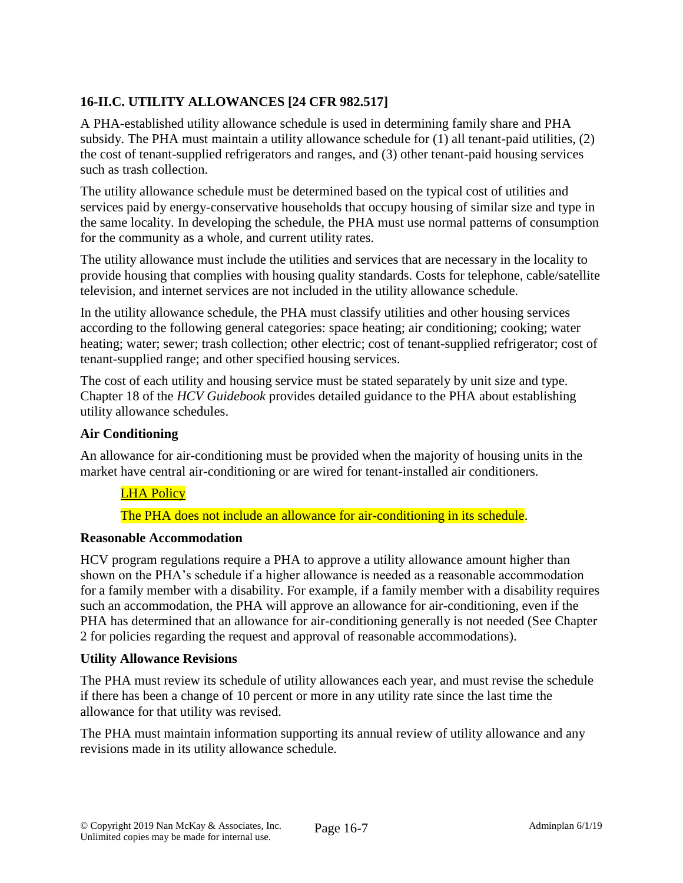# **16-II.C. UTILITY ALLOWANCES [24 CFR 982.517]**

A PHA-established utility allowance schedule is used in determining family share and PHA subsidy. The PHA must maintain a utility allowance schedule for (1) all tenant-paid utilities, (2) the cost of tenant-supplied refrigerators and ranges, and (3) other tenant-paid housing services such as trash collection.

The utility allowance schedule must be determined based on the typical cost of utilities and services paid by energy-conservative households that occupy housing of similar size and type in the same locality. In developing the schedule, the PHA must use normal patterns of consumption for the community as a whole, and current utility rates.

The utility allowance must include the utilities and services that are necessary in the locality to provide housing that complies with housing quality standards. Costs for telephone, cable/satellite television, and internet services are not included in the utility allowance schedule.

In the utility allowance schedule, the PHA must classify utilities and other housing services according to the following general categories: space heating; air conditioning; cooking; water heating; water; sewer; trash collection; other electric; cost of tenant-supplied refrigerator; cost of tenant-supplied range; and other specified housing services.

The cost of each utility and housing service must be stated separately by unit size and type. Chapter 18 of the *HCV Guidebook* provides detailed guidance to the PHA about establishing utility allowance schedules.

### **Air Conditioning**

An allowance for air-conditioning must be provided when the majority of housing units in the market have central air-conditioning or are wired for tenant-installed air conditioners.

# LHA Policy

The PHA does not include an allowance for air-conditioning in its schedule.

#### **Reasonable Accommodation**

HCV program regulations require a PHA to approve a utility allowance amount higher than shown on the PHA's schedule if a higher allowance is needed as a reasonable accommodation for a family member with a disability. For example, if a family member with a disability requires such an accommodation, the PHA will approve an allowance for air-conditioning, even if the PHA has determined that an allowance for air-conditioning generally is not needed (See Chapter 2 for policies regarding the request and approval of reasonable accommodations).

#### **Utility Allowance Revisions**

The PHA must review its schedule of utility allowances each year, and must revise the schedule if there has been a change of 10 percent or more in any utility rate since the last time the allowance for that utility was revised.

The PHA must maintain information supporting its annual review of utility allowance and any revisions made in its utility allowance schedule.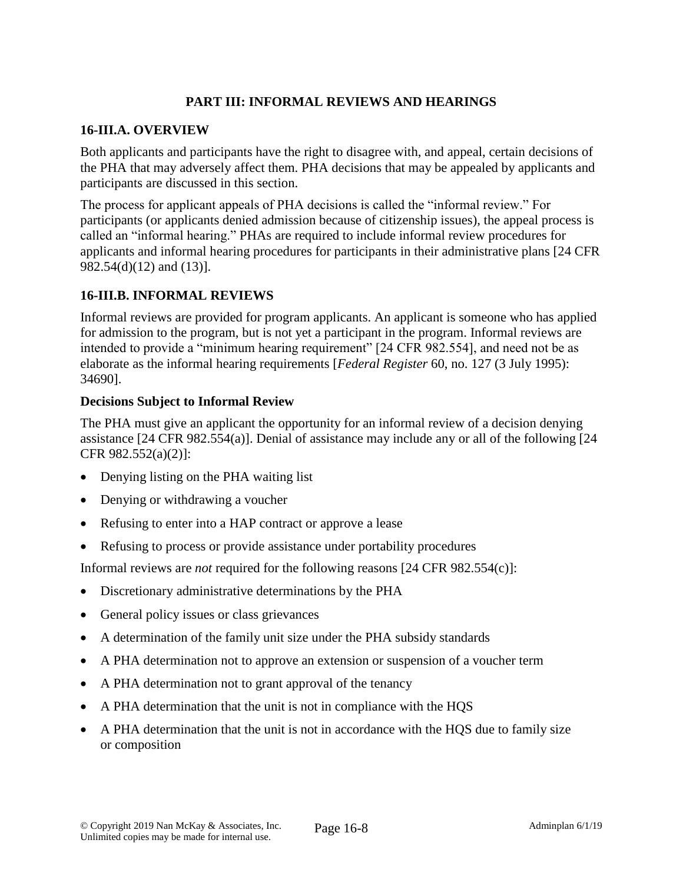# **PART III: INFORMAL REVIEWS AND HEARINGS**

### **16-III.A. OVERVIEW**

Both applicants and participants have the right to disagree with, and appeal, certain decisions of the PHA that may adversely affect them. PHA decisions that may be appealed by applicants and participants are discussed in this section.

The process for applicant appeals of PHA decisions is called the "informal review." For participants (or applicants denied admission because of citizenship issues), the appeal process is called an "informal hearing." PHAs are required to include informal review procedures for applicants and informal hearing procedures for participants in their administrative plans [24 CFR 982.54(d)(12) and (13)].

### **16-III.B. INFORMAL REVIEWS**

Informal reviews are provided for program applicants. An applicant is someone who has applied for admission to the program, but is not yet a participant in the program. Informal reviews are intended to provide a "minimum hearing requirement" [24 CFR 982.554], and need not be as elaborate as the informal hearing requirements [*Federal Register* 60, no. 127 (3 July 1995): 34690].

### **Decisions Subject to Informal Review**

The PHA must give an applicant the opportunity for an informal review of a decision denying assistance [24 CFR 982.554(a)]. Denial of assistance may include any or all of the following [24 CFR 982.552(a)(2)]:

- Denying listing on the PHA waiting list
- Denying or withdrawing a voucher
- Refusing to enter into a HAP contract or approve a lease
- Refusing to process or provide assistance under portability procedures

Informal reviews are *not* required for the following reasons [24 CFR 982.554(c)]:

- Discretionary administrative determinations by the PHA
- General policy issues or class grievances
- A determination of the family unit size under the PHA subsidy standards
- A PHA determination not to approve an extension or suspension of a voucher term
- A PHA determination not to grant approval of the tenancy
- A PHA determination that the unit is not in compliance with the HQS
- A PHA determination that the unit is not in accordance with the HQS due to family size or composition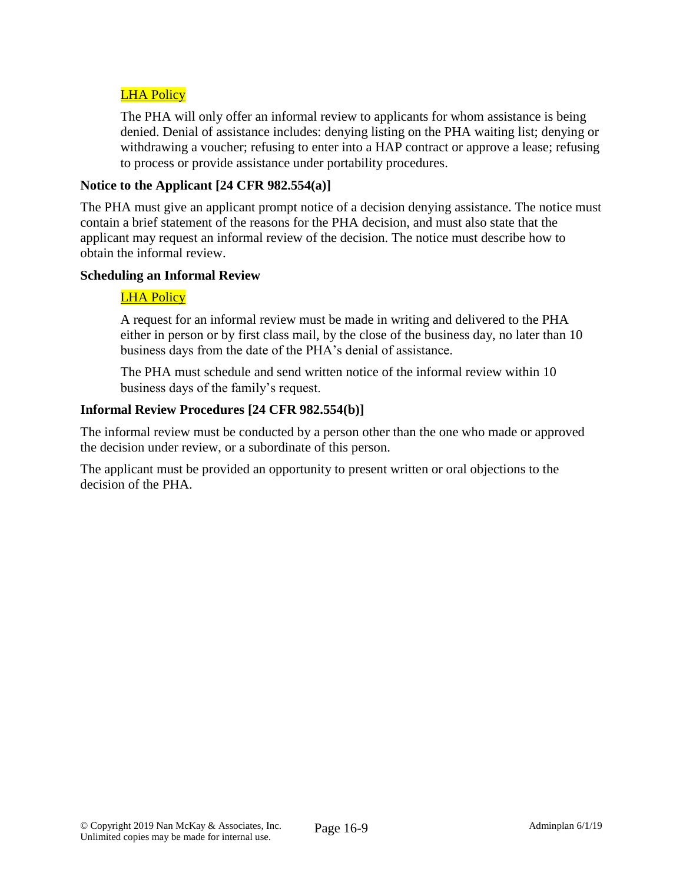# **LHA Policy**

The PHA will only offer an informal review to applicants for whom assistance is being denied. Denial of assistance includes: denying listing on the PHA waiting list; denying or withdrawing a voucher; refusing to enter into a HAP contract or approve a lease; refusing to process or provide assistance under portability procedures.

### **Notice to the Applicant [24 CFR 982.554(a)]**

The PHA must give an applicant prompt notice of a decision denying assistance. The notice must contain a brief statement of the reasons for the PHA decision, and must also state that the applicant may request an informal review of the decision. The notice must describe how to obtain the informal review.

#### **Scheduling an Informal Review**

### LHA Policy

A request for an informal review must be made in writing and delivered to the PHA either in person or by first class mail, by the close of the business day, no later than 10 business days from the date of the PHA's denial of assistance.

The PHA must schedule and send written notice of the informal review within 10 business days of the family's request.

### **Informal Review Procedures [24 CFR 982.554(b)]**

The informal review must be conducted by a person other than the one who made or approved the decision under review, or a subordinate of this person.

The applicant must be provided an opportunity to present written or oral objections to the decision of the PHA.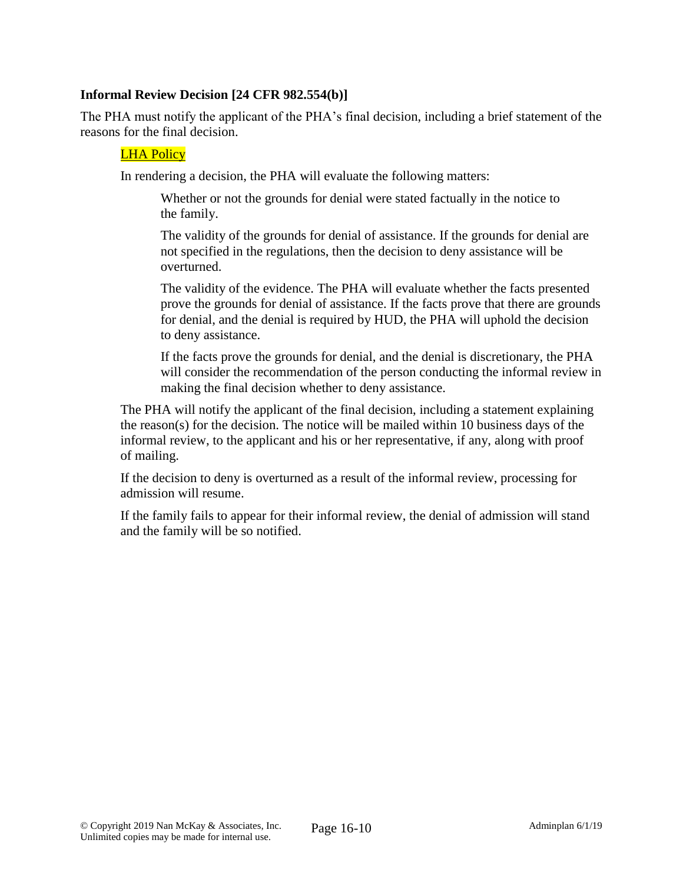### **Informal Review Decision [24 CFR 982.554(b)]**

The PHA must notify the applicant of the PHA's final decision, including a brief statement of the reasons for the final decision.

#### LHA Policy

In rendering a decision, the PHA will evaluate the following matters:

Whether or not the grounds for denial were stated factually in the notice to the family.

The validity of the grounds for denial of assistance. If the grounds for denial are not specified in the regulations, then the decision to deny assistance will be overturned.

The validity of the evidence. The PHA will evaluate whether the facts presented prove the grounds for denial of assistance. If the facts prove that there are grounds for denial, and the denial is required by HUD, the PHA will uphold the decision to deny assistance.

If the facts prove the grounds for denial, and the denial is discretionary, the PHA will consider the recommendation of the person conducting the informal review in making the final decision whether to deny assistance.

The PHA will notify the applicant of the final decision, including a statement explaining the reason(s) for the decision. The notice will be mailed within 10 business days of the informal review, to the applicant and his or her representative, if any, along with proof of mailing.

If the decision to deny is overturned as a result of the informal review, processing for admission will resume.

If the family fails to appear for their informal review, the denial of admission will stand and the family will be so notified.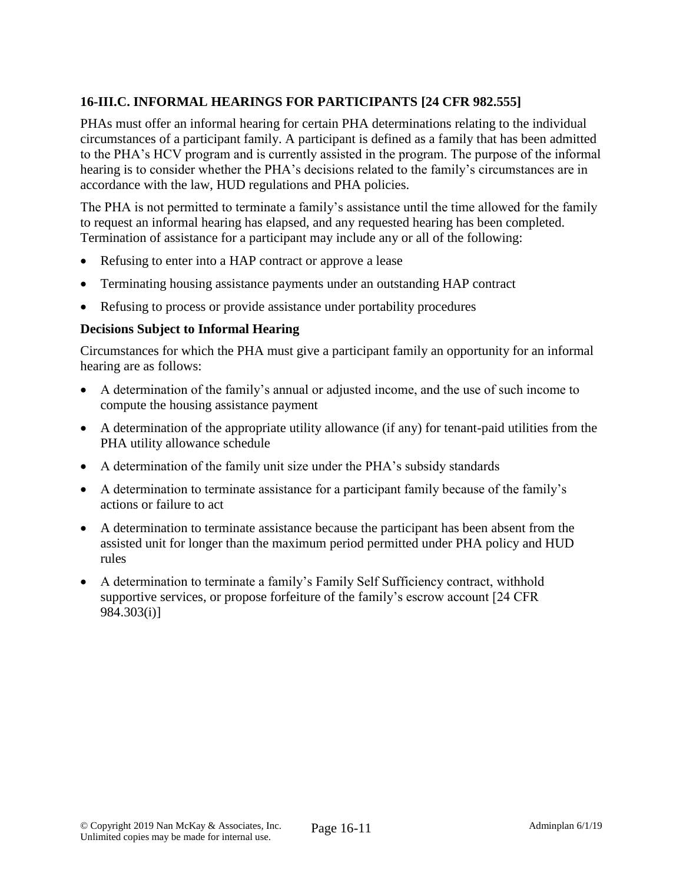# **16-III.C. INFORMAL HEARINGS FOR PARTICIPANTS [24 CFR 982.555]**

PHAs must offer an informal hearing for certain PHA determinations relating to the individual circumstances of a participant family. A participant is defined as a family that has been admitted to the PHA's HCV program and is currently assisted in the program. The purpose of the informal hearing is to consider whether the PHA's decisions related to the family's circumstances are in accordance with the law, HUD regulations and PHA policies.

The PHA is not permitted to terminate a family's assistance until the time allowed for the family to request an informal hearing has elapsed, and any requested hearing has been completed. Termination of assistance for a participant may include any or all of the following:

- Refusing to enter into a HAP contract or approve a lease
- Terminating housing assistance payments under an outstanding HAP contract
- Refusing to process or provide assistance under portability procedures

# **Decisions Subject to Informal Hearing**

Circumstances for which the PHA must give a participant family an opportunity for an informal hearing are as follows:

- A determination of the family's annual or adjusted income, and the use of such income to compute the housing assistance payment
- A determination of the appropriate utility allowance (if any) for tenant-paid utilities from the PHA utility allowance schedule
- A determination of the family unit size under the PHA's subsidy standards
- A determination to terminate assistance for a participant family because of the family's actions or failure to act
- A determination to terminate assistance because the participant has been absent from the assisted unit for longer than the maximum period permitted under PHA policy and HUD rules
- A determination to terminate a family's Family Self Sufficiency contract, withhold supportive services, or propose forfeiture of the family's escrow account [24 CFR 984.303(i)]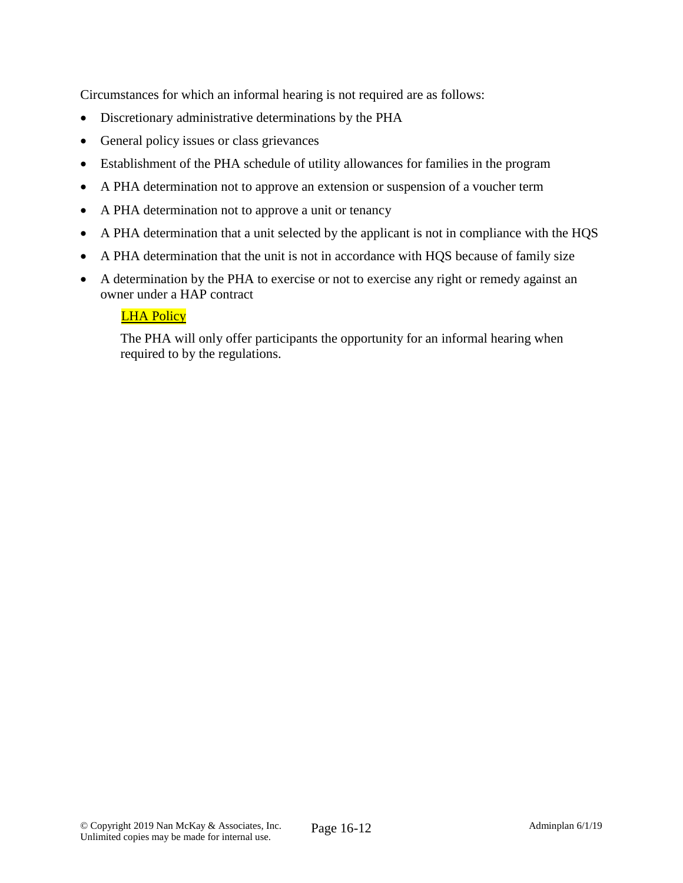Circumstances for which an informal hearing is not required are as follows:

- Discretionary administrative determinations by the PHA
- General policy issues or class grievances
- Establishment of the PHA schedule of utility allowances for families in the program
- A PHA determination not to approve an extension or suspension of a voucher term
- A PHA determination not to approve a unit or tenancy
- A PHA determination that a unit selected by the applicant is not in compliance with the HQS
- A PHA determination that the unit is not in accordance with HQS because of family size
- A determination by the PHA to exercise or not to exercise any right or remedy against an owner under a HAP contract

# LHA Policy

The PHA will only offer participants the opportunity for an informal hearing when required to by the regulations.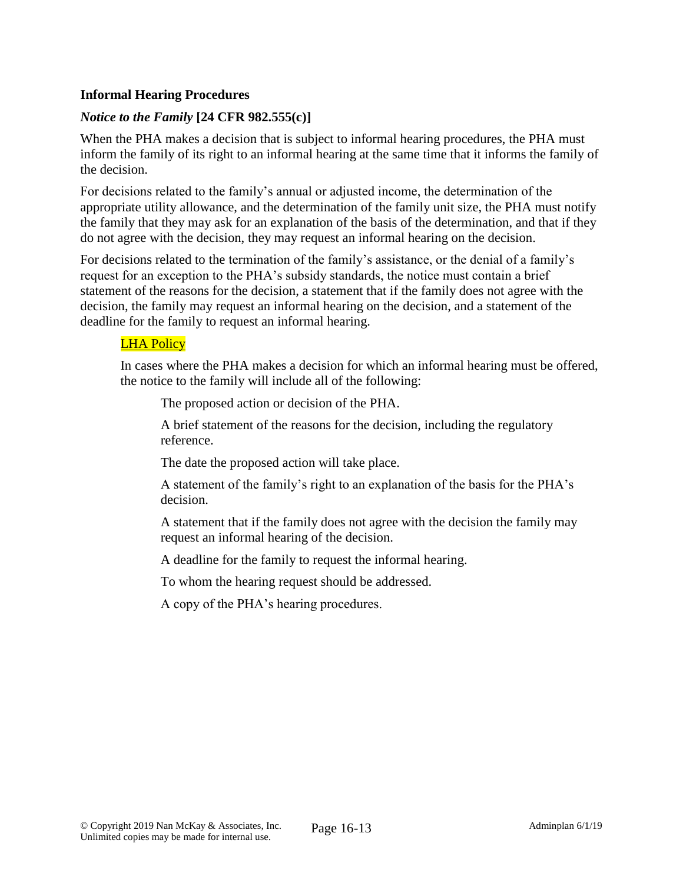### **Informal Hearing Procedures**

### *Notice to the Family* **[24 CFR 982.555(c)]**

When the PHA makes a decision that is subject to informal hearing procedures, the PHA must inform the family of its right to an informal hearing at the same time that it informs the family of the decision.

For decisions related to the family's annual or adjusted income, the determination of the appropriate utility allowance, and the determination of the family unit size, the PHA must notify the family that they may ask for an explanation of the basis of the determination, and that if they do not agree with the decision, they may request an informal hearing on the decision.

For decisions related to the termination of the family's assistance, or the denial of a family's request for an exception to the PHA's subsidy standards, the notice must contain a brief statement of the reasons for the decision, a statement that if the family does not agree with the decision, the family may request an informal hearing on the decision, and a statement of the deadline for the family to request an informal hearing.

### LHA Policy

In cases where the PHA makes a decision for which an informal hearing must be offered, the notice to the family will include all of the following:

The proposed action or decision of the PHA.

A brief statement of the reasons for the decision, including the regulatory reference.

The date the proposed action will take place.

A statement of the family's right to an explanation of the basis for the PHA's decision.

A statement that if the family does not agree with the decision the family may request an informal hearing of the decision.

A deadline for the family to request the informal hearing.

To whom the hearing request should be addressed.

A copy of the PHA's hearing procedures.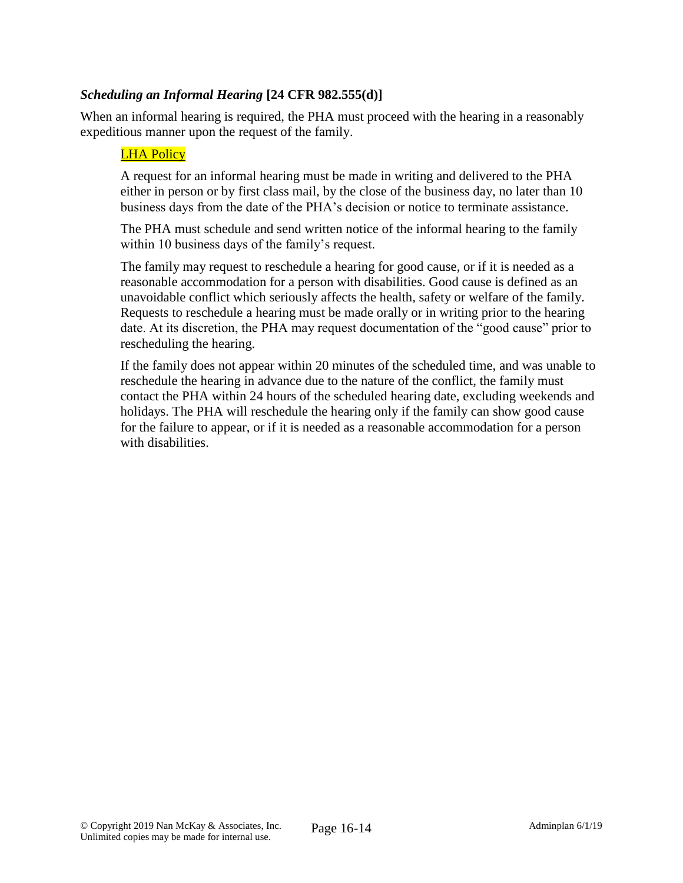### *Scheduling an Informal Hearing* **[24 CFR 982.555(d)]**

When an informal hearing is required, the PHA must proceed with the hearing in a reasonably expeditious manner upon the request of the family.

#### LHA Policy

A request for an informal hearing must be made in writing and delivered to the PHA either in person or by first class mail, by the close of the business day, no later than 10 business days from the date of the PHA's decision or notice to terminate assistance.

The PHA must schedule and send written notice of the informal hearing to the family within 10 business days of the family's request.

The family may request to reschedule a hearing for good cause, or if it is needed as a reasonable accommodation for a person with disabilities. Good cause is defined as an unavoidable conflict which seriously affects the health, safety or welfare of the family. Requests to reschedule a hearing must be made orally or in writing prior to the hearing date. At its discretion, the PHA may request documentation of the "good cause" prior to rescheduling the hearing.

If the family does not appear within 20 minutes of the scheduled time, and was unable to reschedule the hearing in advance due to the nature of the conflict, the family must contact the PHA within 24 hours of the scheduled hearing date, excluding weekends and holidays. The PHA will reschedule the hearing only if the family can show good cause for the failure to appear, or if it is needed as a reasonable accommodation for a person with disabilities.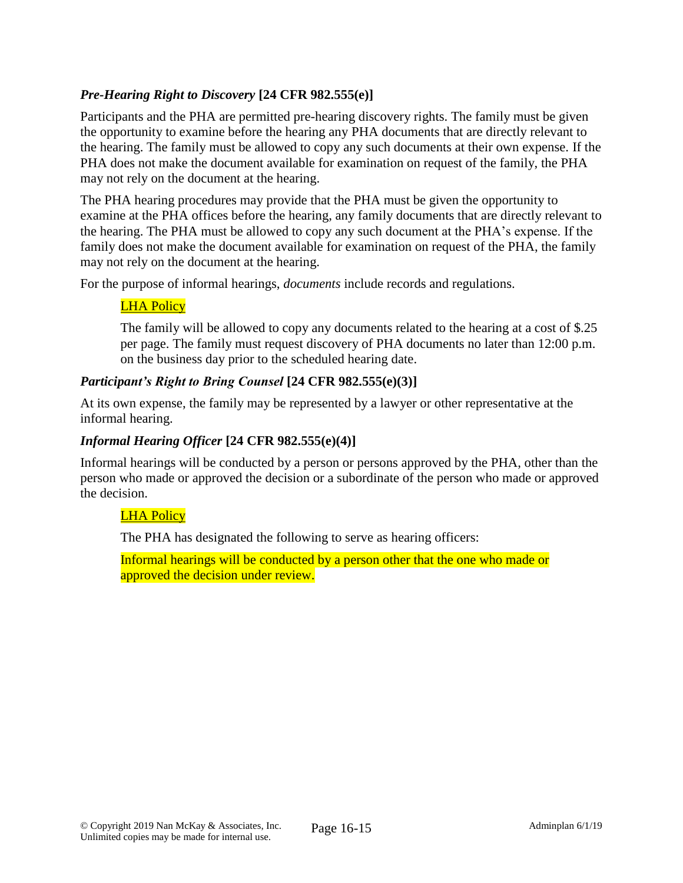# *Pre-Hearing Right to Discovery* **[24 CFR 982.555(e)]**

Participants and the PHA are permitted pre-hearing discovery rights. The family must be given the opportunity to examine before the hearing any PHA documents that are directly relevant to the hearing. The family must be allowed to copy any such documents at their own expense. If the PHA does not make the document available for examination on request of the family, the PHA may not rely on the document at the hearing.

The PHA hearing procedures may provide that the PHA must be given the opportunity to examine at the PHA offices before the hearing, any family documents that are directly relevant to the hearing. The PHA must be allowed to copy any such document at the PHA's expense. If the family does not make the document available for examination on request of the PHA, the family may not rely on the document at the hearing.

For the purpose of informal hearings, *documents* include records and regulations.

# **LHA Policy**

The family will be allowed to copy any documents related to the hearing at a cost of \$.25 per page. The family must request discovery of PHA documents no later than 12:00 p.m. on the business day prior to the scheduled hearing date.

### *Participant's Right to Bring Counsel* **[24 CFR 982.555(e)(3)]**

At its own expense, the family may be represented by a lawyer or other representative at the informal hearing.

### *Informal Hearing Officer* **[24 CFR 982.555(e)(4)]**

Informal hearings will be conducted by a person or persons approved by the PHA, other than the person who made or approved the decision or a subordinate of the person who made or approved the decision.

### LHA Policy

The PHA has designated the following to serve as hearing officers:

Informal hearings will be conducted by a person other that the one who made or approved the decision under review.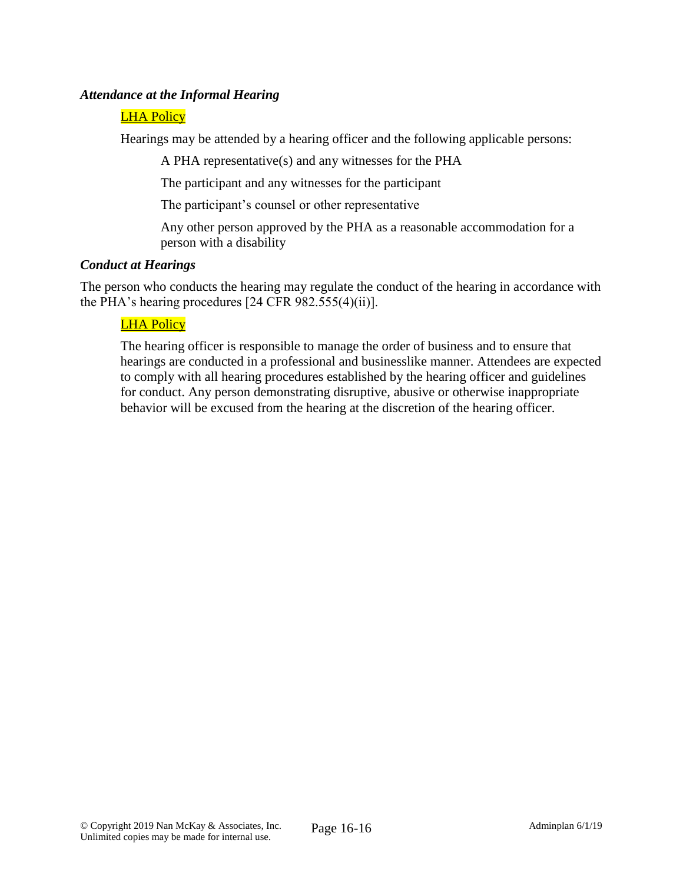### *Attendance at the Informal Hearing*

### LHA Policy

Hearings may be attended by a hearing officer and the following applicable persons:

A PHA representative(s) and any witnesses for the PHA

The participant and any witnesses for the participant

The participant's counsel or other representative

Any other person approved by the PHA as a reasonable accommodation for a person with a disability

### *Conduct at Hearings*

The person who conducts the hearing may regulate the conduct of the hearing in accordance with the PHA's hearing procedures [24 CFR 982.555(4)(ii)].

### **LHA Policy**

The hearing officer is responsible to manage the order of business and to ensure that hearings are conducted in a professional and businesslike manner. Attendees are expected to comply with all hearing procedures established by the hearing officer and guidelines for conduct. Any person demonstrating disruptive, abusive or otherwise inappropriate behavior will be excused from the hearing at the discretion of the hearing officer.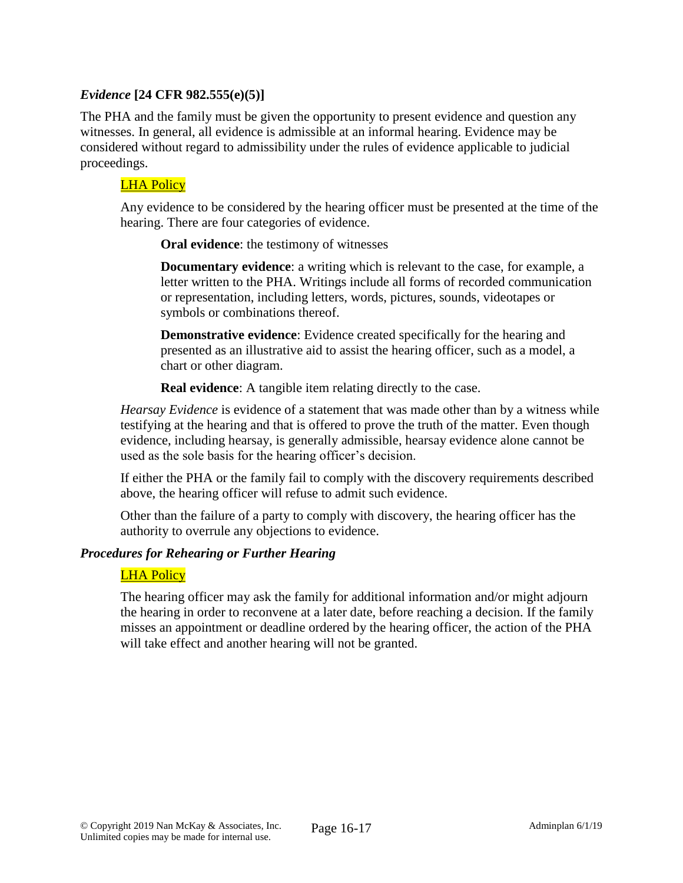### *Evidence* **[24 CFR 982.555(e)(5)]**

The PHA and the family must be given the opportunity to present evidence and question any witnesses. In general, all evidence is admissible at an informal hearing. Evidence may be considered without regard to admissibility under the rules of evidence applicable to judicial proceedings.

### LHA Policy

Any evidence to be considered by the hearing officer must be presented at the time of the hearing. There are four categories of evidence.

**Oral evidence**: the testimony of witnesses

**Documentary evidence**: a writing which is relevant to the case, for example, a letter written to the PHA. Writings include all forms of recorded communication or representation, including letters, words, pictures, sounds, videotapes or symbols or combinations thereof.

**Demonstrative evidence**: Evidence created specifically for the hearing and presented as an illustrative aid to assist the hearing officer, such as a model, a chart or other diagram.

**Real evidence:** A tangible item relating directly to the case.

*Hearsay Evidence* is evidence of a statement that was made other than by a witness while testifying at the hearing and that is offered to prove the truth of the matter. Even though evidence, including hearsay, is generally admissible, hearsay evidence alone cannot be used as the sole basis for the hearing officer's decision.

If either the PHA or the family fail to comply with the discovery requirements described above, the hearing officer will refuse to admit such evidence.

Other than the failure of a party to comply with discovery, the hearing officer has the authority to overrule any objections to evidence.

#### *Procedures for Rehearing or Further Hearing*

#### LHA Policy

The hearing officer may ask the family for additional information and/or might adjourn the hearing in order to reconvene at a later date, before reaching a decision. If the family misses an appointment or deadline ordered by the hearing officer, the action of the PHA will take effect and another hearing will not be granted.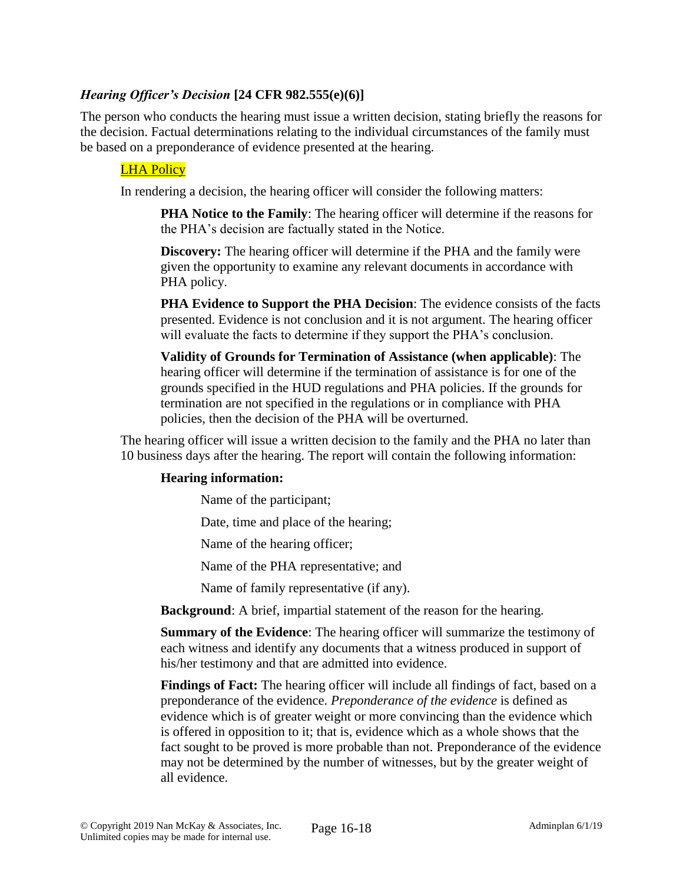### *Hearing Officer's Decision* **[24 CFR 982.555(e)(6)]**

The person who conducts the hearing must issue a written decision, stating briefly the reasons for the decision. Factual determinations relating to the individual circumstances of the family must be based on a preponderance of evidence presented at the hearing.

### LHA Policy

In rendering a decision, the hearing officer will consider the following matters:

**PHA Notice to the Family**: The hearing officer will determine if the reasons for the PHA's decision are factually stated in the Notice.

**Discovery:** The hearing officer will determine if the PHA and the family were given the opportunity to examine any relevant documents in accordance with PHA policy.

**PHA Evidence to Support the PHA Decision**: The evidence consists of the facts presented. Evidence is not conclusion and it is not argument. The hearing officer will evaluate the facts to determine if they support the PHA's conclusion.

**Validity of Grounds for Termination of Assistance (when applicable)**: The hearing officer will determine if the termination of assistance is for one of the grounds specified in the HUD regulations and PHA policies. If the grounds for termination are not specified in the regulations or in compliance with PHA policies, then the decision of the PHA will be overturned.

The hearing officer will issue a written decision to the family and the PHA no later than 10 business days after the hearing. The report will contain the following information:

#### **Hearing information:**

Name of the participant;

Date, time and place of the hearing;

Name of the hearing officer;

Name of the PHA representative; and

Name of family representative (if any).

**Background**: A brief, impartial statement of the reason for the hearing.

**Summary of the Evidence**: The hearing officer will summarize the testimony of each witness and identify any documents that a witness produced in support of his/her testimony and that are admitted into evidence.

**Findings of Fact:** The hearing officer will include all findings of fact, based on a preponderance of the evidence. *Preponderance of the evidence* is defined as evidence which is of greater weight or more convincing than the evidence which is offered in opposition to it; that is, evidence which as a whole shows that the fact sought to be proved is more probable than not. Preponderance of the evidence may not be determined by the number of witnesses, but by the greater weight of all evidence.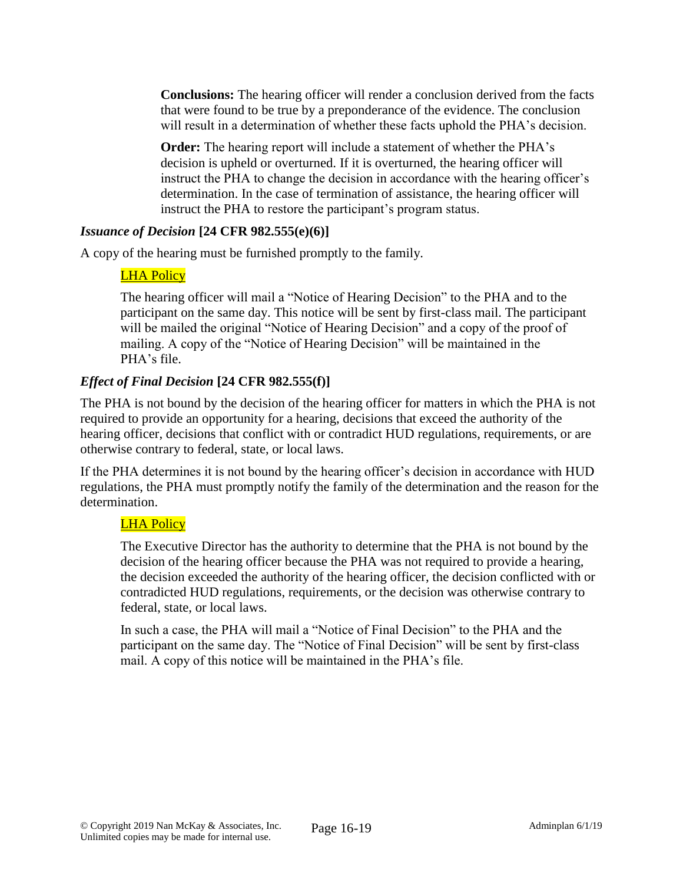**Conclusions:** The hearing officer will render a conclusion derived from the facts that were found to be true by a preponderance of the evidence. The conclusion will result in a determination of whether these facts uphold the PHA's decision.

**Order:** The hearing report will include a statement of whether the PHA's decision is upheld or overturned. If it is overturned, the hearing officer will instruct the PHA to change the decision in accordance with the hearing officer's determination. In the case of termination of assistance, the hearing officer will instruct the PHA to restore the participant's program status.

### *Issuance of Decision* **[24 CFR 982.555(e)(6)]**

A copy of the hearing must be furnished promptly to the family.

### LHA Policy

The hearing officer will mail a "Notice of Hearing Decision" to the PHA and to the participant on the same day. This notice will be sent by first-class mail. The participant will be mailed the original "Notice of Hearing Decision" and a copy of the proof of mailing. A copy of the "Notice of Hearing Decision" will be maintained in the PHA's file.

# *Effect of Final Decision* **[24 CFR 982.555(f)]**

The PHA is not bound by the decision of the hearing officer for matters in which the PHA is not required to provide an opportunity for a hearing, decisions that exceed the authority of the hearing officer, decisions that conflict with or contradict HUD regulations, requirements, or are otherwise contrary to federal, state, or local laws.

If the PHA determines it is not bound by the hearing officer's decision in accordance with HUD regulations, the PHA must promptly notify the family of the determination and the reason for the determination.

### LHA Policy

The Executive Director has the authority to determine that the PHA is not bound by the decision of the hearing officer because the PHA was not required to provide a hearing, the decision exceeded the authority of the hearing officer, the decision conflicted with or contradicted HUD regulations, requirements, or the decision was otherwise contrary to federal, state, or local laws.

In such a case, the PHA will mail a "Notice of Final Decision" to the PHA and the participant on the same day. The "Notice of Final Decision" will be sent by first-class mail. A copy of this notice will be maintained in the PHA's file.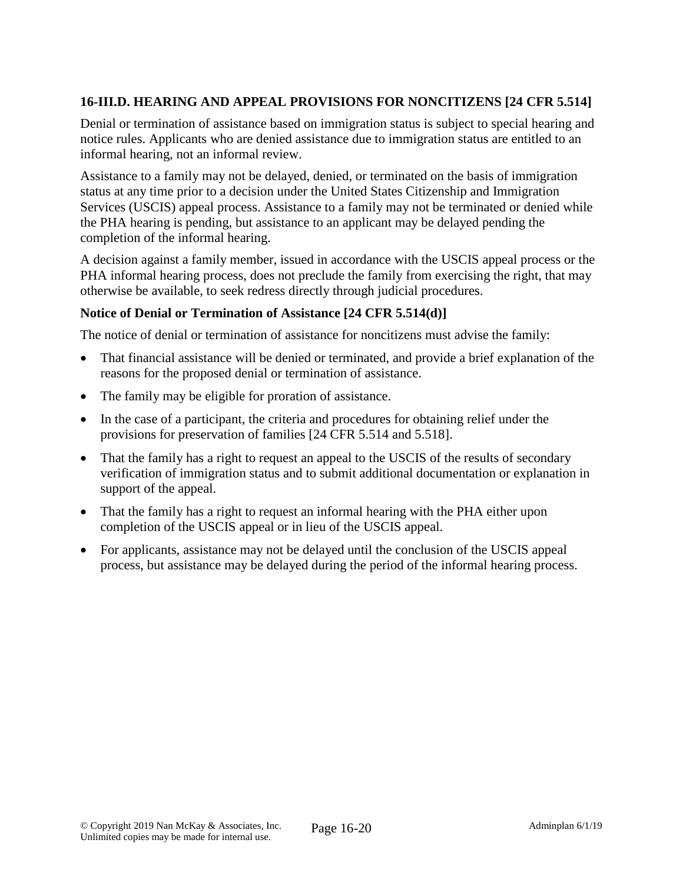# **16-III.D. HEARING AND APPEAL PROVISIONS FOR NONCITIZENS [24 CFR 5.514]**

Denial or termination of assistance based on immigration status is subject to special hearing and notice rules. Applicants who are denied assistance due to immigration status are entitled to an informal hearing, not an informal review.

Assistance to a family may not be delayed, denied, or terminated on the basis of immigration status at any time prior to a decision under the United States Citizenship and Immigration Services (USCIS) appeal process. Assistance to a family may not be terminated or denied while the PHA hearing is pending, but assistance to an applicant may be delayed pending the completion of the informal hearing.

A decision against a family member, issued in accordance with the USCIS appeal process or the PHA informal hearing process, does not preclude the family from exercising the right, that may otherwise be available, to seek redress directly through judicial procedures.

### **Notice of Denial or Termination of Assistance [24 CFR 5.514(d)]**

The notice of denial or termination of assistance for noncitizens must advise the family:

- That financial assistance will be denied or terminated, and provide a brief explanation of the reasons for the proposed denial or termination of assistance.
- The family may be eligible for proration of assistance.
- In the case of a participant, the criteria and procedures for obtaining relief under the provisions for preservation of families [24 CFR 5.514 and 5.518].
- That the family has a right to request an appeal to the USCIS of the results of secondary verification of immigration status and to submit additional documentation or explanation in support of the appeal.
- That the family has a right to request an informal hearing with the PHA either upon completion of the USCIS appeal or in lieu of the USCIS appeal.
- For applicants, assistance may not be delayed until the conclusion of the USCIS appeal process, but assistance may be delayed during the period of the informal hearing process.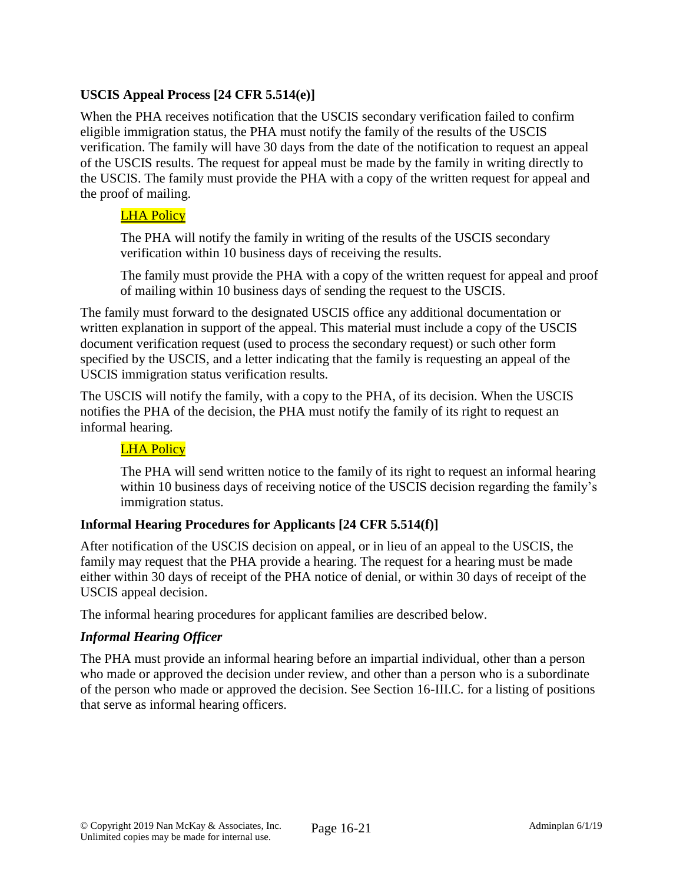# **USCIS Appeal Process [24 CFR 5.514(e)]**

When the PHA receives notification that the USCIS secondary verification failed to confirm eligible immigration status, the PHA must notify the family of the results of the USCIS verification. The family will have 30 days from the date of the notification to request an appeal of the USCIS results. The request for appeal must be made by the family in writing directly to the USCIS. The family must provide the PHA with a copy of the written request for appeal and the proof of mailing.

### LHA Policy

The PHA will notify the family in writing of the results of the USCIS secondary verification within 10 business days of receiving the results.

The family must provide the PHA with a copy of the written request for appeal and proof of mailing within 10 business days of sending the request to the USCIS.

The family must forward to the designated USCIS office any additional documentation or written explanation in support of the appeal. This material must include a copy of the USCIS document verification request (used to process the secondary request) or such other form specified by the USCIS, and a letter indicating that the family is requesting an appeal of the USCIS immigration status verification results.

The USCIS will notify the family, with a copy to the PHA, of its decision. When the USCIS notifies the PHA of the decision, the PHA must notify the family of its right to request an informal hearing.

### LHA Policy

The PHA will send written notice to the family of its right to request an informal hearing within 10 business days of receiving notice of the USCIS decision regarding the family's immigration status.

### **Informal Hearing Procedures for Applicants [24 CFR 5.514(f)]**

After notification of the USCIS decision on appeal, or in lieu of an appeal to the USCIS, the family may request that the PHA provide a hearing. The request for a hearing must be made either within 30 days of receipt of the PHA notice of denial, or within 30 days of receipt of the USCIS appeal decision.

The informal hearing procedures for applicant families are described below.

#### *Informal Hearing Officer*

The PHA must provide an informal hearing before an impartial individual, other than a person who made or approved the decision under review, and other than a person who is a subordinate of the person who made or approved the decision. See Section 16-III.C. for a listing of positions that serve as informal hearing officers.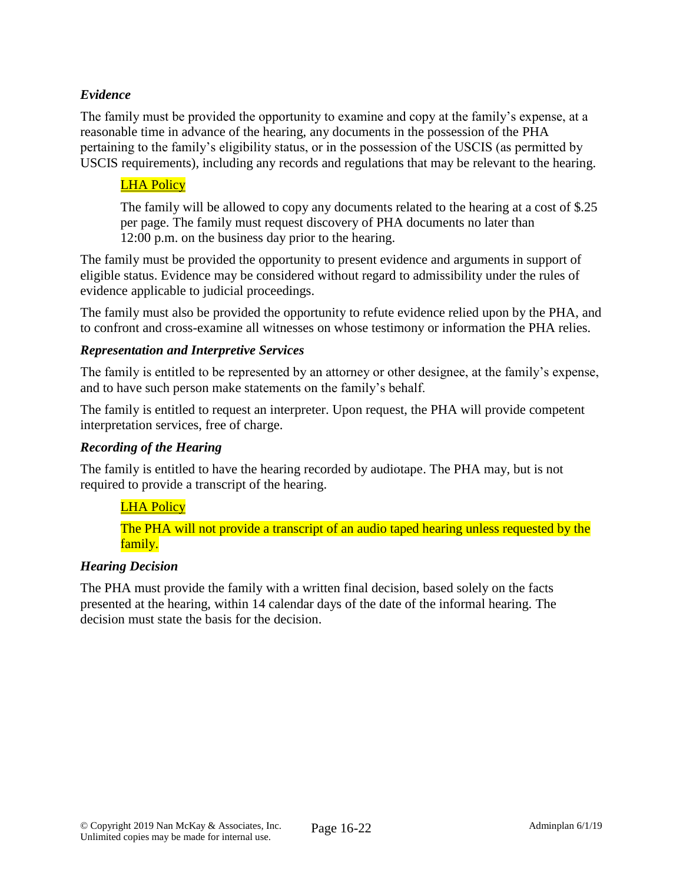## *Evidence*

The family must be provided the opportunity to examine and copy at the family's expense, at a reasonable time in advance of the hearing, any documents in the possession of the PHA pertaining to the family's eligibility status, or in the possession of the USCIS (as permitted by USCIS requirements), including any records and regulations that may be relevant to the hearing.

# LHA Policy

The family will be allowed to copy any documents related to the hearing at a cost of \$.25 per page. The family must request discovery of PHA documents no later than 12:00 p.m. on the business day prior to the hearing.

The family must be provided the opportunity to present evidence and arguments in support of eligible status. Evidence may be considered without regard to admissibility under the rules of evidence applicable to judicial proceedings.

The family must also be provided the opportunity to refute evidence relied upon by the PHA, and to confront and cross-examine all witnesses on whose testimony or information the PHA relies.

### *Representation and Interpretive Services*

The family is entitled to be represented by an attorney or other designee, at the family's expense, and to have such person make statements on the family's behalf.

The family is entitled to request an interpreter. Upon request, the PHA will provide competent interpretation services, free of charge.

### *Recording of the Hearing*

The family is entitled to have the hearing recorded by audiotape. The PHA may, but is not required to provide a transcript of the hearing.

### LHA Policy

The PHA will not provide a transcript of an audio taped hearing unless requested by the family.

### *Hearing Decision*

The PHA must provide the family with a written final decision, based solely on the facts presented at the hearing, within 14 calendar days of the date of the informal hearing. The decision must state the basis for the decision.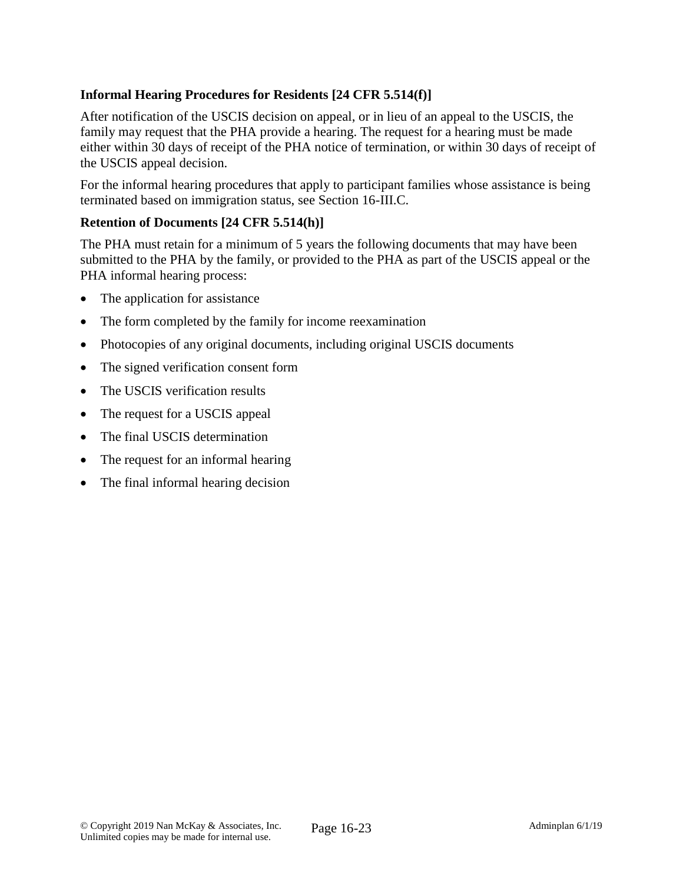# **Informal Hearing Procedures for Residents [24 CFR 5.514(f)]**

After notification of the USCIS decision on appeal, or in lieu of an appeal to the USCIS, the family may request that the PHA provide a hearing. The request for a hearing must be made either within 30 days of receipt of the PHA notice of termination, or within 30 days of receipt of the USCIS appeal decision.

For the informal hearing procedures that apply to participant families whose assistance is being terminated based on immigration status, see Section 16-III.C.

### **Retention of Documents [24 CFR 5.514(h)]**

The PHA must retain for a minimum of 5 years the following documents that may have been submitted to the PHA by the family, or provided to the PHA as part of the USCIS appeal or the PHA informal hearing process:

- The application for assistance
- The form completed by the family for income reexamination
- Photocopies of any original documents, including original USCIS documents
- The signed verification consent form
- The USCIS verification results
- The request for a USCIS appeal
- The final USCIS determination
- The request for an informal hearing
- The final informal hearing decision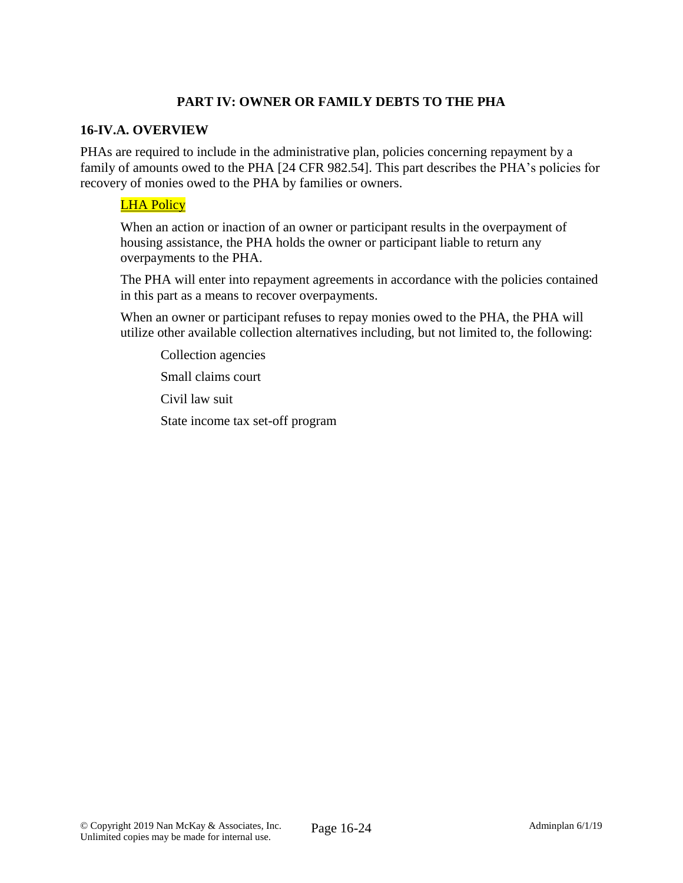# **PART IV: OWNER OR FAMILY DEBTS TO THE PHA**

### **16-IV.A. OVERVIEW**

PHAs are required to include in the administrative plan, policies concerning repayment by a family of amounts owed to the PHA [24 CFR 982.54]. This part describes the PHA's policies for recovery of monies owed to the PHA by families or owners.

### **LHA Policy**

When an action or inaction of an owner or participant results in the overpayment of housing assistance, the PHA holds the owner or participant liable to return any overpayments to the PHA.

The PHA will enter into repayment agreements in accordance with the policies contained in this part as a means to recover overpayments.

When an owner or participant refuses to repay monies owed to the PHA, the PHA will utilize other available collection alternatives including, but not limited to, the following:

Collection agencies

Small claims court

Civil law suit

State income tax set-off program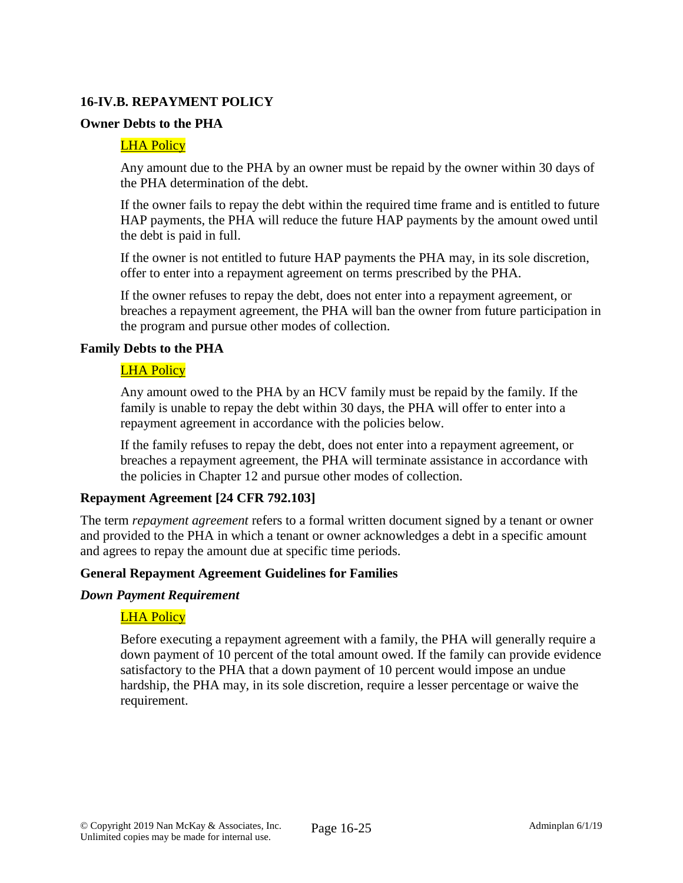### **16-IV.B. REPAYMENT POLICY**

### **Owner Debts to the PHA**

#### LHA Policy

Any amount due to the PHA by an owner must be repaid by the owner within 30 days of the PHA determination of the debt.

If the owner fails to repay the debt within the required time frame and is entitled to future HAP payments, the PHA will reduce the future HAP payments by the amount owed until the debt is paid in full.

If the owner is not entitled to future HAP payments the PHA may, in its sole discretion, offer to enter into a repayment agreement on terms prescribed by the PHA.

If the owner refuses to repay the debt, does not enter into a repayment agreement, or breaches a repayment agreement, the PHA will ban the owner from future participation in the program and pursue other modes of collection.

#### **Family Debts to the PHA**

#### LHA Policy

Any amount owed to the PHA by an HCV family must be repaid by the family. If the family is unable to repay the debt within 30 days, the PHA will offer to enter into a repayment agreement in accordance with the policies below.

If the family refuses to repay the debt, does not enter into a repayment agreement, or breaches a repayment agreement, the PHA will terminate assistance in accordance with the policies in Chapter 12 and pursue other modes of collection.

#### **Repayment Agreement [24 CFR 792.103]**

The term *repayment agreement* refers to a formal written document signed by a tenant or owner and provided to the PHA in which a tenant or owner acknowledges a debt in a specific amount and agrees to repay the amount due at specific time periods.

#### **General Repayment Agreement Guidelines for Families**

#### *Down Payment Requirement*

#### LHA Policy

Before executing a repayment agreement with a family, the PHA will generally require a down payment of 10 percent of the total amount owed. If the family can provide evidence satisfactory to the PHA that a down payment of 10 percent would impose an undue hardship, the PHA may, in its sole discretion, require a lesser percentage or waive the requirement.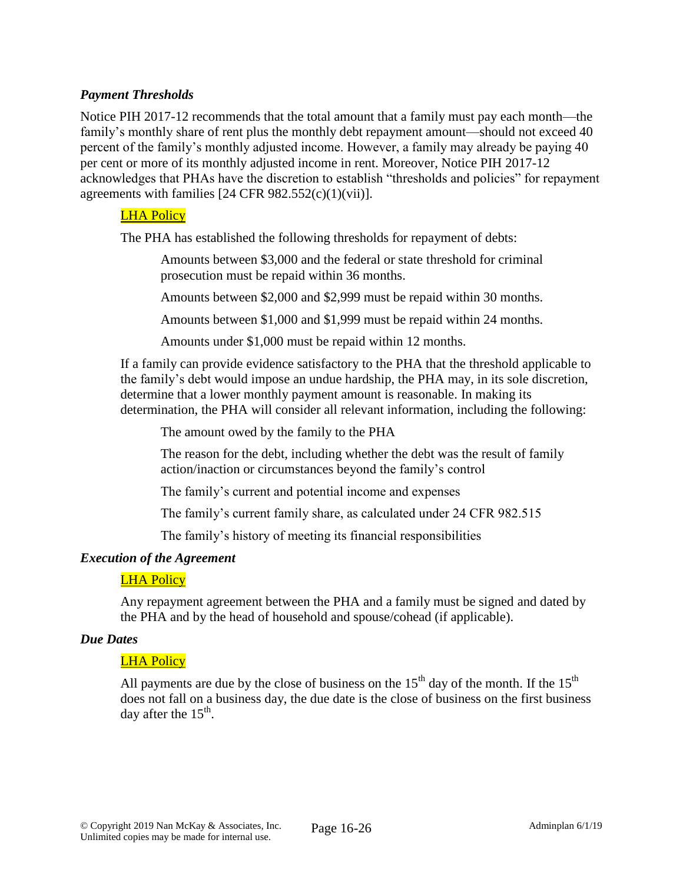### *Payment Thresholds*

Notice PIH 2017-12 recommends that the total amount that a family must pay each month—the family's monthly share of rent plus the monthly debt repayment amount—should not exceed 40 percent of the family's monthly adjusted income. However, a family may already be paying 40 per cent or more of its monthly adjusted income in rent. Moreover, Notice PIH 2017-12 acknowledges that PHAs have the discretion to establish "thresholds and policies" for repayment agreements with families  $[24 \text{ CFR } 982.552(c)(1)(vii)].$ 

### LHA Policy

The PHA has established the following thresholds for repayment of debts:

Amounts between \$3,000 and the federal or state threshold for criminal prosecution must be repaid within 36 months.

Amounts between \$2,000 and \$2,999 must be repaid within 30 months.

Amounts between \$1,000 and \$1,999 must be repaid within 24 months.

Amounts under \$1,000 must be repaid within 12 months.

If a family can provide evidence satisfactory to the PHA that the threshold applicable to the family's debt would impose an undue hardship, the PHA may, in its sole discretion, determine that a lower monthly payment amount is reasonable. In making its determination, the PHA will consider all relevant information, including the following:

The amount owed by the family to the PHA

The reason for the debt, including whether the debt was the result of family action/inaction or circumstances beyond the family's control

The family's current and potential income and expenses

The family's current family share, as calculated under 24 CFR 982.515

The family's history of meeting its financial responsibilities

#### *Execution of the Agreement*

#### LHA Policy

Any repayment agreement between the PHA and a family must be signed and dated by the PHA and by the head of household and spouse/cohead (if applicable).

#### *Due Dates*

#### LHA Policy

All payments are due by the close of business on the  $15<sup>th</sup>$  day of the month. If the  $15<sup>th</sup>$ does not fall on a business day, the due date is the close of business on the first business day after the  $15^{\text{th}}$ .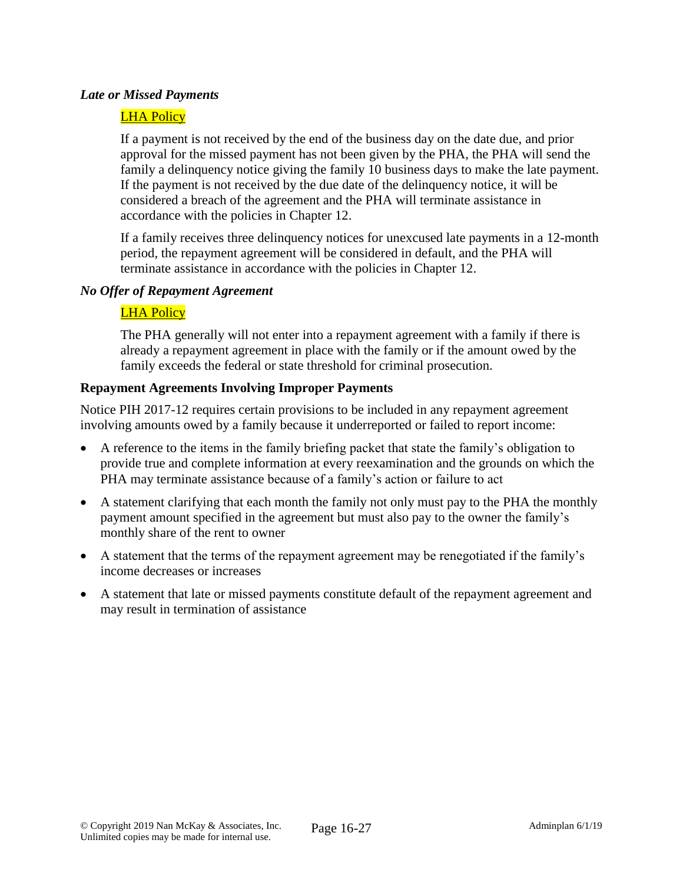### *Late or Missed Payments*

### LHA Policy

If a payment is not received by the end of the business day on the date due, and prior approval for the missed payment has not been given by the PHA, the PHA will send the family a delinquency notice giving the family 10 business days to make the late payment. If the payment is not received by the due date of the delinquency notice, it will be considered a breach of the agreement and the PHA will terminate assistance in accordance with the policies in Chapter 12.

If a family receives three delinquency notices for unexcused late payments in a 12-month period, the repayment agreement will be considered in default, and the PHA will terminate assistance in accordance with the policies in Chapter 12.

### *No Offer of Repayment Agreement*

# LHA Policy

The PHA generally will not enter into a repayment agreement with a family if there is already a repayment agreement in place with the family or if the amount owed by the family exceeds the federal or state threshold for criminal prosecution.

### **Repayment Agreements Involving Improper Payments**

Notice PIH 2017-12 requires certain provisions to be included in any repayment agreement involving amounts owed by a family because it underreported or failed to report income:

- A reference to the items in the family briefing packet that state the family's obligation to provide true and complete information at every reexamination and the grounds on which the PHA may terminate assistance because of a family's action or failure to act
- A statement clarifying that each month the family not only must pay to the PHA the monthly payment amount specified in the agreement but must also pay to the owner the family's monthly share of the rent to owner
- A statement that the terms of the repayment agreement may be renegotiated if the family's income decreases or increases
- A statement that late or missed payments constitute default of the repayment agreement and may result in termination of assistance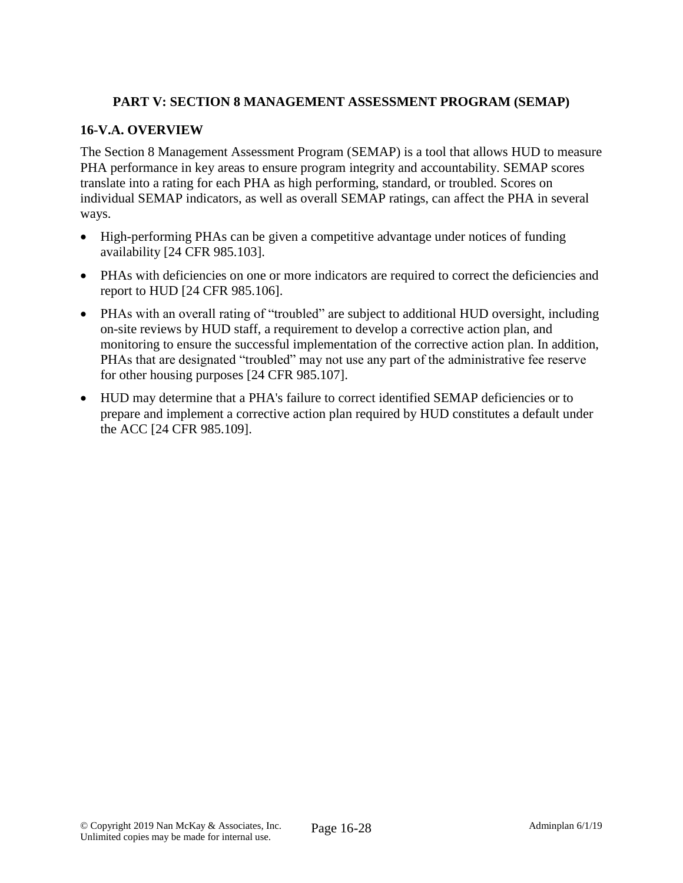# **PART V: SECTION 8 MANAGEMENT ASSESSMENT PROGRAM (SEMAP)**

### **16-V.A. OVERVIEW**

The Section 8 Management Assessment Program (SEMAP) is a tool that allows HUD to measure PHA performance in key areas to ensure program integrity and accountability. SEMAP scores translate into a rating for each PHA as high performing, standard, or troubled. Scores on individual SEMAP indicators, as well as overall SEMAP ratings, can affect the PHA in several ways.

- High-performing PHAs can be given a competitive advantage under notices of funding availability [24 CFR 985.103].
- PHAs with deficiencies on one or more indicators are required to correct the deficiencies and report to HUD [24 CFR 985.106].
- PHAs with an overall rating of "troubled" are subject to additional HUD oversight, including on-site reviews by HUD staff, a requirement to develop a corrective action plan, and monitoring to ensure the successful implementation of the corrective action plan. In addition, PHAs that are designated "troubled" may not use any part of the administrative fee reserve for other housing purposes [24 CFR 985.107].
- HUD may determine that a PHA's failure to correct identified SEMAP deficiencies or to prepare and implement a corrective action plan required by HUD constitutes a default under the ACC [24 CFR 985.109].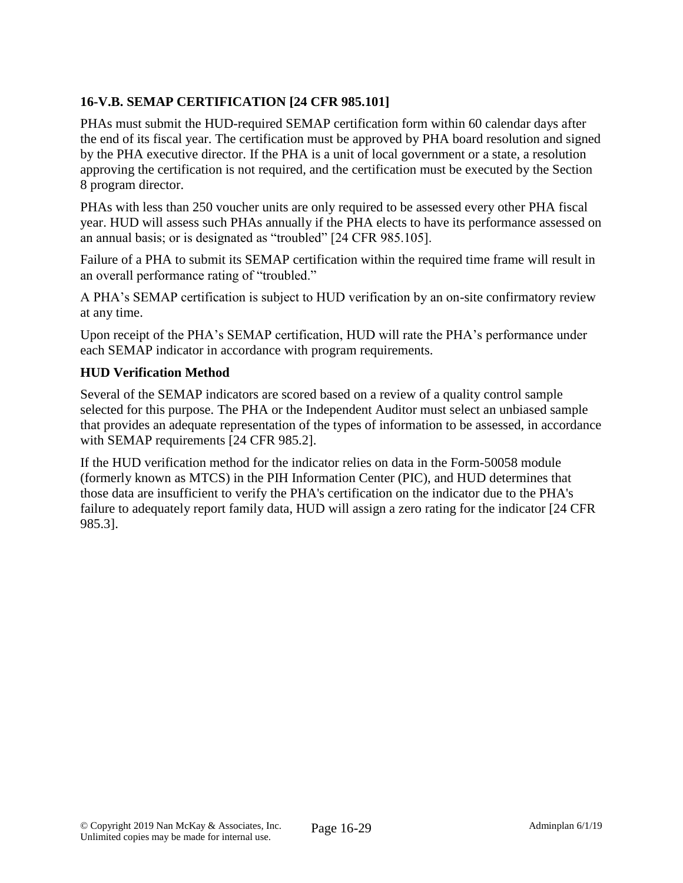# **16-V.B. SEMAP CERTIFICATION [24 CFR 985.101]**

PHAs must submit the HUD-required SEMAP certification form within 60 calendar days after the end of its fiscal year. The certification must be approved by PHA board resolution and signed by the PHA executive director. If the PHA is a unit of local government or a state, a resolution approving the certification is not required, and the certification must be executed by the Section 8 program director.

PHAs with less than 250 voucher units are only required to be assessed every other PHA fiscal year. HUD will assess such PHAs annually if the PHA elects to have its performance assessed on an annual basis; or is designated as "troubled" [24 CFR 985.105].

Failure of a PHA to submit its SEMAP certification within the required time frame will result in an overall performance rating of "troubled."

A PHA's SEMAP certification is subject to HUD verification by an on-site confirmatory review at any time.

Upon receipt of the PHA's SEMAP certification, HUD will rate the PHA's performance under each SEMAP indicator in accordance with program requirements.

# **HUD Verification Method**

Several of the SEMAP indicators are scored based on a review of a quality control sample selected for this purpose. The PHA or the Independent Auditor must select an unbiased sample that provides an adequate representation of the types of information to be assessed, in accordance with SEMAP requirements [24 CFR 985.2].

If the HUD verification method for the indicator relies on data in the Form-50058 module (formerly known as MTCS) in the PIH Information Center (PIC), and HUD determines that those data are insufficient to verify the PHA's certification on the indicator due to the PHA's failure to adequately report family data, HUD will assign a zero rating for the indicator [24 CFR 985.3].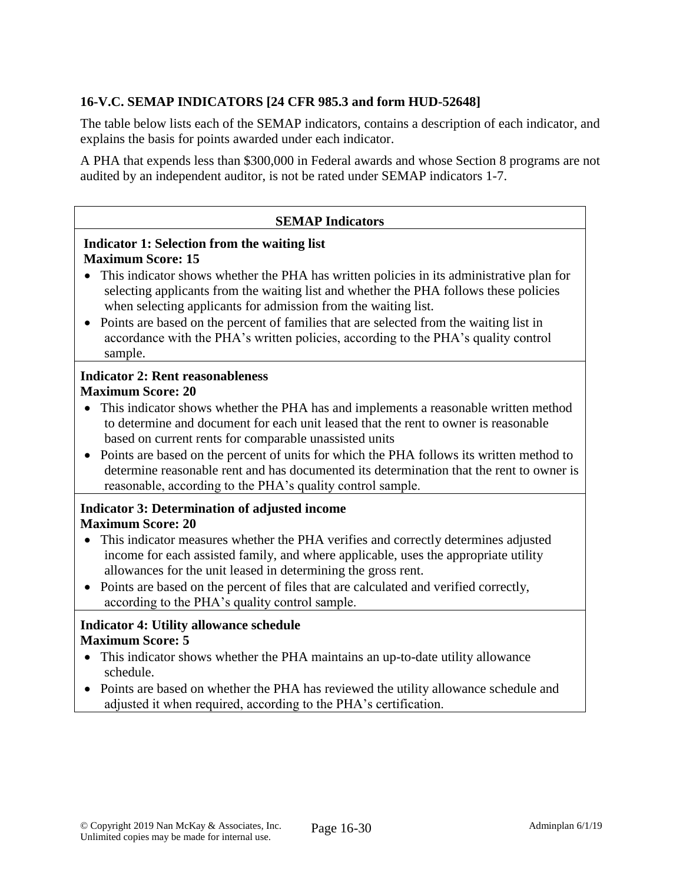# **16-V.C. SEMAP INDICATORS [24 CFR 985.3 and form HUD-52648]**

The table below lists each of the SEMAP indicators, contains a description of each indicator, and explains the basis for points awarded under each indicator.

A PHA that expends less than \$300,000 in Federal awards and whose Section 8 programs are not audited by an independent auditor, is not be rated under SEMAP indicators 1-7.

#### **SEMAP Indicators**

### **Indicator 1: Selection from the waiting list Maximum Score: 15**

- This indicator shows whether the PHA has written policies in its administrative plan for selecting applicants from the waiting list and whether the PHA follows these policies when selecting applicants for admission from the waiting list.
- Points are based on the percent of families that are selected from the waiting list in accordance with the PHA's written policies, according to the PHA's quality control sample.

#### **Indicator 2: Rent reasonableness Maximum Score: 20**

- This indicator shows whether the PHA has and implements a reasonable written method to determine and document for each unit leased that the rent to owner is reasonable based on current rents for comparable unassisted units
- Points are based on the percent of units for which the PHA follows its written method to determine reasonable rent and has documented its determination that the rent to owner is reasonable, according to the PHA's quality control sample.

# **Indicator 3: Determination of adjusted income Maximum Score: 20**

- This indicator measures whether the PHA verifies and correctly determines adjusted income for each assisted family, and where applicable, uses the appropriate utility allowances for the unit leased in determining the gross rent.
- Points are based on the percent of files that are calculated and verified correctly, according to the PHA's quality control sample.

### **Indicator 4: Utility allowance schedule Maximum Score: 5**

- This indicator shows whether the PHA maintains an up-to-date utility allowance schedule.
- Points are based on whether the PHA has reviewed the utility allowance schedule and adjusted it when required, according to the PHA's certification.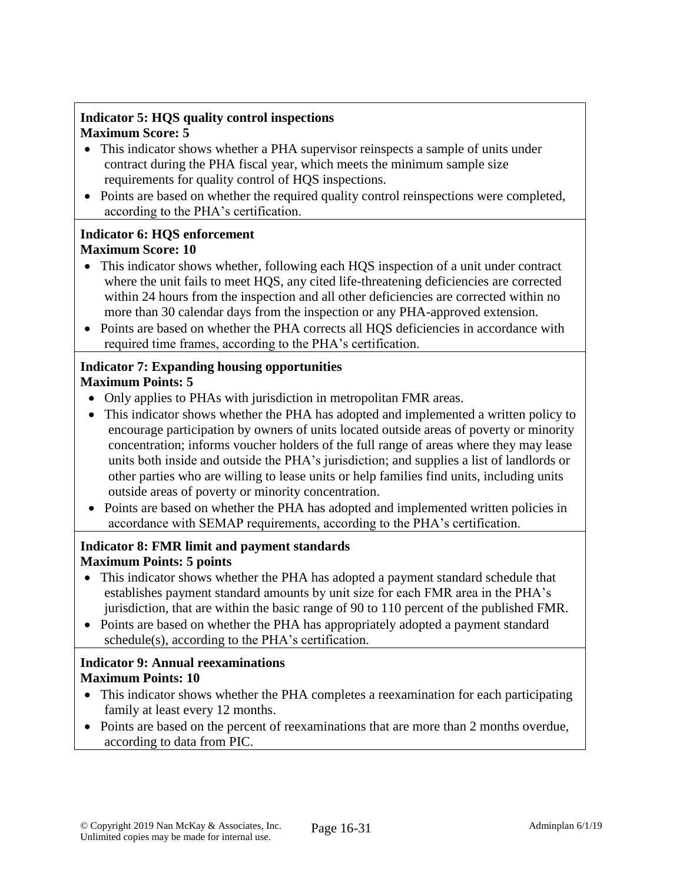## **Indicator 5: HQS quality control inspections Maximum Score: 5**

- This indicator shows whether a PHA supervisor reinspects a sample of units under contract during the PHA fiscal year, which meets the minimum sample size requirements for quality control of HQS inspections.
- Points are based on whether the required quality control reinspections were completed, according to the PHA's certification.

### **Indicator 6: HQS enforcement Maximum Score: 10**

- This indicator shows whether, following each HQS inspection of a unit under contract where the unit fails to meet HQS, any cited life-threatening deficiencies are corrected within 24 hours from the inspection and all other deficiencies are corrected within no more than 30 calendar days from the inspection or any PHA-approved extension.
- Points are based on whether the PHA corrects all HQS deficiencies in accordance with required time frames, according to the PHA's certification.

#### **Indicator 7: Expanding housing opportunities Maximum Points: 5**

- Only applies to PHAs with jurisdiction in metropolitan FMR areas.
- This indicator shows whether the PHA has adopted and implemented a written policy to encourage participation by owners of units located outside areas of poverty or minority concentration; informs voucher holders of the full range of areas where they may lease units both inside and outside the PHA's jurisdiction; and supplies a list of landlords or other parties who are willing to lease units or help families find units, including units outside areas of poverty or minority concentration.
- Points are based on whether the PHA has adopted and implemented written policies in accordance with SEMAP requirements, according to the PHA's certification.

# **Indicator 8: FMR limit and payment standards Maximum Points: 5 points**

- This indicator shows whether the PHA has adopted a payment standard schedule that establishes payment standard amounts by unit size for each FMR area in the PHA's jurisdiction, that are within the basic range of 90 to 110 percent of the published FMR.
- Points are based on whether the PHA has appropriately adopted a payment standard schedule(s), according to the PHA's certification.

# **Indicator 9: Annual reexaminations Maximum Points: 10**

- This indicator shows whether the PHA completes a reexamination for each participating family at least every 12 months.
- Points are based on the percent of reexaminations that are more than 2 months overdue, according to data from PIC.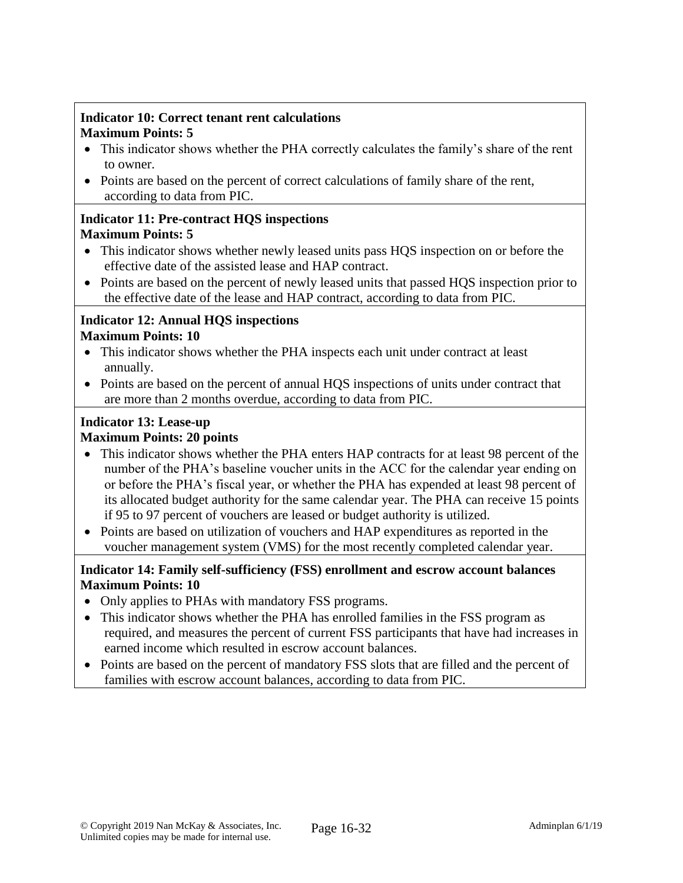### **Indicator 10: Correct tenant rent calculations Maximum Points: 5**

- This indicator shows whether the PHA correctly calculates the family's share of the rent to owner.
- Points are based on the percent of correct calculations of family share of the rent, according to data from PIC.

#### **Indicator 11: Pre-contract HQS inspections Maximum Points: 5**

- This indicator shows whether newly leased units pass HQS inspection on or before the effective date of the assisted lease and HAP contract.
- Points are based on the percent of newly leased units that passed HQS inspection prior to the effective date of the lease and HAP contract, according to data from PIC.

### **Indicator 12: Annual HQS inspections Maximum Points: 10**

- This indicator shows whether the PHA inspects each unit under contract at least annually.
- Points are based on the percent of annual HQS inspections of units under contract that are more than 2 months overdue, according to data from PIC.

#### **Indicator 13: Lease-up Maximum Points: 20 points**

- This indicator shows whether the PHA enters HAP contracts for at least 98 percent of the number of the PHA's baseline voucher units in the ACC for the calendar year ending on or before the PHA's fiscal year, or whether the PHA has expended at least 98 percent of its allocated budget authority for the same calendar year. The PHA can receive 15 points if 95 to 97 percent of vouchers are leased or budget authority is utilized.
- Points are based on utilization of vouchers and HAP expenditures as reported in the voucher management system (VMS) for the most recently completed calendar year.

# **Indicator 14: Family self-sufficiency (FSS) enrollment and escrow account balances Maximum Points: 10**

- Only applies to PHAs with mandatory FSS programs.
- This indicator shows whether the PHA has enrolled families in the FSS program as required, and measures the percent of current FSS participants that have had increases in earned income which resulted in escrow account balances.
- Points are based on the percent of mandatory FSS slots that are filled and the percent of families with escrow account balances, according to data from PIC.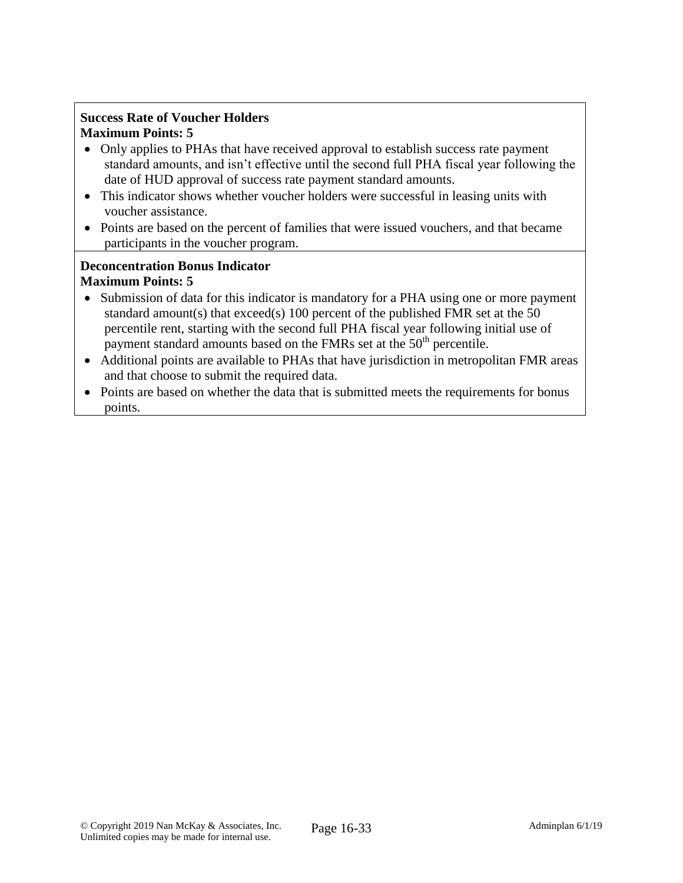### **Success Rate of Voucher Holders Maximum Points: 5**

- Only applies to PHAs that have received approval to establish success rate payment standard amounts, and isn't effective until the second full PHA fiscal year following the date of HUD approval of success rate payment standard amounts.
- This indicator shows whether voucher holders were successful in leasing units with voucher assistance.
- Points are based on the percent of families that were issued vouchers, and that became participants in the voucher program.

### **Deconcentration Bonus Indicator Maximum Points: 5**

- Submission of data for this indicator is mandatory for a PHA using one or more payment standard amount(s) that exceed(s) 100 percent of the published FMR set at the 50 percentile rent, starting with the second full PHA fiscal year following initial use of payment standard amounts based on the FMRs set at the 50<sup>th</sup> percentile.
- Additional points are available to PHAs that have jurisdiction in metropolitan FMR areas and that choose to submit the required data.
- Points are based on whether the data that is submitted meets the requirements for bonus points.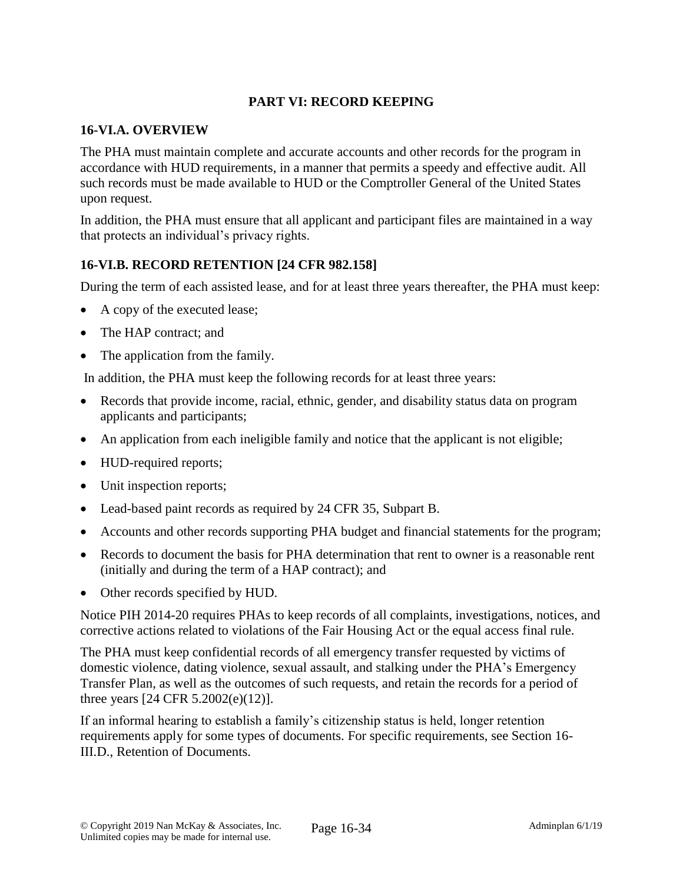# **PART VI: RECORD KEEPING**

#### **16-VI.A. OVERVIEW**

The PHA must maintain complete and accurate accounts and other records for the program in accordance with HUD requirements, in a manner that permits a speedy and effective audit. All such records must be made available to HUD or the Comptroller General of the United States upon request.

In addition, the PHA must ensure that all applicant and participant files are maintained in a way that protects an individual's privacy rights.

### **16-VI.B. RECORD RETENTION [24 CFR 982.158]**

During the term of each assisted lease, and for at least three years thereafter, the PHA must keep:

- A copy of the executed lease;
- The HAP contract; and
- The application from the family.

In addition, the PHA must keep the following records for at least three years:

- Records that provide income, racial, ethnic, gender, and disability status data on program applicants and participants;
- An application from each ineligible family and notice that the applicant is not eligible;
- HUD-required reports;
- Unit inspection reports;
- Lead-based paint records as required by 24 CFR 35, Subpart B.
- Accounts and other records supporting PHA budget and financial statements for the program;
- Records to document the basis for PHA determination that rent to owner is a reasonable rent (initially and during the term of a HAP contract); and
- Other records specified by HUD.

Notice PIH 2014-20 requires PHAs to keep records of all complaints, investigations, notices, and corrective actions related to violations of the Fair Housing Act or the equal access final rule.

The PHA must keep confidential records of all emergency transfer requested by victims of domestic violence, dating violence, sexual assault, and stalking under the PHA's Emergency Transfer Plan, as well as the outcomes of such requests, and retain the records for a period of three years [24 CFR 5.2002(e)(12)].

If an informal hearing to establish a family's citizenship status is held, longer retention requirements apply for some types of documents. For specific requirements, see Section 16- III.D., Retention of Documents.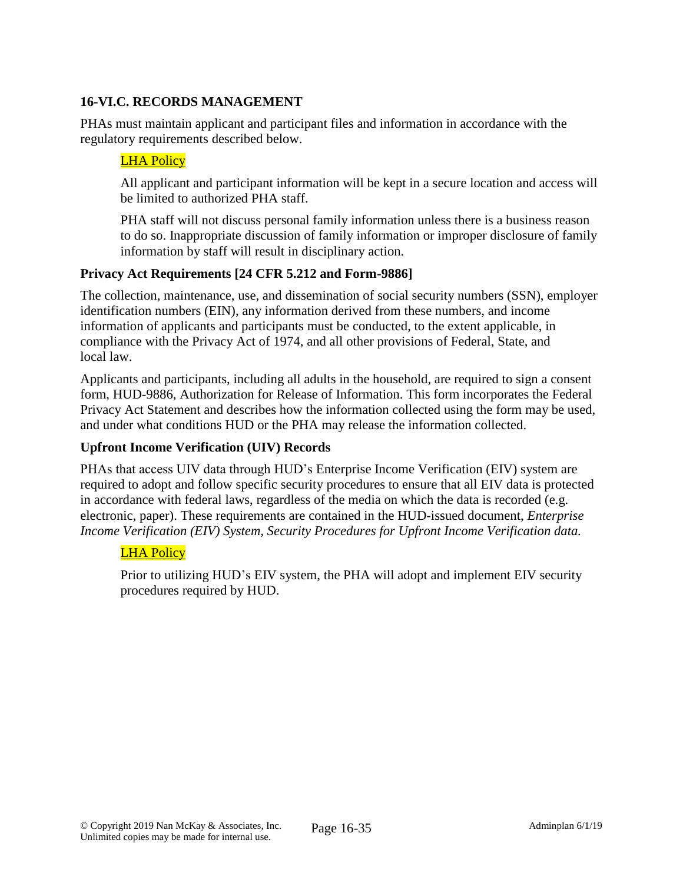# **16-VI.C. RECORDS MANAGEMENT**

PHAs must maintain applicant and participant files and information in accordance with the regulatory requirements described below.

# LHA Policy

All applicant and participant information will be kept in a secure location and access will be limited to authorized PHA staff.

PHA staff will not discuss personal family information unless there is a business reason to do so. Inappropriate discussion of family information or improper disclosure of family information by staff will result in disciplinary action.

### **Privacy Act Requirements [24 CFR 5.212 and Form-9886]**

The collection, maintenance, use, and dissemination of social security numbers (SSN), employer identification numbers (EIN), any information derived from these numbers, and income information of applicants and participants must be conducted, to the extent applicable, in compliance with the Privacy Act of 1974, and all other provisions of Federal, State, and local law.

Applicants and participants, including all adults in the household, are required to sign a consent form, HUD-9886, Authorization for Release of Information. This form incorporates the Federal Privacy Act Statement and describes how the information collected using the form may be used, and under what conditions HUD or the PHA may release the information collected.

### **Upfront Income Verification (UIV) Records**

PHAs that access UIV data through HUD's Enterprise Income Verification (EIV) system are required to adopt and follow specific security procedures to ensure that all EIV data is protected in accordance with federal laws, regardless of the media on which the data is recorded (e.g. electronic, paper). These requirements are contained in the HUD-issued document, *Enterprise Income Verification (EIV) System, Security Procedures for Upfront Income Verification data.*

### LHA Policy

Prior to utilizing HUD's EIV system, the PHA will adopt and implement EIV security procedures required by HUD.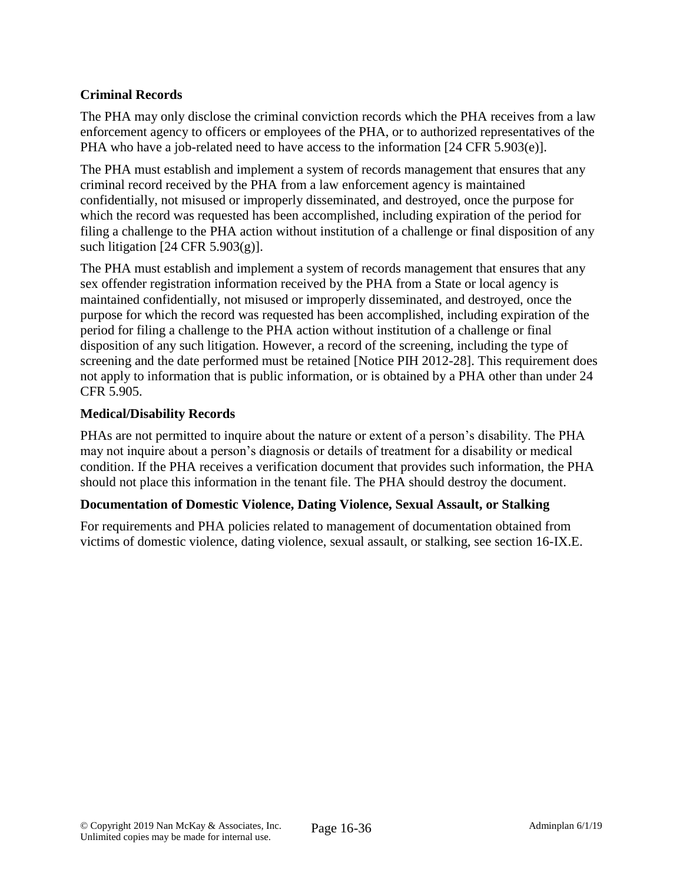# **Criminal Records**

The PHA may only disclose the criminal conviction records which the PHA receives from a law enforcement agency to officers or employees of the PHA, or to authorized representatives of the PHA who have a job-related need to have access to the information [24 CFR 5.903(e)].

The PHA must establish and implement a system of records management that ensures that any criminal record received by the PHA from a law enforcement agency is maintained confidentially, not misused or improperly disseminated, and destroyed, once the purpose for which the record was requested has been accomplished, including expiration of the period for filing a challenge to the PHA action without institution of a challenge or final disposition of any such litigation  $[24 \text{ CFR } 5.903(g)]$ .

The PHA must establish and implement a system of records management that ensures that any sex offender registration information received by the PHA from a State or local agency is maintained confidentially, not misused or improperly disseminated, and destroyed, once the purpose for which the record was requested has been accomplished, including expiration of the period for filing a challenge to the PHA action without institution of a challenge or final disposition of any such litigation. However, a record of the screening, including the type of screening and the date performed must be retained [Notice PIH 2012-28]. This requirement does not apply to information that is public information, or is obtained by a PHA other than under 24 CFR 5.905.

### **Medical/Disability Records**

PHAs are not permitted to inquire about the nature or extent of a person's disability. The PHA may not inquire about a person's diagnosis or details of treatment for a disability or medical condition. If the PHA receives a verification document that provides such information, the PHA should not place this information in the tenant file. The PHA should destroy the document.

### **Documentation of Domestic Violence, Dating Violence, Sexual Assault, or Stalking**

For requirements and PHA policies related to management of documentation obtained from victims of domestic violence, dating violence, sexual assault, or stalking, see section 16-IX.E.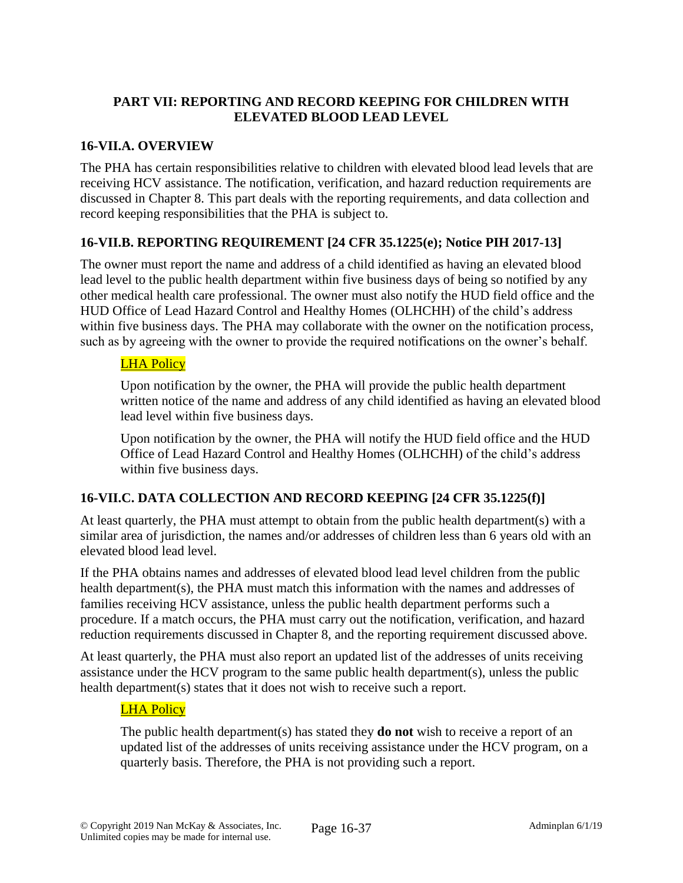## **PART VII: REPORTING AND RECORD KEEPING FOR CHILDREN WITH ELEVATED BLOOD LEAD LEVEL**

### **16-VII.A. OVERVIEW**

The PHA has certain responsibilities relative to children with elevated blood lead levels that are receiving HCV assistance. The notification, verification, and hazard reduction requirements are discussed in Chapter 8. This part deals with the reporting requirements, and data collection and record keeping responsibilities that the PHA is subject to.

### **16-VII.B. REPORTING REQUIREMENT [24 CFR 35.1225(e); Notice PIH 2017-13]**

The owner must report the name and address of a child identified as having an elevated blood lead level to the public health department within five business days of being so notified by any other medical health care professional. The owner must also notify the HUD field office and the HUD Office of Lead Hazard Control and Healthy Homes (OLHCHH) of the child's address within five business days. The PHA may collaborate with the owner on the notification process, such as by agreeing with the owner to provide the required notifications on the owner's behalf.

### LHA Policy

Upon notification by the owner, the PHA will provide the public health department written notice of the name and address of any child identified as having an elevated blood lead level within five business days.

Upon notification by the owner, the PHA will notify the HUD field office and the HUD Office of Lead Hazard Control and Healthy Homes (OLHCHH) of the child's address within five business days.

### **16-VII.C. DATA COLLECTION AND RECORD KEEPING [24 CFR 35.1225(f)]**

At least quarterly, the PHA must attempt to obtain from the public health department(s) with a similar area of jurisdiction, the names and/or addresses of children less than 6 years old with an elevated blood lead level.

If the PHA obtains names and addresses of elevated blood lead level children from the public health department(s), the PHA must match this information with the names and addresses of families receiving HCV assistance, unless the public health department performs such a procedure. If a match occurs, the PHA must carry out the notification, verification, and hazard reduction requirements discussed in Chapter 8, and the reporting requirement discussed above.

At least quarterly, the PHA must also report an updated list of the addresses of units receiving assistance under the HCV program to the same public health department(s), unless the public health department(s) states that it does not wish to receive such a report.

### LHA Policy

The public health department(s) has stated they **do not** wish to receive a report of an updated list of the addresses of units receiving assistance under the HCV program, on a quarterly basis. Therefore, the PHA is not providing such a report.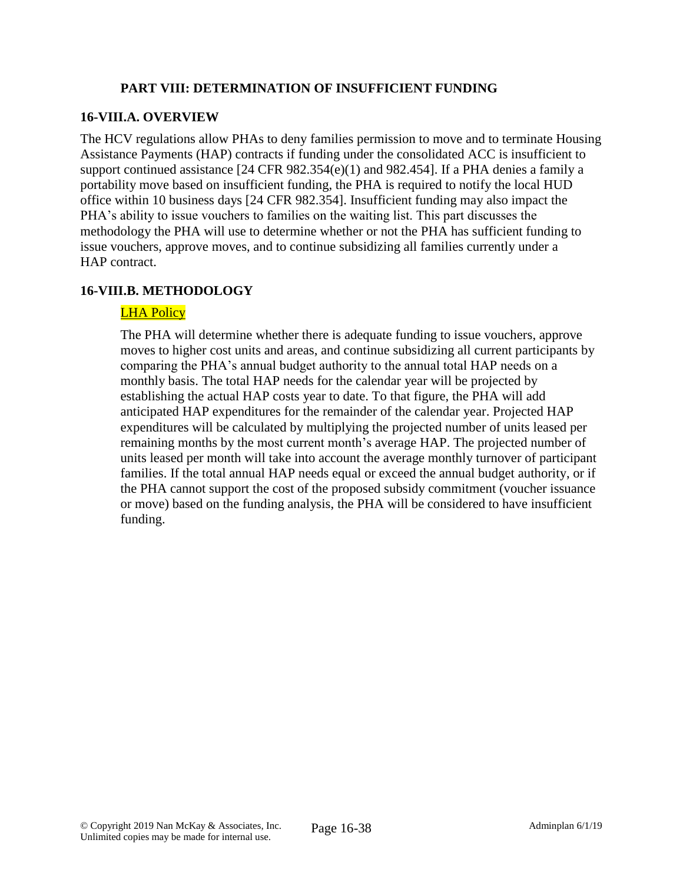### **PART VIII: DETERMINATION OF INSUFFICIENT FUNDING**

# **16-VIII.A. OVERVIEW**

The HCV regulations allow PHAs to deny families permission to move and to terminate Housing Assistance Payments (HAP) contracts if funding under the consolidated ACC is insufficient to support continued assistance  $[24 \text{ CFR } 982.354(e)(1)$  and  $982.454$ ]. If a PHA denies a family a portability move based on insufficient funding, the PHA is required to notify the local HUD office within 10 business days [24 CFR 982.354]. Insufficient funding may also impact the PHA's ability to issue vouchers to families on the waiting list. This part discusses the methodology the PHA will use to determine whether or not the PHA has sufficient funding to issue vouchers, approve moves, and to continue subsidizing all families currently under a HAP contract.

# **16-VIII.B. METHODOLOGY**

# **LHA Policy**

The PHA will determine whether there is adequate funding to issue vouchers, approve moves to higher cost units and areas, and continue subsidizing all current participants by comparing the PHA's annual budget authority to the annual total HAP needs on a monthly basis. The total HAP needs for the calendar year will be projected by establishing the actual HAP costs year to date. To that figure, the PHA will add anticipated HAP expenditures for the remainder of the calendar year. Projected HAP expenditures will be calculated by multiplying the projected number of units leased per remaining months by the most current month's average HAP. The projected number of units leased per month will take into account the average monthly turnover of participant families. If the total annual HAP needs equal or exceed the annual budget authority, or if the PHA cannot support the cost of the proposed subsidy commitment (voucher issuance or move) based on the funding analysis, the PHA will be considered to have insufficient funding.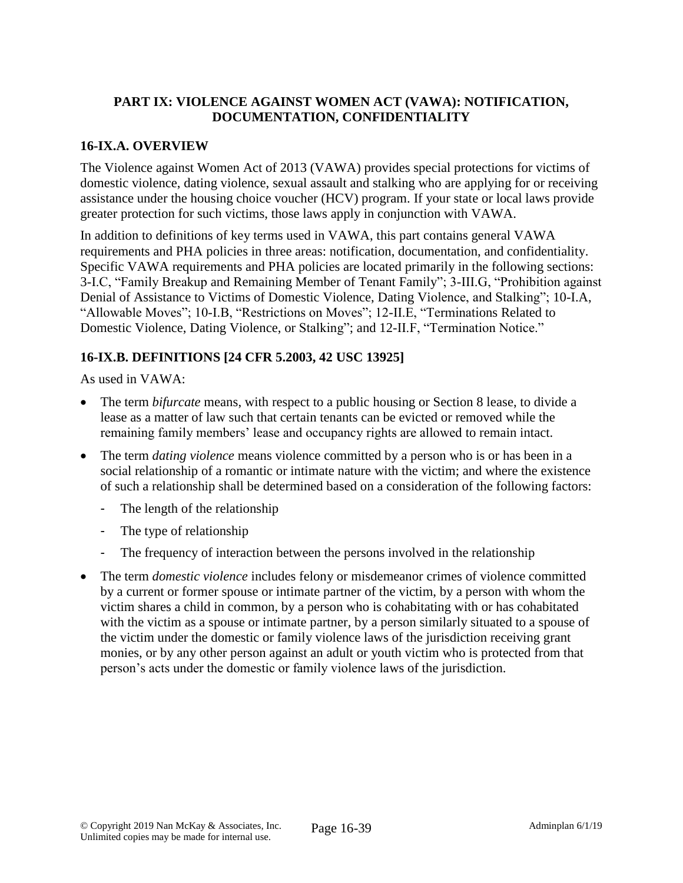### **PART IX: VIOLENCE AGAINST WOMEN ACT (VAWA): NOTIFICATION, DOCUMENTATION, CONFIDENTIALITY**

### **16-IX.A. OVERVIEW**

The Violence against Women Act of 2013 (VAWA) provides special protections for victims of domestic violence, dating violence, sexual assault and stalking who are applying for or receiving assistance under the housing choice voucher (HCV) program. If your state or local laws provide greater protection for such victims, those laws apply in conjunction with VAWA.

In addition to definitions of key terms used in VAWA, this part contains general VAWA requirements and PHA policies in three areas: notification, documentation, and confidentiality. Specific VAWA requirements and PHA policies are located primarily in the following sections: 3-I.C, "Family Breakup and Remaining Member of Tenant Family"; 3-III.G, "Prohibition against Denial of Assistance to Victims of Domestic Violence, Dating Violence, and Stalking"; 10-I.A, "Allowable Moves"; 10-I.B, "Restrictions on Moves"; 12-II.E, "Terminations Related to Domestic Violence, Dating Violence, or Stalking"; and 12-II.F, "Termination Notice."

# **16-IX.B. DEFINITIONS [24 CFR 5.2003, 42 USC 13925]**

As used in VAWA:

- The term *bifurcate* means, with respect to a public housing or Section 8 lease, to divide a lease as a matter of law such that certain tenants can be evicted or removed while the remaining family members' lease and occupancy rights are allowed to remain intact.
- The term *dating violence* means violence committed by a person who is or has been in a social relationship of a romantic or intimate nature with the victim; and where the existence of such a relationship shall be determined based on a consideration of the following factors:
	- The length of the relationship
	- The type of relationship
	- The frequency of interaction between the persons involved in the relationship
- The term *domestic violence* includes felony or misdemeanor crimes of violence committed by a current or former spouse or intimate partner of the victim, by a person with whom the victim shares a child in common, by a person who is cohabitating with or has cohabitated with the victim as a spouse or intimate partner, by a person similarly situated to a spouse of the victim under the domestic or family violence laws of the jurisdiction receiving grant monies, or by any other person against an adult or youth victim who is protected from that person's acts under the domestic or family violence laws of the jurisdiction.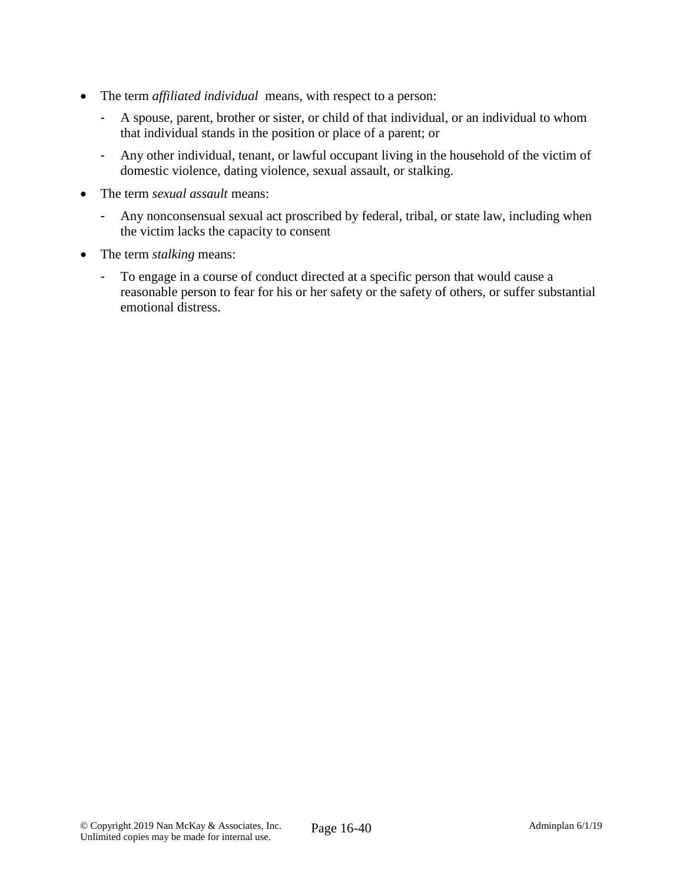- The term *affiliated individual* means, with respect to a person:
	- A spouse, parent, brother or sister, or child of that individual, or an individual to whom that individual stands in the position or place of a parent; or
	- Any other individual, tenant, or lawful occupant living in the household of the victim of domestic violence, dating violence, sexual assault, or stalking.
- The term *sexual assault* means:
	- Any nonconsensual sexual act proscribed by federal, tribal, or state law, including when the victim lacks the capacity to consent
- The term *stalking* means:
	- To engage in a course of conduct directed at a specific person that would cause a reasonable person to fear for his or her safety or the safety of others, or suffer substantial emotional distress.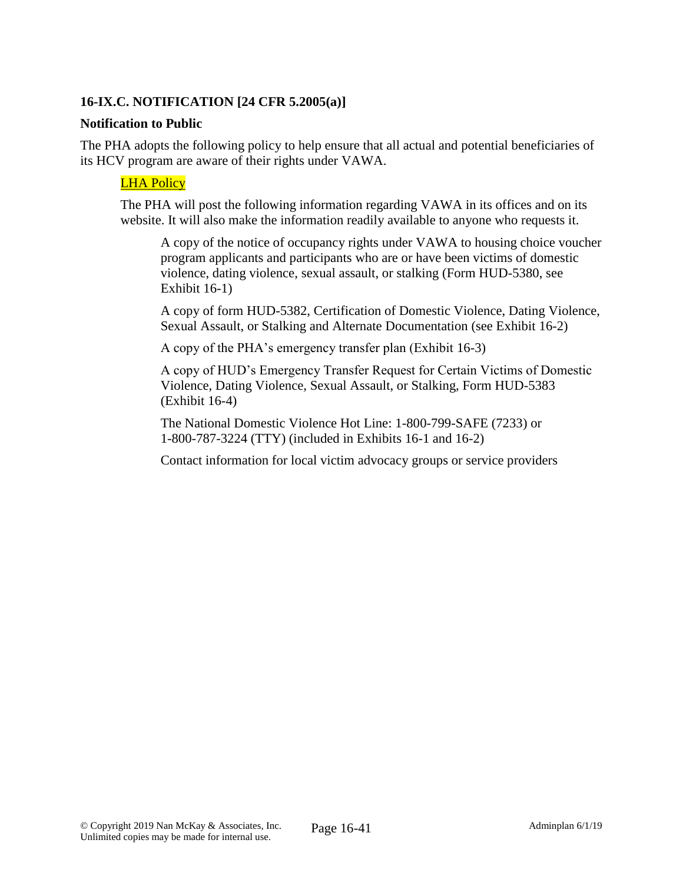### **16-IX.C. NOTIFICATION [24 CFR 5.2005(a)]**

#### **Notification to Public**

The PHA adopts the following policy to help ensure that all actual and potential beneficiaries of its HCV program are aware of their rights under VAWA.

# **LHA Policy**

The PHA will post the following information regarding VAWA in its offices and on its website. It will also make the information readily available to anyone who requests it.

A copy of the notice of occupancy rights under VAWA to housing choice voucher program applicants and participants who are or have been victims of domestic violence, dating violence, sexual assault, or stalking (Form HUD-5380, see Exhibit 16-1)

A copy of form HUD-5382, Certification of Domestic Violence, Dating Violence, Sexual Assault, or Stalking and Alternate Documentation (see Exhibit 16-2)

A copy of the PHA's emergency transfer plan (Exhibit 16-3)

A copy of HUD's Emergency Transfer Request for Certain Victims of Domestic Violence, Dating Violence, Sexual Assault, or Stalking, Form HUD-5383 (Exhibit 16-4)

The National Domestic Violence Hot Line: 1-800-799-SAFE (7233) or 1-800-787-3224 (TTY) (included in Exhibits 16-1 and 16-2)

Contact information for local victim advocacy groups or service providers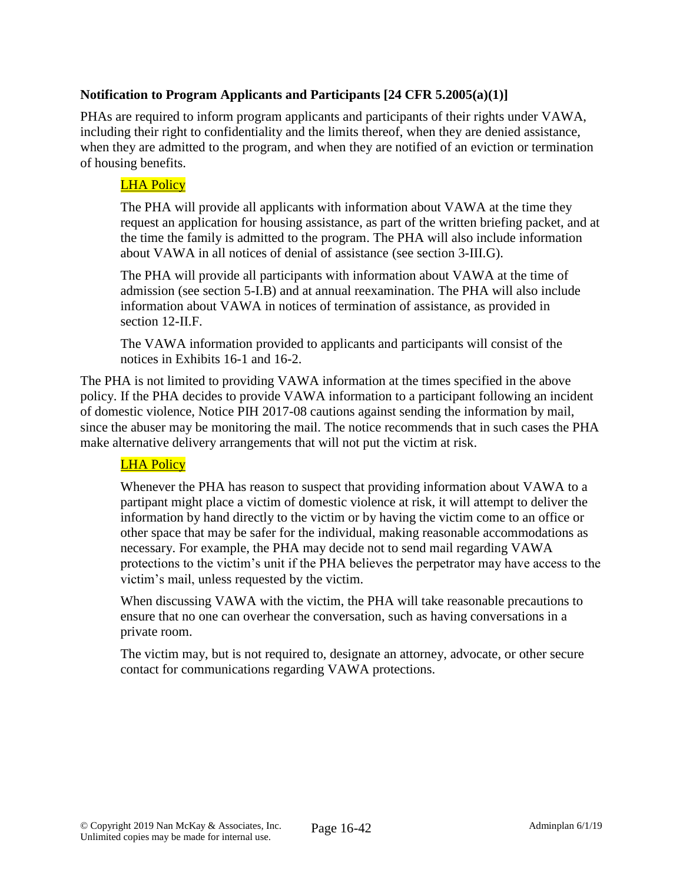## **Notification to Program Applicants and Participants [24 CFR 5.2005(a)(1)]**

PHAs are required to inform program applicants and participants of their rights under VAWA, including their right to confidentiality and the limits thereof, when they are denied assistance, when they are admitted to the program, and when they are notified of an eviction or termination of housing benefits.

### LHA Policy

The PHA will provide all applicants with information about VAWA at the time they request an application for housing assistance, as part of the written briefing packet, and at the time the family is admitted to the program. The PHA will also include information about VAWA in all notices of denial of assistance (see section 3-III.G).

The PHA will provide all participants with information about VAWA at the time of admission (see section 5-I.B) and at annual reexamination. The PHA will also include information about VAWA in notices of termination of assistance, as provided in section 12-II.F.

The VAWA information provided to applicants and participants will consist of the notices in Exhibits 16-1 and 16-2.

The PHA is not limited to providing VAWA information at the times specified in the above policy. If the PHA decides to provide VAWA information to a participant following an incident of domestic violence, Notice PIH 2017-08 cautions against sending the information by mail, since the abuser may be monitoring the mail. The notice recommends that in such cases the PHA make alternative delivery arrangements that will not put the victim at risk.

### LHA Policy

Whenever the PHA has reason to suspect that providing information about VAWA to a partipant might place a victim of domestic violence at risk, it will attempt to deliver the information by hand directly to the victim or by having the victim come to an office or other space that may be safer for the individual, making reasonable accommodations as necessary. For example, the PHA may decide not to send mail regarding VAWA protections to the victim's unit if the PHA believes the perpetrator may have access to the victim's mail, unless requested by the victim.

When discussing VAWA with the victim, the PHA will take reasonable precautions to ensure that no one can overhear the conversation, such as having conversations in a private room.

The victim may, but is not required to, designate an attorney, advocate, or other secure contact for communications regarding VAWA protections.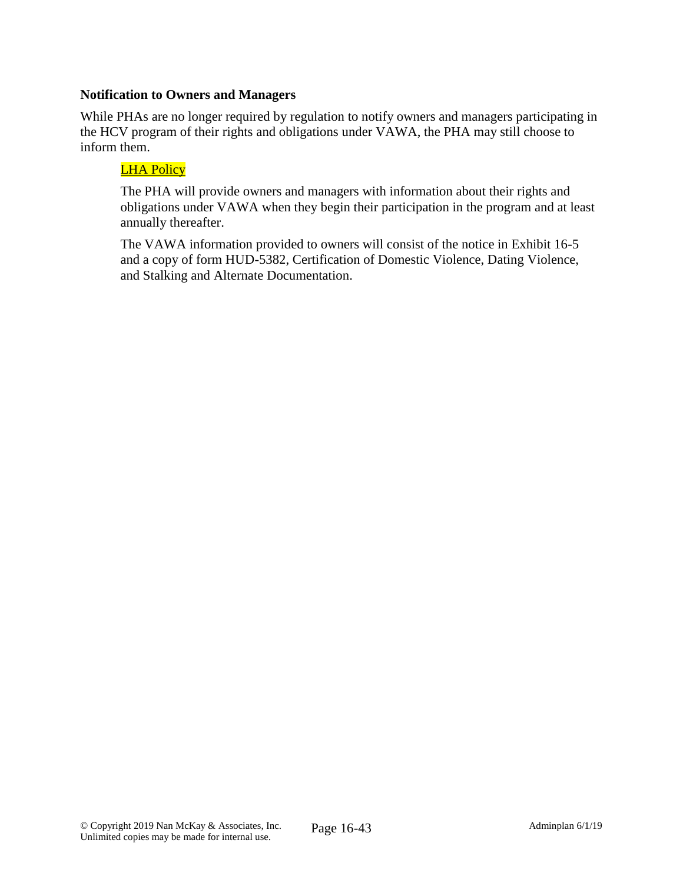### **Notification to Owners and Managers**

While PHAs are no longer required by regulation to notify owners and managers participating in the HCV program of their rights and obligations under VAWA, the PHA may still choose to inform them.

### LHA Policy

The PHA will provide owners and managers with information about their rights and obligations under VAWA when they begin their participation in the program and at least annually thereafter.

The VAWA information provided to owners will consist of the notice in Exhibit 16-5 and a copy of form HUD-5382, Certification of Domestic Violence, Dating Violence, and Stalking and Alternate Documentation.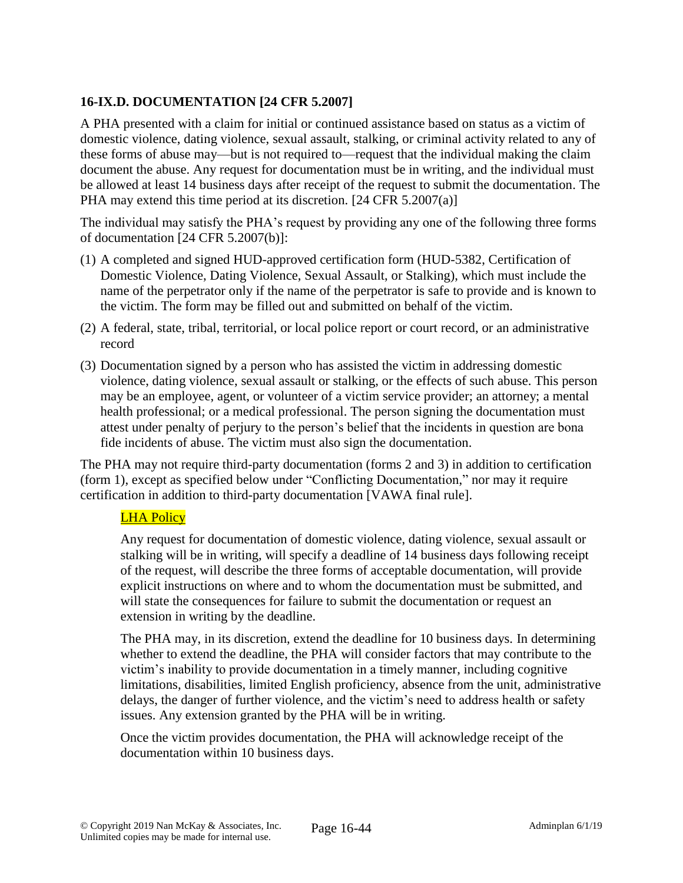# **16-IX.D. DOCUMENTATION [24 CFR 5.2007]**

A PHA presented with a claim for initial or continued assistance based on status as a victim of domestic violence, dating violence, sexual assault, stalking, or criminal activity related to any of these forms of abuse may—but is not required to—request that the individual making the claim document the abuse. Any request for documentation must be in writing, and the individual must be allowed at least 14 business days after receipt of the request to submit the documentation. The PHA may extend this time period at its discretion. [24 CFR 5.2007(a)]

The individual may satisfy the PHA's request by providing any one of the following three forms of documentation [24 CFR 5.2007(b)]:

- (1) A completed and signed HUD-approved certification form (HUD-5382, Certification of Domestic Violence, Dating Violence, Sexual Assault, or Stalking), which must include the name of the perpetrator only if the name of the perpetrator is safe to provide and is known to the victim. The form may be filled out and submitted on behalf of the victim.
- (2) A federal, state, tribal, territorial, or local police report or court record, or an administrative record
- (3) Documentation signed by a person who has assisted the victim in addressing domestic violence, dating violence, sexual assault or stalking, or the effects of such abuse. This person may be an employee, agent, or volunteer of a victim service provider; an attorney; a mental health professional; or a medical professional. The person signing the documentation must attest under penalty of perjury to the person's belief that the incidents in question are bona fide incidents of abuse. The victim must also sign the documentation.

The PHA may not require third-party documentation (forms 2 and 3) in addition to certification (form 1), except as specified below under "Conflicting Documentation," nor may it require certification in addition to third-party documentation [VAWA final rule].

### LHA Policy

Any request for documentation of domestic violence, dating violence, sexual assault or stalking will be in writing, will specify a deadline of 14 business days following receipt of the request, will describe the three forms of acceptable documentation, will provide explicit instructions on where and to whom the documentation must be submitted, and will state the consequences for failure to submit the documentation or request an extension in writing by the deadline.

The PHA may, in its discretion, extend the deadline for 10 business days. In determining whether to extend the deadline, the PHA will consider factors that may contribute to the victim's inability to provide documentation in a timely manner, including cognitive limitations, disabilities, limited English proficiency, absence from the unit, administrative delays, the danger of further violence, and the victim's need to address health or safety issues. Any extension granted by the PHA will be in writing.

Once the victim provides documentation, the PHA will acknowledge receipt of the documentation within 10 business days.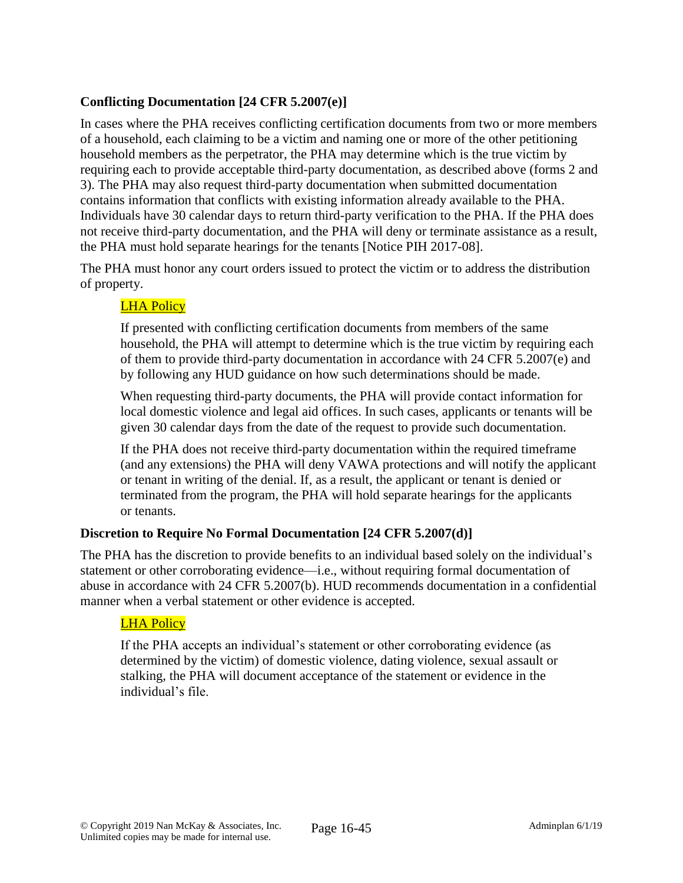# **Conflicting Documentation [24 CFR 5.2007(e)]**

In cases where the PHA receives conflicting certification documents from two or more members of a household, each claiming to be a victim and naming one or more of the other petitioning household members as the perpetrator, the PHA may determine which is the true victim by requiring each to provide acceptable third-party documentation, as described above (forms 2 and 3). The PHA may also request third-party documentation when submitted documentation contains information that conflicts with existing information already available to the PHA. Individuals have 30 calendar days to return third-party verification to the PHA. If the PHA does not receive third-party documentation, and the PHA will deny or terminate assistance as a result, the PHA must hold separate hearings for the tenants [Notice PIH 2017-08].

The PHA must honor any court orders issued to protect the victim or to address the distribution of property.

# LHA Policy

If presented with conflicting certification documents from members of the same household, the PHA will attempt to determine which is the true victim by requiring each of them to provide third-party documentation in accordance with 24 CFR 5.2007(e) and by following any HUD guidance on how such determinations should be made.

When requesting third-party documents, the PHA will provide contact information for local domestic violence and legal aid offices. In such cases, applicants or tenants will be given 30 calendar days from the date of the request to provide such documentation.

If the PHA does not receive third-party documentation within the required timeframe (and any extensions) the PHA will deny VAWA protections and will notify the applicant or tenant in writing of the denial. If, as a result, the applicant or tenant is denied or terminated from the program, the PHA will hold separate hearings for the applicants or tenants.

### **Discretion to Require No Formal Documentation [24 CFR 5.2007(d)]**

The PHA has the discretion to provide benefits to an individual based solely on the individual's statement or other corroborating evidence—i.e., without requiring formal documentation of abuse in accordance with 24 CFR 5.2007(b). HUD recommends documentation in a confidential manner when a verbal statement or other evidence is accepted.

### LHA Policy

If the PHA accepts an individual's statement or other corroborating evidence (as determined by the victim) of domestic violence, dating violence, sexual assault or stalking, the PHA will document acceptance of the statement or evidence in the individual's file.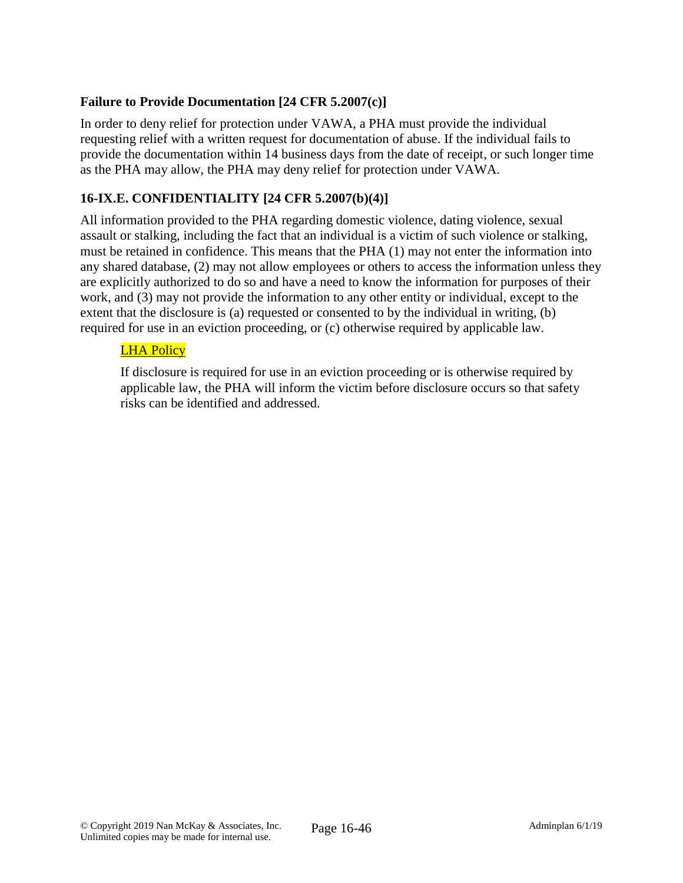### **Failure to Provide Documentation [24 CFR 5.2007(c)]**

In order to deny relief for protection under VAWA, a PHA must provide the individual requesting relief with a written request for documentation of abuse. If the individual fails to provide the documentation within 14 business days from the date of receipt, or such longer time as the PHA may allow, the PHA may deny relief for protection under VAWA.

# **16-IX.E. CONFIDENTIALITY [24 CFR 5.2007(b)(4)]**

All information provided to the PHA regarding domestic violence, dating violence, sexual assault or stalking, including the fact that an individual is a victim of such violence or stalking, must be retained in confidence. This means that the PHA (1) may not enter the information into any shared database, (2) may not allow employees or others to access the information unless they are explicitly authorized to do so and have a need to know the information for purposes of their work, and (3) may not provide the information to any other entity or individual, except to the extent that the disclosure is (a) requested or consented to by the individual in writing, (b) required for use in an eviction proceeding, or (c) otherwise required by applicable law.

# LHA Policy

If disclosure is required for use in an eviction proceeding or is otherwise required by applicable law, the PHA will inform the victim before disclosure occurs so that safety risks can be identified and addressed.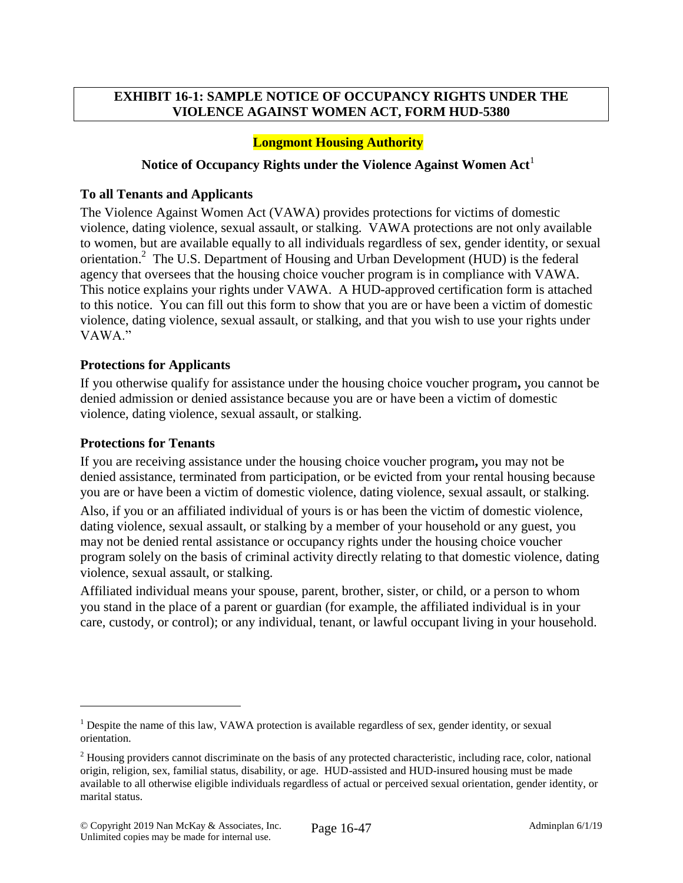### **EXHIBIT 16-1: SAMPLE NOTICE OF OCCUPANCY RIGHTS UNDER THE VIOLENCE AGAINST WOMEN ACT, FORM HUD-5380**

### **Longmont Housing Authority**

#### Notice of Occupancy Rights under the Violence Against Women Act<sup>1</sup>

#### **To all Tenants and Applicants**

The Violence Against Women Act (VAWA) provides protections for victims of domestic violence, dating violence, sexual assault, or stalking. VAWA protections are not only available to women, but are available equally to all individuals regardless of sex, gender identity, or sexual orientation.<sup>2</sup> The U.S. Department of Housing and Urban Development (HUD) is the federal agency that oversees that the housing choice voucher program is in compliance with VAWA. This notice explains your rights under VAWA. A HUD-approved certification form is attached to this notice. You can fill out this form to show that you are or have been a victim of domestic violence, dating violence, sexual assault, or stalking, and that you wish to use your rights under VAWA"

#### **Protections for Applicants**

If you otherwise qualify for assistance under the housing choice voucher program**,** you cannot be denied admission or denied assistance because you are or have been a victim of domestic violence, dating violence, sexual assault, or stalking.

#### **Protections for Tenants**

 $\overline{a}$ 

If you are receiving assistance under the housing choice voucher program**,** you may not be denied assistance, terminated from participation, or be evicted from your rental housing because you are or have been a victim of domestic violence, dating violence, sexual assault, or stalking.

Also, if you or an affiliated individual of yours is or has been the victim of domestic violence, dating violence, sexual assault, or stalking by a member of your household or any guest, you may not be denied rental assistance or occupancy rights under the housing choice voucher program solely on the basis of criminal activity directly relating to that domestic violence, dating violence, sexual assault, or stalking.

Affiliated individual means your spouse, parent, brother, sister, or child, or a person to whom you stand in the place of a parent or guardian (for example, the affiliated individual is in your care, custody, or control); or any individual, tenant, or lawful occupant living in your household.

<sup>&</sup>lt;sup>1</sup> Despite the name of this law, VAWA protection is available regardless of sex, gender identity, or sexual orientation.

<sup>&</sup>lt;sup>2</sup> Housing providers cannot discriminate on the basis of any protected characteristic, including race, color, national origin, religion, sex, familial status, disability, or age. HUD-assisted and HUD-insured housing must be made available to all otherwise eligible individuals regardless of actual or perceived sexual orientation, gender identity, or marital status.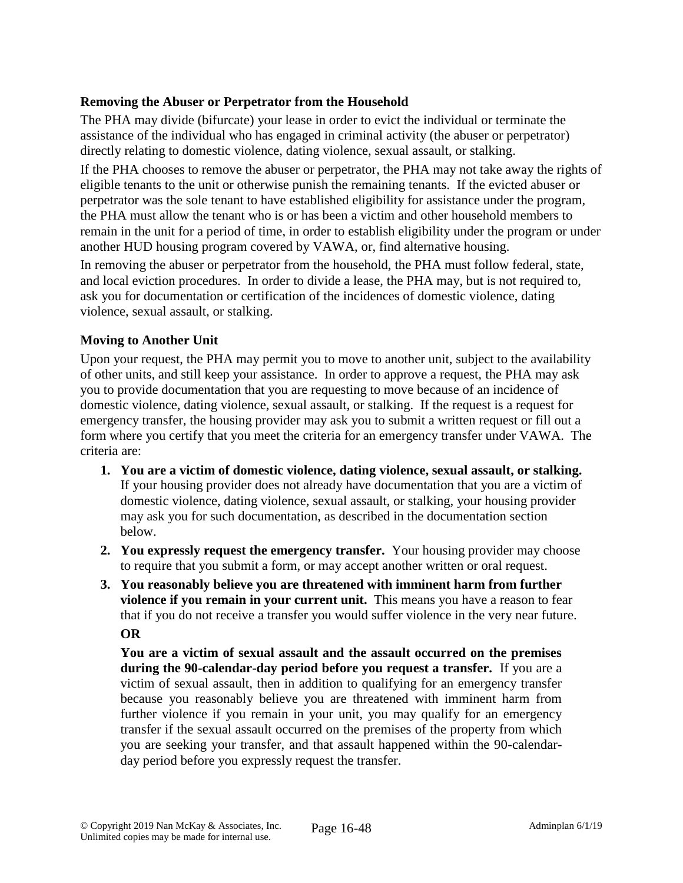### **Removing the Abuser or Perpetrator from the Household**

The PHA may divide (bifurcate) your lease in order to evict the individual or terminate the assistance of the individual who has engaged in criminal activity (the abuser or perpetrator) directly relating to domestic violence, dating violence, sexual assault, or stalking.

If the PHA chooses to remove the abuser or perpetrator, the PHA may not take away the rights of eligible tenants to the unit or otherwise punish the remaining tenants. If the evicted abuser or perpetrator was the sole tenant to have established eligibility for assistance under the program, the PHA must allow the tenant who is or has been a victim and other household members to remain in the unit for a period of time, in order to establish eligibility under the program or under another HUD housing program covered by VAWA, or, find alternative housing.

In removing the abuser or perpetrator from the household, the PHA must follow federal, state, and local eviction procedures. In order to divide a lease, the PHA may, but is not required to, ask you for documentation or certification of the incidences of domestic violence, dating violence, sexual assault, or stalking.

### **Moving to Another Unit**

Upon your request, the PHA may permit you to move to another unit, subject to the availability of other units, and still keep your assistance. In order to approve a request, the PHA may ask you to provide documentation that you are requesting to move because of an incidence of domestic violence, dating violence, sexual assault, or stalking. If the request is a request for emergency transfer, the housing provider may ask you to submit a written request or fill out a form where you certify that you meet the criteria for an emergency transfer under VAWA. The criteria are:

- **1. You are a victim of domestic violence, dating violence, sexual assault, or stalking.**  If your housing provider does not already have documentation that you are a victim of domestic violence, dating violence, sexual assault, or stalking, your housing provider may ask you for such documentation, as described in the documentation section below.
- **2. You expressly request the emergency transfer.** Your housing provider may choose to require that you submit a form, or may accept another written or oral request.
- **3. You reasonably believe you are threatened with imminent harm from further violence if you remain in your current unit.** This means you have a reason to fear that if you do not receive a transfer you would suffer violence in the very near future. **OR**

**You are a victim of sexual assault and the assault occurred on the premises during the 90-calendar-day period before you request a transfer.** If you are a victim of sexual assault, then in addition to qualifying for an emergency transfer because you reasonably believe you are threatened with imminent harm from further violence if you remain in your unit, you may qualify for an emergency transfer if the sexual assault occurred on the premises of the property from which you are seeking your transfer, and that assault happened within the 90-calendarday period before you expressly request the transfer.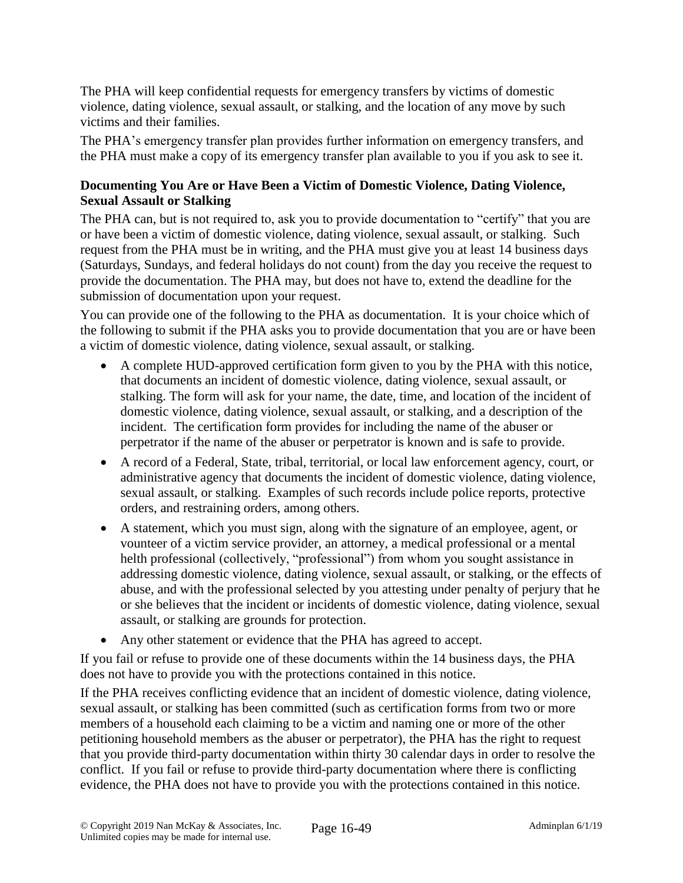The PHA will keep confidential requests for emergency transfers by victims of domestic violence, dating violence, sexual assault, or stalking, and the location of any move by such victims and their families.

The PHA's emergency transfer plan provides further information on emergency transfers, and the PHA must make a copy of its emergency transfer plan available to you if you ask to see it.

### **Documenting You Are or Have Been a Victim of Domestic Violence, Dating Violence, Sexual Assault or Stalking**

The PHA can, but is not required to, ask you to provide documentation to "certify" that you are or have been a victim of domestic violence, dating violence, sexual assault, or stalking. Such request from the PHA must be in writing, and the PHA must give you at least 14 business days (Saturdays, Sundays, and federal holidays do not count) from the day you receive the request to provide the documentation. The PHA may, but does not have to, extend the deadline for the submission of documentation upon your request.

You can provide one of the following to the PHA as documentation. It is your choice which of the following to submit if the PHA asks you to provide documentation that you are or have been a victim of domestic violence, dating violence, sexual assault, or stalking.

- A complete HUD-approved certification form given to you by the PHA with this notice, that documents an incident of domestic violence, dating violence, sexual assault, or stalking. The form will ask for your name, the date, time, and location of the incident of domestic violence, dating violence, sexual assault, or stalking, and a description of the incident. The certification form provides for including the name of the abuser or perpetrator if the name of the abuser or perpetrator is known and is safe to provide.
- A record of a Federal, State, tribal, territorial, or local law enforcement agency, court, or administrative agency that documents the incident of domestic violence, dating violence, sexual assault, or stalking. Examples of such records include police reports, protective orders, and restraining orders, among others.
- A statement, which you must sign, along with the signature of an employee, agent, or vounteer of a victim service provider, an attorney, a medical professional or a mental helth professional (collectively, "professional") from whom you sought assistance in addressing domestic violence, dating violence, sexual assault, or stalking, or the effects of abuse, and with the professional selected by you attesting under penalty of perjury that he or she believes that the incident or incidents of domestic violence, dating violence, sexual assault, or stalking are grounds for protection.
- Any other statement or evidence that the PHA has agreed to accept.

If you fail or refuse to provide one of these documents within the 14 business days, the PHA does not have to provide you with the protections contained in this notice.

If the PHA receives conflicting evidence that an incident of domestic violence, dating violence, sexual assault, or stalking has been committed (such as certification forms from two or more members of a household each claiming to be a victim and naming one or more of the other petitioning household members as the abuser or perpetrator), the PHA has the right to request that you provide third-party documentation within thirty 30 calendar days in order to resolve the conflict. If you fail or refuse to provide third-party documentation where there is conflicting evidence, the PHA does not have to provide you with the protections contained in this notice.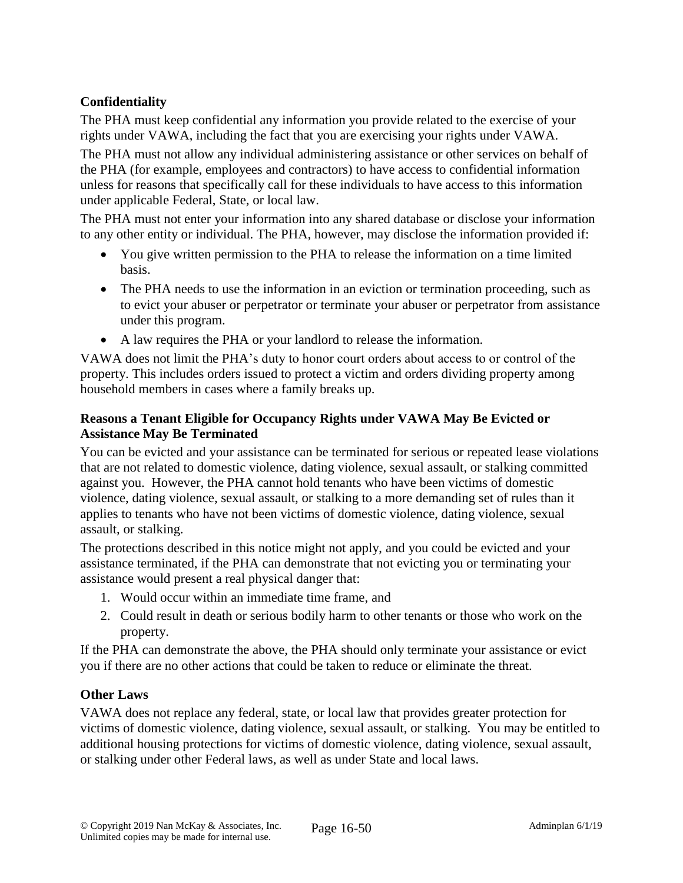# **Confidentiality**

The PHA must keep confidential any information you provide related to the exercise of your rights under VAWA, including the fact that you are exercising your rights under VAWA.

The PHA must not allow any individual administering assistance or other services on behalf of the PHA (for example, employees and contractors) to have access to confidential information unless for reasons that specifically call for these individuals to have access to this information under applicable Federal, State, or local law.

The PHA must not enter your information into any shared database or disclose your information to any other entity or individual. The PHA, however, may disclose the information provided if:

- You give written permission to the PHA to release the information on a time limited basis.
- The PHA needs to use the information in an eviction or termination proceeding, such as to evict your abuser or perpetrator or terminate your abuser or perpetrator from assistance under this program.
- A law requires the PHA or your landlord to release the information.

VAWA does not limit the PHA's duty to honor court orders about access to or control of the property. This includes orders issued to protect a victim and orders dividing property among household members in cases where a family breaks up.

### **Reasons a Tenant Eligible for Occupancy Rights under VAWA May Be Evicted or Assistance May Be Terminated**

You can be evicted and your assistance can be terminated for serious or repeated lease violations that are not related to domestic violence, dating violence, sexual assault, or stalking committed against you. However, the PHA cannot hold tenants who have been victims of domestic violence, dating violence, sexual assault, or stalking to a more demanding set of rules than it applies to tenants who have not been victims of domestic violence, dating violence, sexual assault, or stalking.

The protections described in this notice might not apply, and you could be evicted and your assistance terminated, if the PHA can demonstrate that not evicting you or terminating your assistance would present a real physical danger that:

- 1. Would occur within an immediate time frame, and
- 2. Could result in death or serious bodily harm to other tenants or those who work on the property.

If the PHA can demonstrate the above, the PHA should only terminate your assistance or evict you if there are no other actions that could be taken to reduce or eliminate the threat.

### **Other Laws**

VAWA does not replace any federal, state, or local law that provides greater protection for victims of domestic violence, dating violence, sexual assault, or stalking. You may be entitled to additional housing protections for victims of domestic violence, dating violence, sexual assault, or stalking under other Federal laws, as well as under State and local laws.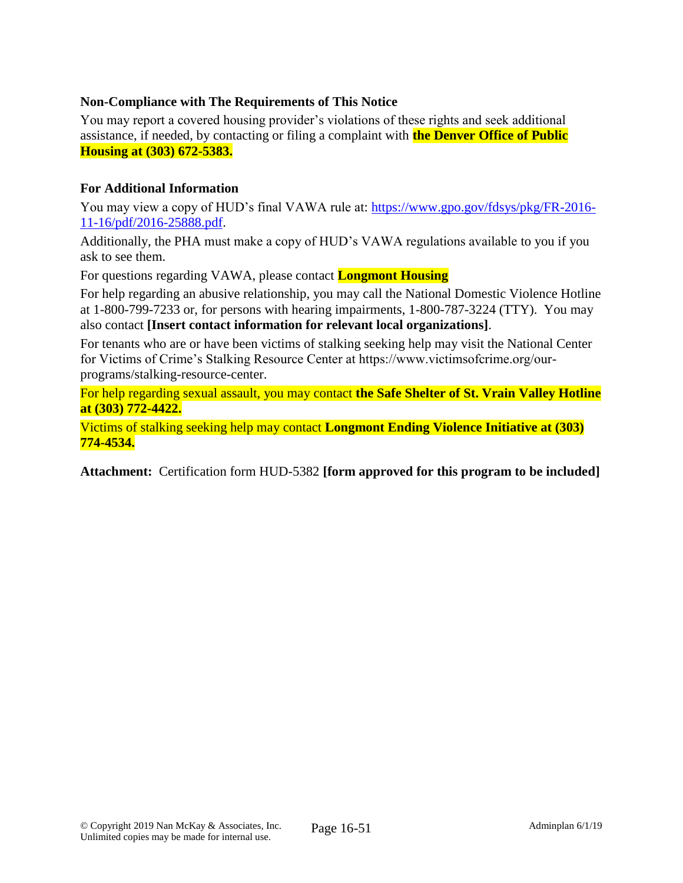### **Non-Compliance with The Requirements of This Notice**

You may report a covered housing provider's violations of these rights and seek additional assistance, if needed, by contacting or filing a complaint with **the Denver Office of Public Housing at (303) 672-5383.**

### **For Additional Information**

You may view a copy of HUD's final VAWA rule at: [https://www.gpo.gov/fdsys/pkg/FR-2016-](https://www.gpo.gov/fdsys/pkg/FR-2016-11-16/pdf/2016-25888.pdf) [11-16/pdf/2016-25888.pdf.](https://www.gpo.gov/fdsys/pkg/FR-2016-11-16/pdf/2016-25888.pdf)

Additionally, the PHA must make a copy of HUD's VAWA regulations available to you if you ask to see them.

For questions regarding VAWA, please contact **Longmont Housing** 

For help regarding an abusive relationship, you may call the National Domestic Violence Hotline at 1-800-799-7233 or, for persons with hearing impairments, 1-800-787-3224 (TTY). You may also contact **[Insert contact information for relevant local organizations]**.

For tenants who are or have been victims of stalking seeking help may visit the National Center for Victims of Crime's Stalking Resource Center at https://www.victimsofcrime.org/ourprograms/stalking-resource-center.

For help regarding sexual assault, you may contact **the Safe Shelter of St. Vrain Valley Hotline at (303) 772-4422.**

Victims of stalking seeking help may contact **Longmont Ending Violence Initiative at (303) 774-4534.**

**Attachment:** Certification form HUD-5382 **[form approved for this program to be included]**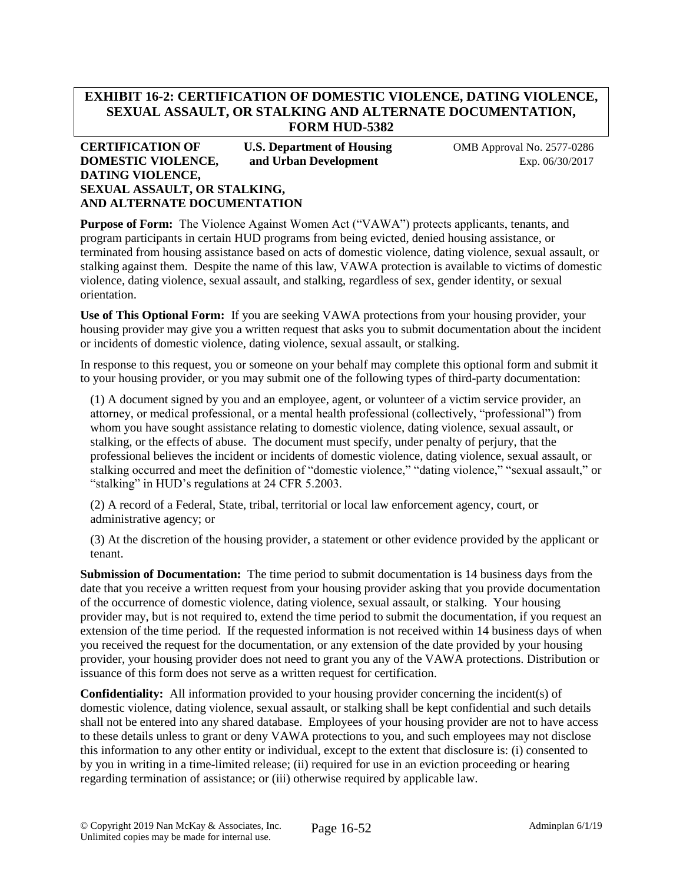### **EXHIBIT 16-2: CERTIFICATION OF DOMESTIC VIOLENCE, DATING VIOLENCE, SEXUAL ASSAULT, OR STALKING AND ALTERNATE DOCUMENTATION, FORM HUD-5382**

#### **CERTIFICATION OF U.S. Department of Housing 61 OMB Approval No. 2577-0286 DOMESTIC VIOLENCE, and Urban Development** Exp. 06/30/2017 **DATING VIOLENCE, SEXUAL ASSAULT, OR STALKING, AND ALTERNATE DOCUMENTATION**

**Purpose of Form:** The Violence Against Women Act ("VAWA") protects applicants, tenants, and program participants in certain HUD programs from being evicted, denied housing assistance, or terminated from housing assistance based on acts of domestic violence, dating violence, sexual assault, or stalking against them. Despite the name of this law, VAWA protection is available to victims of domestic violence, dating violence, sexual assault, and stalking, regardless of sex, gender identity, or sexual orientation.

**Use of This Optional Form:** If you are seeking VAWA protections from your housing provider, your housing provider may give you a written request that asks you to submit documentation about the incident or incidents of domestic violence, dating violence, sexual assault, or stalking.

In response to this request, you or someone on your behalf may complete this optional form and submit it to your housing provider, or you may submit one of the following types of third-party documentation:

(1) A document signed by you and an employee, agent, or volunteer of a victim service provider, an attorney, or medical professional, or a mental health professional (collectively, "professional") from whom you have sought assistance relating to domestic violence, dating violence, sexual assault, or stalking, or the effects of abuse. The document must specify, under penalty of perjury, that the professional believes the incident or incidents of domestic violence, dating violence, sexual assault, or stalking occurred and meet the definition of "domestic violence," "dating violence," "sexual assault," or "stalking" in HUD's regulations at 24 CFR 5.2003.

(2) A record of a Federal, State, tribal, territorial or local law enforcement agency, court, or administrative agency; or

(3) At the discretion of the housing provider, a statement or other evidence provided by the applicant or tenant.

**Submission of Documentation:** The time period to submit documentation is 14 business days from the date that you receive a written request from your housing provider asking that you provide documentation of the occurrence of domestic violence, dating violence, sexual assault, or stalking. Your housing provider may, but is not required to, extend the time period to submit the documentation, if you request an extension of the time period. If the requested information is not received within 14 business days of when you received the request for the documentation, or any extension of the date provided by your housing provider, your housing provider does not need to grant you any of the VAWA protections. Distribution or issuance of this form does not serve as a written request for certification.

**Confidentiality:** All information provided to your housing provider concerning the incident(s) of domestic violence, dating violence, sexual assault, or stalking shall be kept confidential and such details shall not be entered into any shared database. Employees of your housing provider are not to have access to these details unless to grant or deny VAWA protections to you, and such employees may not disclose this information to any other entity or individual, except to the extent that disclosure is: (i) consented to by you in writing in a time-limited release; (ii) required for use in an eviction proceeding or hearing regarding termination of assistance; or (iii) otherwise required by applicable law.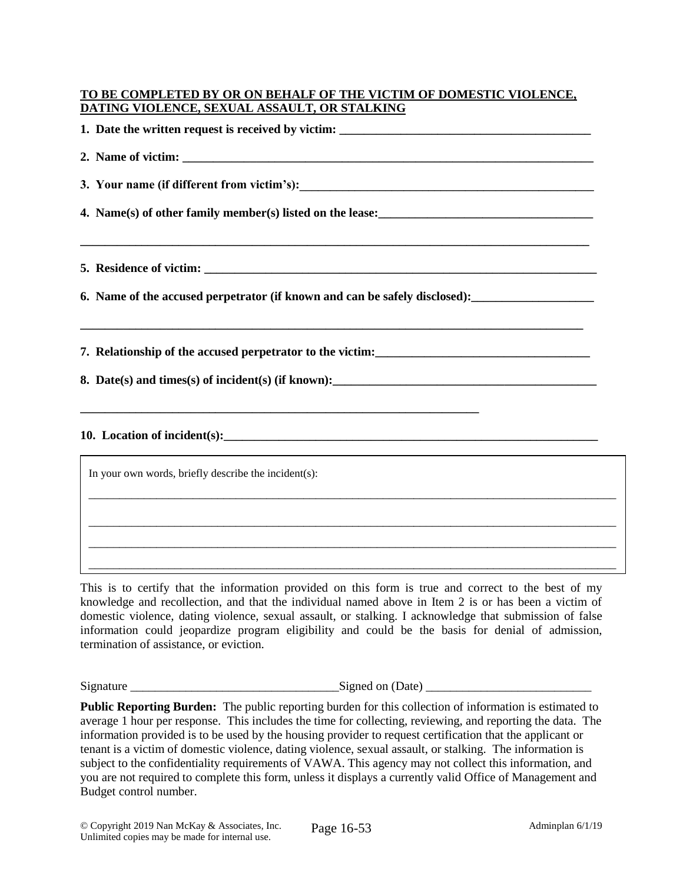#### **TO BE COMPLETED BY OR ON BEHALF OF THE VICTIM OF DOMESTIC VIOLENCE, DATING VIOLENCE, SEXUAL ASSAULT, OR STALKING**

| 4. Name(s) of other family member(s) listed on the lease:<br><u>Letting and the set of the set of the set of the set of the set of the set of the set of the set of the set of the set of the set of the set of the set of the set</u> |
|----------------------------------------------------------------------------------------------------------------------------------------------------------------------------------------------------------------------------------------|
|                                                                                                                                                                                                                                        |
|                                                                                                                                                                                                                                        |
|                                                                                                                                                                                                                                        |
|                                                                                                                                                                                                                                        |
| <u> 1989 - Johann Barn, amerikan bernama di sebagai bernama di sebagai bernama di sebagai bernama di sebagai bern</u>                                                                                                                  |
| In your own words, briefly describe the incident(s):                                                                                                                                                                                   |
|                                                                                                                                                                                                                                        |
|                                                                                                                                                                                                                                        |

This is to certify that the information provided on this form is true and correct to the best of my knowledge and recollection, and that the individual named above in Item 2 is or has been a victim of domestic violence, dating violence, sexual assault, or stalking. I acknowledge that submission of false information could jeopardize program eligibility and could be the basis for denial of admission, termination of assistance, or eviction.  $\mathcal{L}_\mathcal{L}$ 

\_\_\_\_\_\_\_\_\_\_\_\_\_\_\_\_\_\_\_\_\_\_\_\_\_\_\_\_\_\_\_\_\_\_\_\_\_\_\_\_\_\_\_\_\_\_\_\_\_\_\_\_\_\_\_\_\_\_\_\_\_\_\_\_\_\_\_\_\_\_\_\_\_\_\_\_\_\_\_\_\_\_\_\_\_\_

 $Signed on (Date)$ 

Public Reporting Burden: The public reporting burden for this collection of information is estimated to average 1 hour per response. This includes the time for collecting, reviewing, and reporting the data. The information provided is to be used by the housing provider to request certification that the applicant or tenant is a victim of domestic violence, dating violence, sexual assault, or stalking. The information is subject to the confidentiality requirements of VAWA. This agency may not collect this information, and you are not required to complete this form, unless it displays a currently valid Office of Management and Budget control number.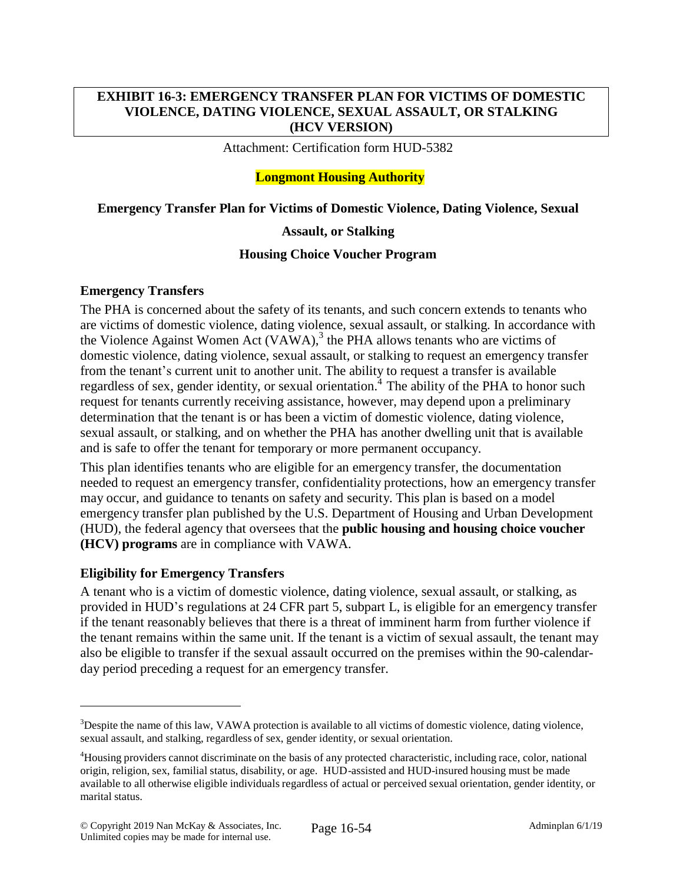### **EXHIBIT 16-3: EMERGENCY TRANSFER PLAN FOR VICTIMS OF DOMESTIC VIOLENCE, DATING VIOLENCE, SEXUAL ASSAULT, OR STALKING (HCV VERSION)**

Attachment: Certification form HUD-5382

### **Longmont Housing Authority**

#### **Emergency Transfer Plan for Victims of Domestic Violence, Dating Violence, Sexual**

#### **Assault, or Stalking**

#### **Housing Choice Voucher Program**

#### **Emergency Transfers**

The PHA is concerned about the safety of its tenants, and such concern extends to tenants who are victims of domestic violence, dating violence, sexual assault, or stalking. In accordance with the Violence Against Women Act  $(VAWA)$ ,<sup>3</sup> the PHA allows tenants who are victims of domestic violence, dating violence, sexual assault, or stalking to request an emergency transfer from the tenant's current unit to another unit. The ability to request a transfer is available regardless of sex, gender identity, or sexual orientation.<sup>4</sup> The ability of the PHA to honor such request for tenants currently receiving assistance, however, may depend upon a preliminary determination that the tenant is or has been a victim of domestic violence, dating violence, sexual assault, or stalking, and on whether the PHA has another dwelling unit that is available and is safe to offer the tenant for temporary or more permanent occupancy.

This plan identifies tenants who are eligible for an emergency transfer, the documentation needed to request an emergency transfer, confidentiality protections, how an emergency transfer may occur, and guidance to tenants on safety and security. This plan is based on a model emergency transfer plan published by the U.S. Department of Housing and Urban Development (HUD), the federal agency that oversees that the **public housing and housing choice voucher (HCV) programs** are in compliance with VAWA.

#### **Eligibility for Emergency Transfers**

A tenant who is a victim of domestic violence, dating violence, sexual assault, or stalking, as provided in HUD's regulations at 24 CFR part 5, subpart L, is eligible for an emergency transfer if the tenant reasonably believes that there is a threat of imminent harm from further violence if the tenant remains within the same unit. If the tenant is a victim of sexual assault, the tenant may also be eligible to transfer if the sexual assault occurred on the premises within the 90-calendarday period preceding a request for an emergency transfer.

 $\overline{a}$ 

<sup>&</sup>lt;sup>3</sup>Despite the name of this law, VAWA protection is available to all victims of domestic violence, dating violence, sexual assault, and stalking, regardless of sex, gender identity, or sexual orientation.

<sup>&</sup>lt;sup>4</sup>Housing providers cannot discriminate on the basis of any protected characteristic, including race, color, national origin, religion, sex, familial status, disability, or age. HUD-assisted and HUD-insured housing must be made available to all otherwise eligible individuals regardless of actual or perceived sexual orientation, gender identity, or marital status.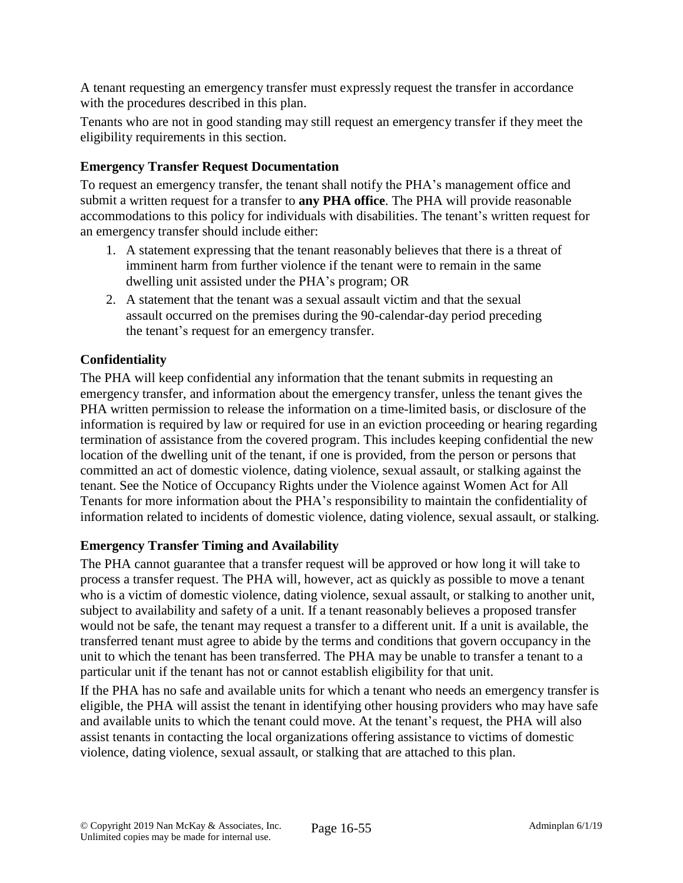A tenant requesting an emergency transfer must expressly request the transfer in accordance with the procedures described in this plan.

Tenants who are not in good standing may still request an emergency transfer if they meet the eligibility requirements in this section.

# **Emergency Transfer Request Documentation**

To request an emergency transfer, the tenant shall notify the PHA's management office and submit a written request for a transfer to **any PHA office**. The PHA will provide reasonable accommodations to this policy for individuals with disabilities. The tenant's written request for an emergency transfer should include either:

- 1. A statement expressing that the tenant reasonably believes that there is a threat of imminent harm from further violence if the tenant were to remain in the same dwelling unit assisted under the PHA's program; OR
- 2. A statement that the tenant was a sexual assault victim and that the sexual assault occurred on the premises during the 90-calendar-day period preceding the tenant's request for an emergency transfer.

# **Confidentiality**

The PHA will keep confidential any information that the tenant submits in requesting an emergency transfer, and information about the emergency transfer, unless the tenant gives the PHA written permission to release the information on a time-limited basis, or disclosure of the information is required by law or required for use in an eviction proceeding or hearing regarding termination of assistance from the covered program. This includes keeping confidential the new location of the dwelling unit of the tenant, if one is provided, from the person or persons that committed an act of domestic violence, dating violence, sexual assault, or stalking against the tenant. See the Notice of Occupancy Rights under the Violence against Women Act for All Tenants for more information about the PHA's responsibility to maintain the confidentiality of information related to incidents of domestic violence, dating violence, sexual assault, or stalking.

### **Emergency Transfer Timing and Availability**

The PHA cannot guarantee that a transfer request will be approved or how long it will take to process a transfer request. The PHA will, however, act as quickly as possible to move a tenant who is a victim of domestic violence, dating violence, sexual assault, or stalking to another unit, subject to availability and safety of a unit. If a tenant reasonably believes a proposed transfer would not be safe, the tenant may request a transfer to a different unit. If a unit is available, the transferred tenant must agree to abide by the terms and conditions that govern occupancy in the unit to which the tenant has been transferred. The PHA may be unable to transfer a tenant to a particular unit if the tenant has not or cannot establish eligibility for that unit.

If the PHA has no safe and available units for which a tenant who needs an emergency transfer is eligible, the PHA will assist the tenant in identifying other housing providers who may have safe and available units to which the tenant could move. At the tenant's request, the PHA will also assist tenants in contacting the local organizations offering assistance to victims of domestic violence, dating violence, sexual assault, or stalking that are attached to this plan.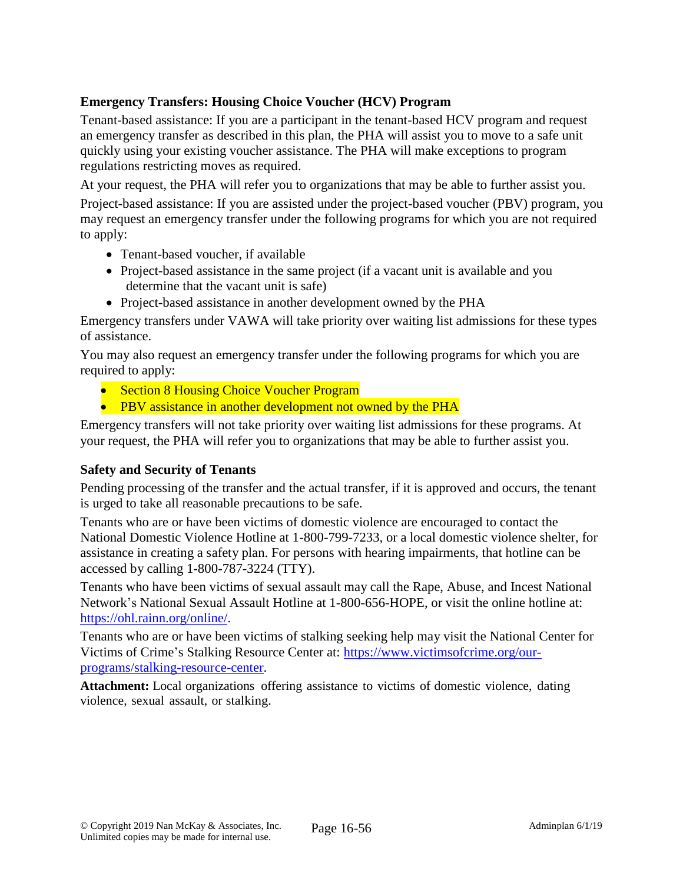## **Emergency Transfers: Housing Choice Voucher (HCV) Program**

Tenant-based assistance: If you are a participant in the tenant-based HCV program and request an emergency transfer as described in this plan, the PHA will assist you to move to a safe unit quickly using your existing voucher assistance. The PHA will make exceptions to program regulations restricting moves as required.

At your request, the PHA will refer you to organizations that may be able to further assist you.

Project-based assistance: If you are assisted under the project-based voucher (PBV) program, you may request an emergency transfer under the following programs for which you are not required to apply:

- Tenant-based voucher, if available
- Project-based assistance in the same project (if a vacant unit is available and you determine that the vacant unit is safe)
- Project-based assistance in another development owned by the PHA

Emergency transfers under VAWA will take priority over waiting list admissions for these types of assistance.

You may also request an emergency transfer under the following programs for which you are required to apply:

- Section 8 Housing Choice Voucher Program
- PBV assistance in another development not owned by the PHA

Emergency transfers will not take priority over waiting list admissions for these programs. At your request, the PHA will refer you to organizations that may be able to further assist you.

#### **Safety and Security of Tenants**

Pending processing of the transfer and the actual transfer, if it is approved and occurs, the tenant is urged to take all reasonable precautions to be safe.

Tenants who are or have been victims of domestic violence are encouraged to contact the National Domestic Violence Hotline at 1-800-799-7233, or a local domestic violence shelter, for assistance in creating a safety plan. For persons with hearing impairments, that hotline can be accessed by calling 1-800-787-3224 (TTY).

Tenants who have been victims of sexual assault may call the Rape, Abuse, and Incest National Network's National Sexual Assault Hotline at 1-800-656-HOPE, or visit the online hotline at: [https://ohl.rainn.org/online/.](https://ohl.rainn.org/online/)

Tenants who are or have been victims of stalking seeking help may visit the National Center for Victims of Crime's Stalking Resource Center at: [https://www.victimsofcrime.org/our](https://www.victimsofcrime.org/our-programs/stalking-resource-center)[programs/stalking-resource-center.](https://www.victimsofcrime.org/our-programs/stalking-resource-center)

**Attachment:** Local organizations offering assistance to victims of domestic violence, dating violence, sexual assault, or stalking.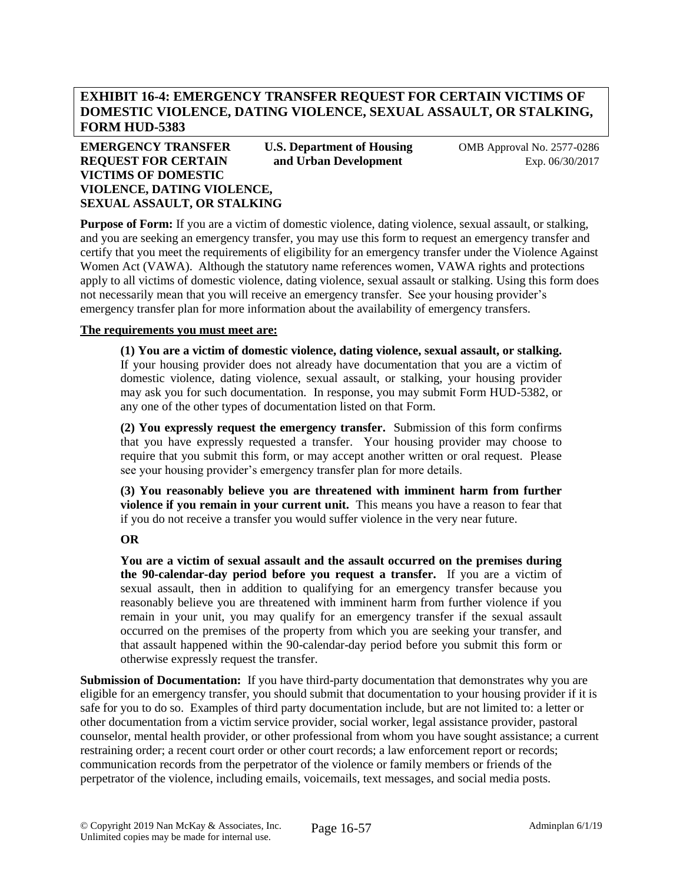### **EXHIBIT 16-4: EMERGENCY TRANSFER REQUEST FOR CERTAIN VICTIMS OF DOMESTIC VIOLENCE, DATING VIOLENCE, SEXUAL ASSAULT, OR STALKING, FORM HUD-5383**

#### **EMERGENCY TRANSFER U.S. Department of Housing COMB Approval No. 2577-0286 REQUEST FOR CERTAIN and Urban Development** Exp. 06/30/2017 **VICTIMS OF DOMESTIC VIOLENCE, DATING VIOLENCE, SEXUAL ASSAULT, OR STALKING**

**Purpose of Form:** If you are a victim of domestic violence, dating violence, sexual assault, or stalking, and you are seeking an emergency transfer, you may use this form to request an emergency transfer and certify that you meet the requirements of eligibility for an emergency transfer under the Violence Against Women Act (VAWA). Although the statutory name references women, VAWA rights and protections apply to all victims of domestic violence, dating violence, sexual assault or stalking. Using this form does not necessarily mean that you will receive an emergency transfer. See your housing provider's emergency transfer plan for more information about the availability of emergency transfers.

#### **The requirements you must meet are:**

**(1) You are a victim of domestic violence, dating violence, sexual assault, or stalking.**  If your housing provider does not already have documentation that you are a victim of domestic violence, dating violence, sexual assault, or stalking, your housing provider may ask you for such documentation. In response, you may submit Form HUD-5382, or any one of the other types of documentation listed on that Form.

**(2) You expressly request the emergency transfer.** Submission of this form confirms that you have expressly requested a transfer. Your housing provider may choose to require that you submit this form, or may accept another written or oral request. Please see your housing provider's emergency transfer plan for more details.

**(3) You reasonably believe you are threatened with imminent harm from further violence if you remain in your current unit.** This means you have a reason to fear that if you do not receive a transfer you would suffer violence in the very near future.

#### **OR**

**You are a victim of sexual assault and the assault occurred on the premises during the 90-calendar-day period before you request a transfer.** If you are a victim of sexual assault, then in addition to qualifying for an emergency transfer because you reasonably believe you are threatened with imminent harm from further violence if you remain in your unit, you may qualify for an emergency transfer if the sexual assault occurred on the premises of the property from which you are seeking your transfer, and that assault happened within the 90-calendar-day period before you submit this form or otherwise expressly request the transfer.

**Submission of Documentation:** If you have third-party documentation that demonstrates why you are eligible for an emergency transfer, you should submit that documentation to your housing provider if it is safe for you to do so. Examples of third party documentation include, but are not limited to: a letter or other documentation from a victim service provider, social worker, legal assistance provider, pastoral counselor, mental health provider, or other professional from whom you have sought assistance; a current restraining order; a recent court order or other court records; a law enforcement report or records; communication records from the perpetrator of the violence or family members or friends of the perpetrator of the violence, including emails, voicemails, text messages, and social media posts.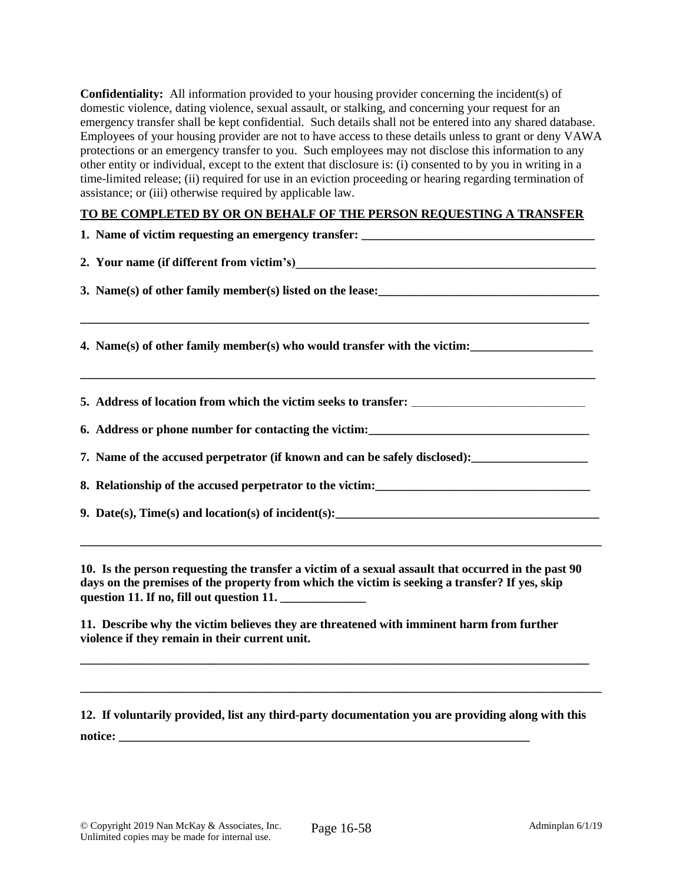**Confidentiality:** All information provided to your housing provider concerning the incident(s) of domestic violence, dating violence, sexual assault, or stalking, and concerning your request for an emergency transfer shall be kept confidential. Such details shall not be entered into any shared database. Employees of your housing provider are not to have access to these details unless to grant or deny VAWA protections or an emergency transfer to you. Such employees may not disclose this information to any other entity or individual, except to the extent that disclosure is: (i) consented to by you in writing in a time-limited release; (ii) required for use in an eviction proceeding or hearing regarding termination of assistance; or (iii) otherwise required by applicable law.

#### **TO BE COMPLETED BY OR ON BEHALF OF THE PERSON REQUESTING A TRANSFER**

| 1. Name of victim requesting an emergency transfer: _____________________________                                                                                                                                                      |
|----------------------------------------------------------------------------------------------------------------------------------------------------------------------------------------------------------------------------------------|
|                                                                                                                                                                                                                                        |
| 3. Name(s) of other family member(s) listed on the lease:<br><u>Letting and the set of the set of the set of the set of the set of the set of the set of the set of the set of the set of the set of the set of the set of the set</u> |
| 4. Name(s) of other family member(s) who would transfer with the victim:                                                                                                                                                               |
|                                                                                                                                                                                                                                        |
|                                                                                                                                                                                                                                        |
| 7. Name of the accused perpetrator (if known and can be safely disclosed): _________________________                                                                                                                                   |
|                                                                                                                                                                                                                                        |
|                                                                                                                                                                                                                                        |
| 10. Is the person requesting the transfer a victim of a sexual assault that occurred in the past 90                                                                                                                                    |

**days on the premises of the property from which the victim is seeking a transfer? If yes, skip question 11. If no, fill out question 11. \_\_\_\_\_\_\_\_\_\_\_\_\_\_**

**11. Describe why the victim believes they are threatened with imminent harm from further violence if they remain in their current unit.** 

**12. If voluntarily provided, list any third-party documentation you are providing along with this notice:** 

**\_\_\_\_\_\_\_\_\_\_\_\_\_\_\_\_\_\_\_\_\_\_\_\_\_\_\_\_\_\_\_\_\_\_\_\_\_\_\_\_\_\_\_\_\_\_\_\_\_\_\_\_\_\_\_\_\_\_\_\_\_\_\_\_\_\_\_\_\_\_\_\_\_\_\_\_\_\_\_\_\_\_\_**

**\_\_\_\_\_\_\_\_\_\_\_\_\_\_\_\_\_\_\_\_\_\_\_\_\_\_\_\_\_\_\_\_\_\_\_\_\_\_\_\_\_\_\_\_\_\_\_\_\_\_\_\_\_\_\_\_\_\_\_\_\_\_\_\_\_\_\_\_\_\_\_\_\_\_\_\_\_\_\_\_\_\_\_\_\_**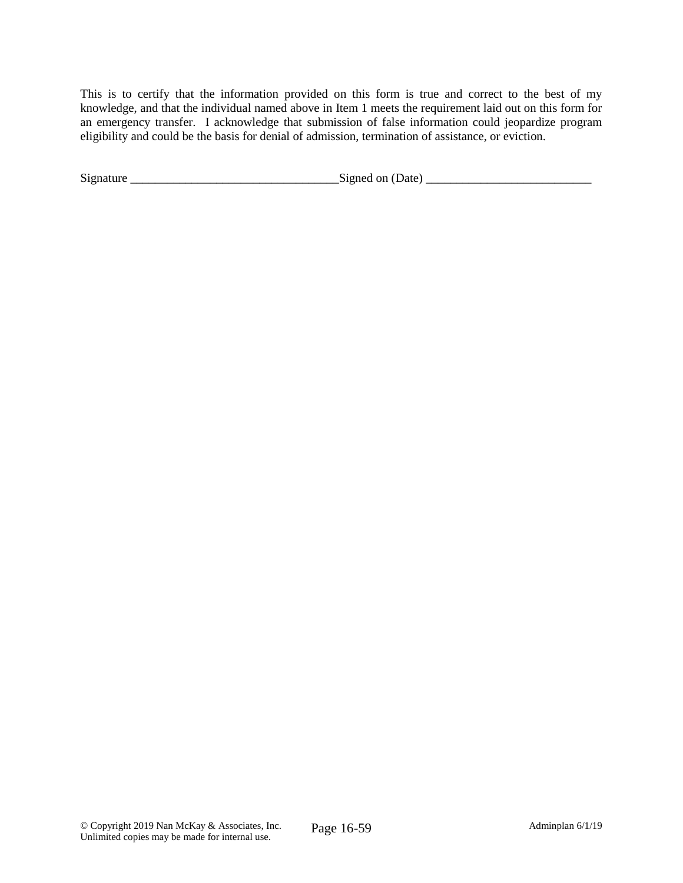This is to certify that the information provided on this form is true and correct to the best of my knowledge, and that the individual named above in Item 1 meets the requirement laid out on this form for an emergency transfer. I acknowledge that submission of false information could jeopardize program eligibility and could be the basis for denial of admission, termination of assistance, or eviction.

| Signature | Date'<br>.stoned<br>n n |
|-----------|-------------------------|
|-----------|-------------------------|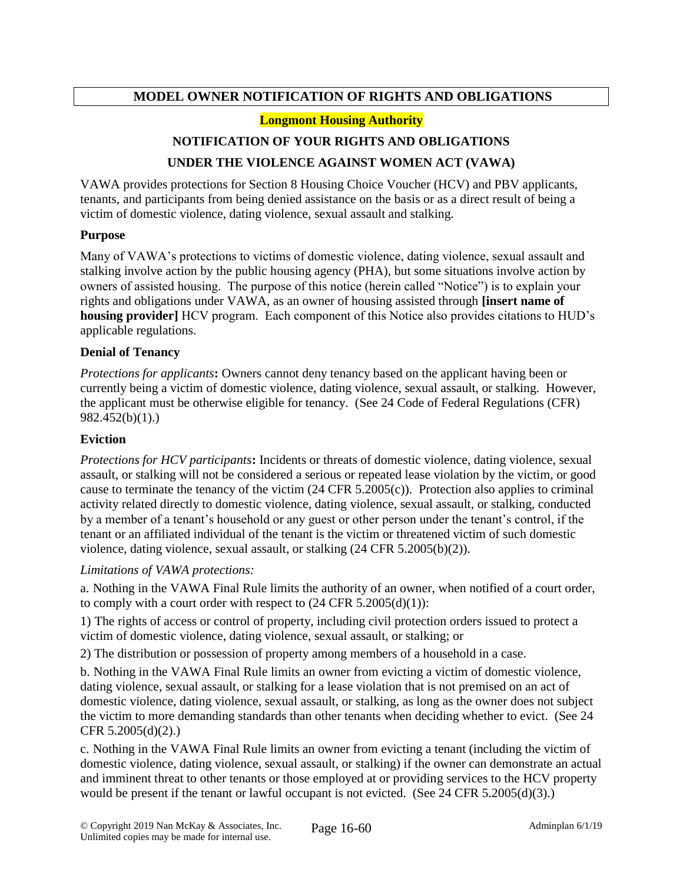### **MODEL OWNER NOTIFICATION OF RIGHTS AND OBLIGATIONS**

#### **Longmont Housing Authority**

#### **NOTIFICATION OF YOUR RIGHTS AND OBLIGATIONS**

#### **UNDER THE VIOLENCE AGAINST WOMEN ACT (VAWA)**

VAWA provides protections for Section 8 Housing Choice Voucher (HCV) and PBV applicants, tenants, and participants from being denied assistance on the basis or as a direct result of being a victim of domestic violence, dating violence, sexual assault and stalking.

#### **Purpose**

Many of VAWA's protections to victims of domestic violence, dating violence, sexual assault and stalking involve action by the public housing agency (PHA), but some situations involve action by owners of assisted housing. The purpose of this notice (herein called "Notice") is to explain your rights and obligations under VAWA, as an owner of housing assisted through **[insert name of housing provider]** HCV program. Each component of this Notice also provides citations to HUD's applicable regulations.

#### **Denial of Tenancy**

*Protections for applicants***:** Owners cannot deny tenancy based on the applicant having been or currently being a victim of domestic violence, dating violence, sexual assault, or stalking. However, the applicant must be otherwise eligible for tenancy. (See 24 Code of Federal Regulations (CFR) 982.452(b)(1).)

#### **Eviction**

*Protections for HCV participants***:** Incidents or threats of domestic violence, dating violence, sexual assault, or stalking will not be considered a serious or repeated lease violation by the victim, or good cause to terminate the tenancy of the victim (24 CFR 5.2005(c)). Protection also applies to criminal activity related directly to domestic violence, dating violence, sexual assault, or stalking, conducted by a member of a tenant's household or any guest or other person under the tenant's control, if the tenant or an affiliated individual of the tenant is the victim or threatened victim of such domestic violence, dating violence, sexual assault, or stalking (24 CFR 5.2005(b)(2)).

#### *Limitations of VAWA protections:*

a. Nothing in the VAWA Final Rule limits the authority of an owner, when notified of a court order, to comply with a court order with respect to (24 CFR 5.2005(d)(1)):

1) The rights of access or control of property, including civil protection orders issued to protect a victim of domestic violence, dating violence, sexual assault, or stalking; or

2) The distribution or possession of property among members of a household in a case.

b. Nothing in the VAWA Final Rule limits an owner from evicting a victim of domestic violence, dating violence, sexual assault, or stalking for a lease violation that is not premised on an act of domestic violence, dating violence, sexual assault, or stalking, as long as the owner does not subject the victim to more demanding standards than other tenants when deciding whether to evict. (See 24 CFR 5.2005(d)(2).)

c. Nothing in the VAWA Final Rule limits an owner from evicting a tenant (including the victim of domestic violence, dating violence, sexual assault, or stalking) if the owner can demonstrate an actual and imminent threat to other tenants or those employed at or providing services to the HCV property would be present if the tenant or lawful occupant is not evicted. (See 24 CFR 5.2005(d)(3).)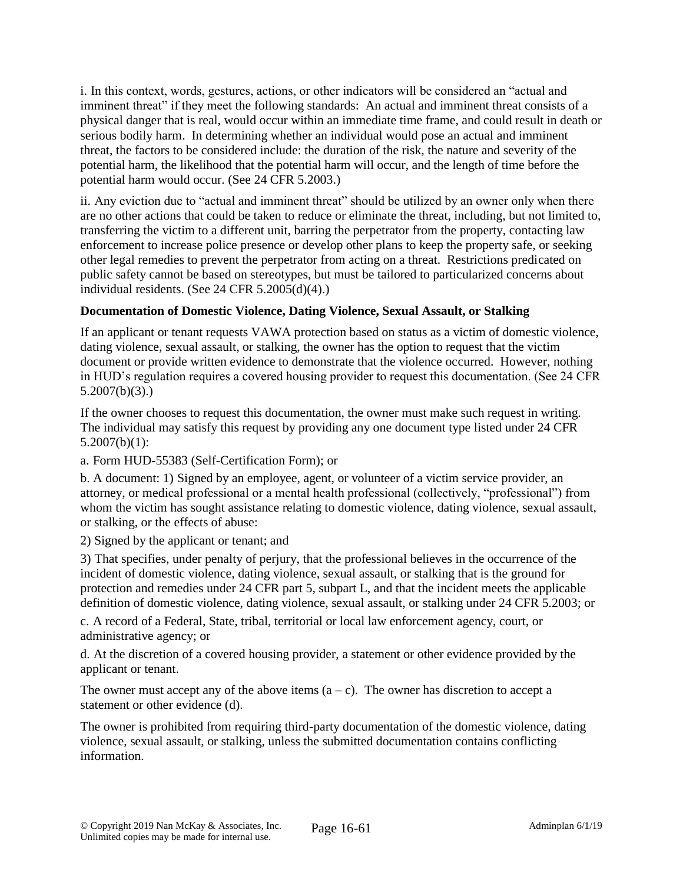i. In this context, words, gestures, actions, or other indicators will be considered an "actual and imminent threat" if they meet the following standards: An actual and imminent threat consists of a physical danger that is real, would occur within an immediate time frame, and could result in death or serious bodily harm. In determining whether an individual would pose an actual and imminent threat, the factors to be considered include: the duration of the risk, the nature and severity of the potential harm, the likelihood that the potential harm will occur, and the length of time before the potential harm would occur. (See 24 CFR 5.2003.)

ii. Any eviction due to "actual and imminent threat" should be utilized by an owner only when there are no other actions that could be taken to reduce or eliminate the threat, including, but not limited to, transferring the victim to a different unit, barring the perpetrator from the property, contacting law enforcement to increase police presence or develop other plans to keep the property safe, or seeking other legal remedies to prevent the perpetrator from acting on a threat. Restrictions predicated on public safety cannot be based on stereotypes, but must be tailored to particularized concerns about individual residents. (See 24 CFR 5.2005(d)(4).)

### **Documentation of Domestic Violence, Dating Violence, Sexual Assault, or Stalking**

If an applicant or tenant requests VAWA protection based on status as a victim of domestic violence, dating violence, sexual assault, or stalking, the owner has the option to request that the victim document or provide written evidence to demonstrate that the violence occurred. However, nothing in HUD's regulation requires a covered housing provider to request this documentation. (See 24 CFR 5.2007(b)(3).)

If the owner chooses to request this documentation, the owner must make such request in writing. The individual may satisfy this request by providing any one document type listed under 24 CFR  $5.2007(b)(1)$ :

a. Form HUD-55383 (Self-Certification Form); or

b. A document: 1) Signed by an employee, agent, or volunteer of a victim service provider, an attorney, or medical professional or a mental health professional (collectively, "professional") from whom the victim has sought assistance relating to domestic violence, dating violence, sexual assault, or stalking, or the effects of abuse:

2) Signed by the applicant or tenant; and

3) That specifies, under penalty of perjury, that the professional believes in the occurrence of the incident of domestic violence, dating violence, sexual assault, or stalking that is the ground for protection and remedies under 24 CFR part 5, subpart L, and that the incident meets the applicable definition of domestic violence, dating violence, sexual assault, or stalking under 24 CFR 5.2003; or

c. A record of a Federal, State, tribal, territorial or local law enforcement agency, court, or administrative agency; or

d. At the discretion of a covered housing provider, a statement or other evidence provided by the applicant or tenant.

The owner must accept any of the above items  $(a - c)$ . The owner has discretion to accept a statement or other evidence (d).

The owner is prohibited from requiring third-party documentation of the domestic violence, dating violence, sexual assault, or stalking, unless the submitted documentation contains conflicting information.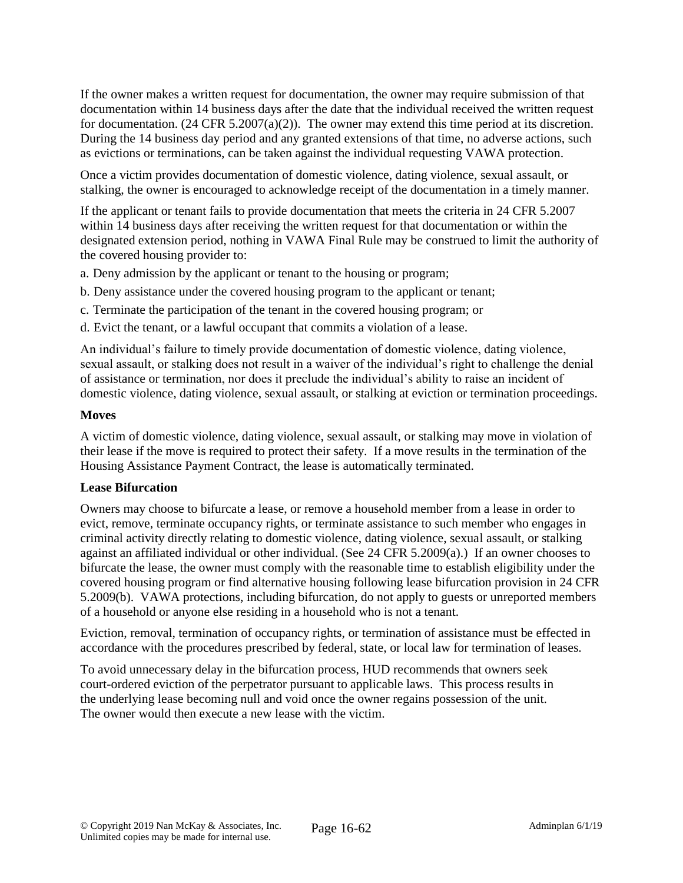If the owner makes a written request for documentation, the owner may require submission of that documentation within 14 business days after the date that the individual received the written request for documentation. (24 CFR 5.2007(a)(2)). The owner may extend this time period at its discretion. During the 14 business day period and any granted extensions of that time, no adverse actions, such as evictions or terminations, can be taken against the individual requesting VAWA protection.

Once a victim provides documentation of domestic violence, dating violence, sexual assault, or stalking, the owner is encouraged to acknowledge receipt of the documentation in a timely manner.

If the applicant or tenant fails to provide documentation that meets the criteria in 24 CFR 5.2007 within 14 business days after receiving the written request for that documentation or within the designated extension period, nothing in VAWA Final Rule may be construed to limit the authority of the covered housing provider to:

a. Deny admission by the applicant or tenant to the housing or program;

- b. Deny assistance under the covered housing program to the applicant or tenant;
- c. Terminate the participation of the tenant in the covered housing program; or
- d. Evict the tenant, or a lawful occupant that commits a violation of a lease.

An individual's failure to timely provide documentation of domestic violence, dating violence, sexual assault, or stalking does not result in a waiver of the individual's right to challenge the denial of assistance or termination, nor does it preclude the individual's ability to raise an incident of domestic violence, dating violence, sexual assault, or stalking at eviction or termination proceedings.

#### **Moves**

A victim of domestic violence, dating violence, sexual assault, or stalking may move in violation of their lease if the move is required to protect their safety. If a move results in the termination of the Housing Assistance Payment Contract, the lease is automatically terminated.

#### **Lease Bifurcation**

Owners may choose to bifurcate a lease, or remove a household member from a lease in order to evict, remove, terminate occupancy rights, or terminate assistance to such member who engages in criminal activity directly relating to domestic violence, dating violence, sexual assault, or stalking against an affiliated individual or other individual. (See 24 CFR 5.2009(a).) If an owner chooses to bifurcate the lease, the owner must comply with the reasonable time to establish eligibility under the covered housing program or find alternative housing following lease bifurcation provision in 24 CFR 5.2009(b). VAWA protections, including bifurcation, do not apply to guests or unreported members of a household or anyone else residing in a household who is not a tenant.

Eviction, removal, termination of occupancy rights, or termination of assistance must be effected in accordance with the procedures prescribed by federal, state, or local law for termination of leases.

To avoid unnecessary delay in the bifurcation process, HUD recommends that owners seek court-ordered eviction of the perpetrator pursuant to applicable laws. This process results in the underlying lease becoming null and void once the owner regains possession of the unit. The owner would then execute a new lease with the victim.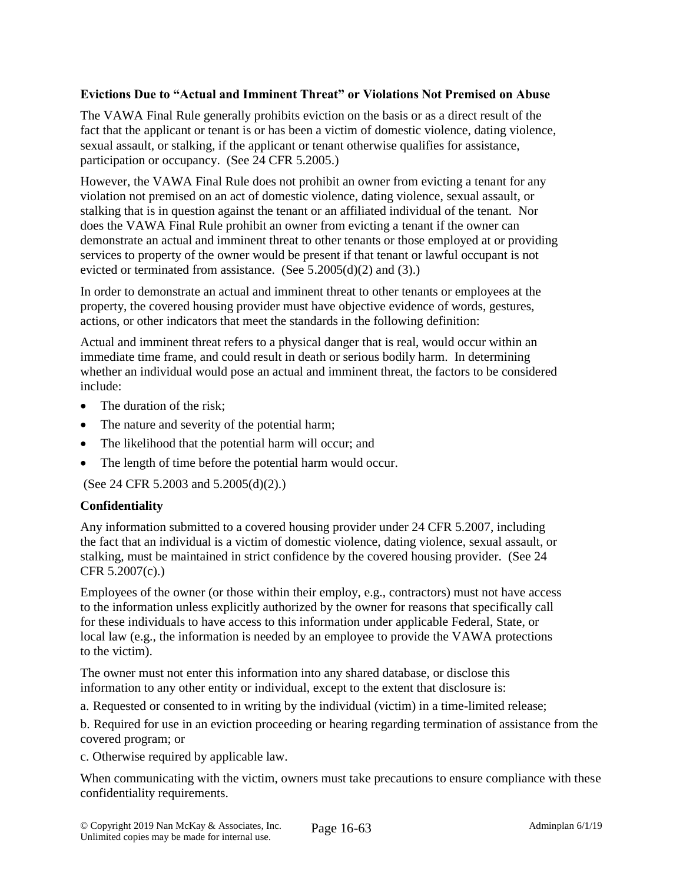#### **Evictions Due to "Actual and Imminent Threat" or Violations Not Premised on Abuse**

The VAWA Final Rule generally prohibits eviction on the basis or as a direct result of the fact that the applicant or tenant is or has been a victim of domestic violence, dating violence, sexual assault, or stalking, if the applicant or tenant otherwise qualifies for assistance, participation or occupancy. (See 24 CFR 5.2005.)

However, the VAWA Final Rule does not prohibit an owner from evicting a tenant for any violation not premised on an act of domestic violence, dating violence, sexual assault, or stalking that is in question against the tenant or an affiliated individual of the tenant. Nor does the VAWA Final Rule prohibit an owner from evicting a tenant if the owner can demonstrate an actual and imminent threat to other tenants or those employed at or providing services to property of the owner would be present if that tenant or lawful occupant is not evicted or terminated from assistance. (See  $5.2005(d)(2)$  and  $(3)$ .)

In order to demonstrate an actual and imminent threat to other tenants or employees at the property, the covered housing provider must have objective evidence of words, gestures, actions, or other indicators that meet the standards in the following definition:

Actual and imminent threat refers to a physical danger that is real, would occur within an immediate time frame, and could result in death or serious bodily harm. In determining whether an individual would pose an actual and imminent threat, the factors to be considered include:

- The duration of the risk;
- The nature and severity of the potential harm;
- The likelihood that the potential harm will occur; and
- The length of time before the potential harm would occur.

(See 24 CFR 5.2003 and 5.2005(d)(2).)

#### **Confidentiality**

Any information submitted to a covered housing provider under 24 CFR 5.2007, including the fact that an individual is a victim of domestic violence, dating violence, sexual assault, or stalking, must be maintained in strict confidence by the covered housing provider. (See 24 CFR 5.2007(c).)

Employees of the owner (or those within their employ, e.g., contractors) must not have access to the information unless explicitly authorized by the owner for reasons that specifically call for these individuals to have access to this information under applicable Federal, State, or local law (e.g., the information is needed by an employee to provide the VAWA protections to the victim).

The owner must not enter this information into any shared database, or disclose this information to any other entity or individual, except to the extent that disclosure is:

a. Requested or consented to in writing by the individual (victim) in a time-limited release;

b. Required for use in an eviction proceeding or hearing regarding termination of assistance from the covered program; or

c. Otherwise required by applicable law.

When communicating with the victim, owners must take precautions to ensure compliance with these confidentiality requirements.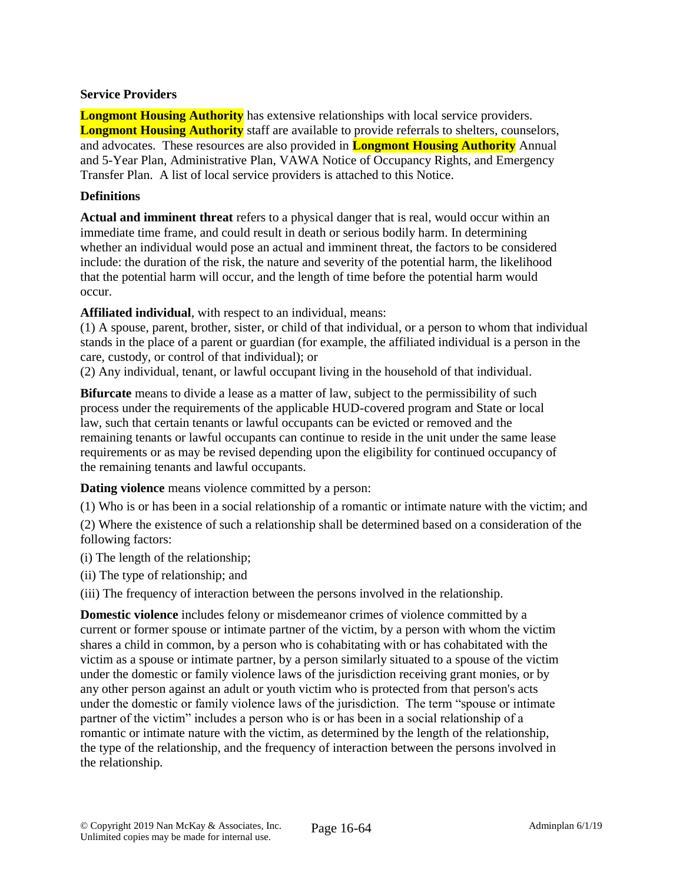#### **Service Providers**

**Longmont Housing Authority** has extensive relationships with local service providers. **Longmont Housing Authority** staff are available to provide referrals to shelters, counselors, and advocates. These resources are also provided in **Longmont Housing Authority** Annual and 5-Year Plan, Administrative Plan, VAWA Notice of Occupancy Rights, and Emergency Transfer Plan. A list of local service providers is attached to this Notice.

#### **Definitions**

**Actual and imminent threat** refers to a physical danger that is real, would occur within an immediate time frame, and could result in death or serious bodily harm. In determining whether an individual would pose an actual and imminent threat, the factors to be considered include: the duration of the risk, the nature and severity of the potential harm, the likelihood that the potential harm will occur, and the length of time before the potential harm would occur.

**Affiliated individual**, with respect to an individual, means:

(1) A spouse, parent, brother, sister, or child of that individual, or a person to whom that individual stands in the place of a parent or guardian (for example, the affiliated individual is a person in the care, custody, or control of that individual); or

(2) Any individual, tenant, or lawful occupant living in the household of that individual.

**Bifurcate** means to divide a lease as a matter of law, subject to the permissibility of such process under the requirements of the applicable HUD-covered program and State or local law, such that certain tenants or lawful occupants can be evicted or removed and the remaining tenants or lawful occupants can continue to reside in the unit under the same lease requirements or as may be revised depending upon the eligibility for continued occupancy of the remaining tenants and lawful occupants.

**Dating violence** means violence committed by a person:

(1) Who is or has been in a social relationship of a romantic or intimate nature with the victim; and (2) Where the existence of such a relationship shall be determined based on a consideration of the following factors:

(i) The length of the relationship;

(ii) The type of relationship; and

(iii) The frequency of interaction between the persons involved in the relationship.

**Domestic violence** includes felony or misdemeanor crimes of violence committed by a current or former spouse or intimate partner of the victim, by a person with whom the victim shares a child in common, by a person who is cohabitating with or has cohabitated with the victim as a spouse or intimate partner, by a person similarly situated to a spouse of the victim under the domestic or family violence laws of the jurisdiction receiving grant monies, or by any other person against an adult or youth victim who is protected from that person's acts under the domestic or family violence laws of the jurisdiction. The term "spouse or intimate partner of the victim" includes a person who is or has been in a social relationship of a romantic or intimate nature with the victim, as determined by the length of the relationship, the type of the relationship, and the frequency of interaction between the persons involved in the relationship.